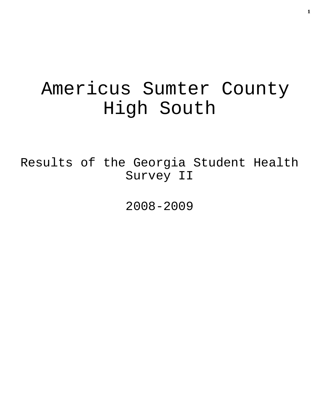# Americus Sumter County High South

Results of the Georgia Student Health Survey II

2008-2009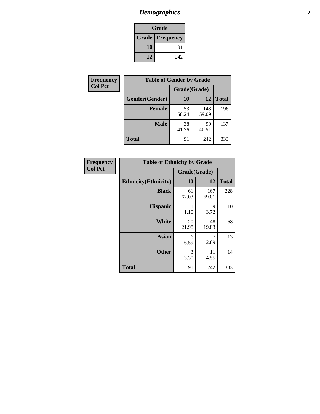# *Demographics* **2**

| Grade                    |     |  |  |  |
|--------------------------|-----|--|--|--|
| <b>Grade   Frequency</b> |     |  |  |  |
| 10                       | 91  |  |  |  |
| 12                       | 242 |  |  |  |

| Frequency      | <b>Table of Gender by Grade</b> |              |              |              |  |
|----------------|---------------------------------|--------------|--------------|--------------|--|
| <b>Col Pct</b> |                                 | Grade(Grade) |              |              |  |
|                | Gender(Gender)                  | 10           | 12           | <b>Total</b> |  |
|                | <b>Female</b>                   | 53<br>58.24  | 143<br>59.09 | 196          |  |
|                | <b>Male</b>                     | 38<br>41.76  | 99<br>40.91  | 137          |  |
|                | <b>Total</b>                    | 91           | 242          | 333          |  |

| <b>Frequency</b> |
|------------------|
| <b>Col Pct</b>   |

| <b>Table of Ethnicity by Grade</b> |              |              |              |  |  |  |
|------------------------------------|--------------|--------------|--------------|--|--|--|
|                                    | Grade(Grade) |              |              |  |  |  |
| <b>Ethnicity</b> (Ethnicity)       | 10           | 12           | <b>Total</b> |  |  |  |
| <b>Black</b>                       | 61<br>67.03  | 167<br>69.01 | 228          |  |  |  |
| <b>Hispanic</b>                    | 1<br>1.10    | 9<br>3.72    | 10           |  |  |  |
| White                              | 20<br>21.98  | 48<br>19.83  | 68           |  |  |  |
| <b>Asian</b>                       | 6<br>6.59    | 7<br>2.89    | 13           |  |  |  |
| <b>Other</b>                       | 3<br>3.30    | 11<br>4.55   | 14           |  |  |  |
| <b>Total</b>                       | 91           | 242          | 333          |  |  |  |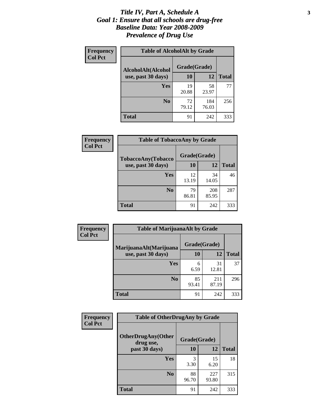#### *Title IV, Part A, Schedule A* **3** *Goal 1: Ensure that all schools are drug-free Baseline Data: Year 2008-2009 Prevalence of Drug Use*

| Frequency<br><b>Col Pct</b> | <b>Table of AlcoholAlt by Grade</b> |              |              |              |  |  |
|-----------------------------|-------------------------------------|--------------|--------------|--------------|--|--|
|                             | AlcoholAlt(Alcohol                  | Grade(Grade) |              |              |  |  |
|                             | use, past 30 days)                  | 10           | 12           | <b>Total</b> |  |  |
|                             | <b>Yes</b>                          | 19<br>20.88  | 58<br>23.97  | 77           |  |  |
|                             | N <sub>0</sub>                      | 72<br>79.12  | 184<br>76.03 | 256          |  |  |
|                             | Total                               | 91           | 242          | 333          |  |  |

| Frequency<br><b>Col Pct</b> | <b>Table of TobaccoAny by Grade</b> |              |              |              |  |
|-----------------------------|-------------------------------------|--------------|--------------|--------------|--|
|                             | <b>TobaccoAny(Tobacco</b>           | Grade(Grade) |              |              |  |
|                             | use, past 30 days)                  | 10           | 12           | <b>Total</b> |  |
|                             | Yes                                 | 12<br>13.19  | 34<br>14.05  | 46           |  |
|                             | N <sub>0</sub>                      | 79<br>86.81  | 208<br>85.95 | 287          |  |
|                             | <b>Total</b>                        | 91           | 242          | 333          |  |

| Frequency<br><b>Col Pct</b> | <b>Table of MarijuanaAlt by Grade</b> |              |              |              |  |
|-----------------------------|---------------------------------------|--------------|--------------|--------------|--|
|                             | MarijuanaAlt(Marijuana                | Grade(Grade) |              |              |  |
|                             | use, past 30 days)                    | 10           | 12           | <b>Total</b> |  |
|                             | Yes                                   | 6<br>6.59    | 31<br>12.81  | 37           |  |
|                             | N <sub>0</sub>                        | 85<br>93.41  | 211<br>87.19 | 296          |  |
|                             | <b>Total</b>                          | 91           | 242          | 333          |  |

| Frequency      | <b>Table of OtherDrugAny by Grade</b>                  |             |              |              |  |
|----------------|--------------------------------------------------------|-------------|--------------|--------------|--|
| <b>Col Pct</b> | <b>OtherDrugAny(Other</b><br>Grade(Grade)<br>drug use, |             |              |              |  |
|                | past 30 days)                                          | 10          | <b>12</b>    | <b>Total</b> |  |
|                | <b>Yes</b>                                             | 3<br>3.30   | 15<br>6.20   | 18           |  |
|                | N <sub>0</sub>                                         | 88<br>96.70 | 227<br>93.80 | 315          |  |
|                | <b>Total</b>                                           | 91          | 242          | 333          |  |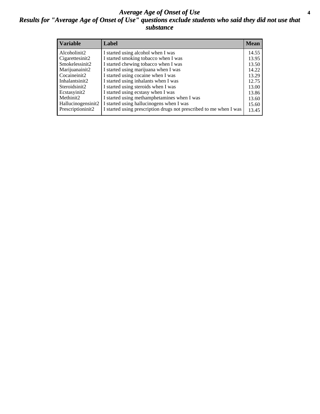#### *Average Age of Onset of Use* **4** *Results for "Average Age of Onset of Use" questions exclude students who said they did not use that substance*

| <b>Variable</b>       | Label                                                              | <b>Mean</b> |
|-----------------------|--------------------------------------------------------------------|-------------|
| Alcoholinit2          | I started using alcohol when I was                                 | 14.55       |
| Cigarettesinit2       | I started smoking tobacco when I was                               | 13.95       |
| Smokelessinit2        | I started chewing tobacco when I was                               | 13.50       |
| Marijuanainit2        | I started using marijuana when I was                               | 14.22       |
| Cocaineinit2          | I started using cocaine when I was                                 | 13.29       |
| Inhalantsinit2        | I started using inhalants when I was                               | 12.75       |
| Steroidsinit2         | I started using steroids when I was                                | 13.00       |
| Ecstasyinit2          | I started using ecstasy when I was                                 | 13.86       |
| Methinit <sub>2</sub> | I started using methamphetamines when I was                        | 13.60       |
| Hallucinogensinit2    | I started using hallucinogens when I was                           | 15.60       |
| Prescriptioninit2     | I started using prescription drugs not prescribed to me when I was | 13.45       |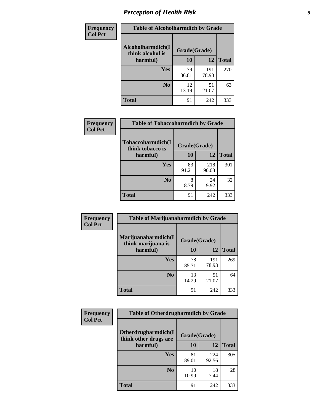# *Perception of Health Risk* **5**

| <b>Frequency</b> | <b>Table of Alcoholharmdich by Grade</b> |              |              |              |  |
|------------------|------------------------------------------|--------------|--------------|--------------|--|
| <b>Col Pct</b>   | Alcoholharmdich(I<br>think alcohol is    | Grade(Grade) |              |              |  |
|                  | harmful)                                 | 10           | 12           | <b>Total</b> |  |
|                  | <b>Yes</b>                               | 79<br>86.81  | 191<br>78.93 | 270          |  |
|                  | N <sub>0</sub>                           | 12<br>13.19  | 51<br>21.07  | 63           |  |
|                  | <b>Total</b>                             | 91           | 242          | 333          |  |

| <b>Frequency</b> | <b>Table of Tobaccoharmdich by Grade</b> |              |              |              |  |
|------------------|------------------------------------------|--------------|--------------|--------------|--|
| <b>Col Pct</b>   | Tobaccoharmdich(I<br>think tobacco is    | Grade(Grade) |              |              |  |
|                  | harmful)                                 | 10           | 12           | <b>Total</b> |  |
|                  | Yes                                      | 83<br>91.21  | 218<br>90.08 | 301          |  |
|                  | N <sub>0</sub>                           | 8<br>8.79    | 24<br>9.92   | 32           |  |
|                  | <b>Total</b>                             | 91           | 242          | 333          |  |

| Frequency      | <b>Table of Marijuanaharmdich by Grade</b> |              |              |              |  |
|----------------|--------------------------------------------|--------------|--------------|--------------|--|
| <b>Col Pct</b> | Marijuanaharmdich(I<br>think marijuana is  | Grade(Grade) |              |              |  |
|                | harmful)                                   | 10           | 12           | <b>Total</b> |  |
|                | Yes                                        | 78<br>85.71  | 191<br>78.93 | 269          |  |
|                | N <sub>0</sub>                             | 13<br>14.29  | 51<br>21.07  | 64           |  |
|                | <b>Total</b>                               | 91           | 242          | 333          |  |

| <b>Frequency</b> | <b>Table of Otherdrugharmdich by Grade</b>   |              |              |              |  |  |  |  |
|------------------|----------------------------------------------|--------------|--------------|--------------|--|--|--|--|
| <b>Col Pct</b>   | Otherdrugharmdich(I<br>think other drugs are | Grade(Grade) |              |              |  |  |  |  |
|                  | harmful)                                     | 10           | 12           | <b>Total</b> |  |  |  |  |
|                  | <b>Yes</b>                                   | 81<br>89.01  | 224<br>92.56 | 305          |  |  |  |  |
|                  | N <sub>0</sub>                               | 10<br>10.99  | 18<br>7.44   | 28           |  |  |  |  |
|                  | <b>Total</b>                                 | 91           | 242          | 333          |  |  |  |  |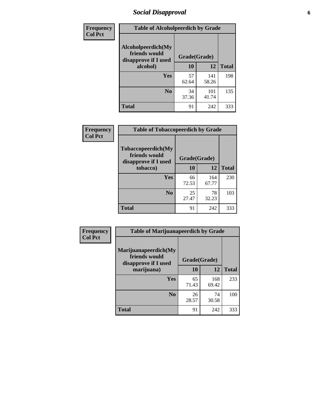# *Social Disapproval* **6**

| <b>Frequency</b> | <b>Table of Alcoholpeerdich by Grade</b>                    |              |              |              |
|------------------|-------------------------------------------------------------|--------------|--------------|--------------|
| <b>Col Pct</b>   | Alcoholpeerdich(My<br>friends would<br>disapprove if I used | Grade(Grade) |              |              |
|                  | alcohol)                                                    | 10           | 12           | <b>Total</b> |
|                  | <b>Yes</b>                                                  | 57<br>62.64  | 141<br>58.26 | 198          |
|                  | N <sub>0</sub>                                              | 34<br>37.36  | 101<br>41.74 | 135          |
|                  | <b>Total</b>                                                | 91           | 242          | 333          |

| <b>Frequency</b> |
|------------------|
| <b>Col Pct</b>   |

| <b>Table of Tobaccopeerdich by Grade</b>                    |              |              |              |  |  |  |  |
|-------------------------------------------------------------|--------------|--------------|--------------|--|--|--|--|
| Tobaccopeerdich(My<br>friends would<br>disapprove if I used | Grade(Grade) |              |              |  |  |  |  |
| tobacco)                                                    | 10           | 12           | <b>Total</b> |  |  |  |  |
| Yes                                                         | 66<br>72.53  | 164<br>67.77 | 230          |  |  |  |  |
| N <sub>0</sub>                                              | 25<br>27.47  | 78<br>32.23  | 103          |  |  |  |  |
| <b>Total</b>                                                | 91           | 242          | 333          |  |  |  |  |

| Frequency      | <b>Table of Marijuanapeerdich by Grade</b>                    |              |              |              |  |  |  |  |
|----------------|---------------------------------------------------------------|--------------|--------------|--------------|--|--|--|--|
| <b>Col Pct</b> | Marijuanapeerdich(My<br>friends would<br>disapprove if I used | Grade(Grade) |              |              |  |  |  |  |
|                | marijuana)                                                    | 10           | 12           | <b>Total</b> |  |  |  |  |
|                | <b>Yes</b>                                                    | 65<br>71.43  | 168<br>69.42 | 233          |  |  |  |  |
|                | N <sub>0</sub>                                                | 26<br>28.57  | 74<br>30.58  | 100          |  |  |  |  |
|                | <b>Total</b>                                                  | 91           | 242          | 333          |  |  |  |  |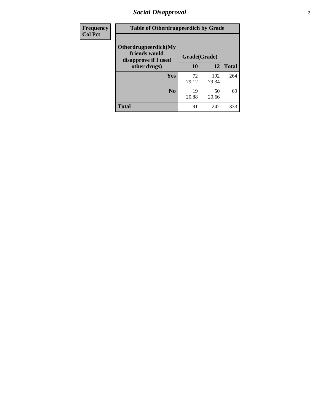# *Social Disapproval* **7**

| Frequency      | <b>Table of Otherdrugpeerdich by Grade</b>                    |              |              |              |  |  |  |  |
|----------------|---------------------------------------------------------------|--------------|--------------|--------------|--|--|--|--|
| <b>Col Pct</b> | Otherdrugpeerdich(My<br>friends would<br>disapprove if I used | Grade(Grade) |              |              |  |  |  |  |
|                | other drugs)                                                  | 10           | 12           | <b>Total</b> |  |  |  |  |
|                | Yes                                                           | 72<br>79.12  | 192<br>79.34 | 264          |  |  |  |  |
|                | N <sub>0</sub>                                                | 19<br>20.88  | 50<br>20.66  | 69           |  |  |  |  |
|                | <b>Total</b>                                                  | 91           | 242          | 333          |  |  |  |  |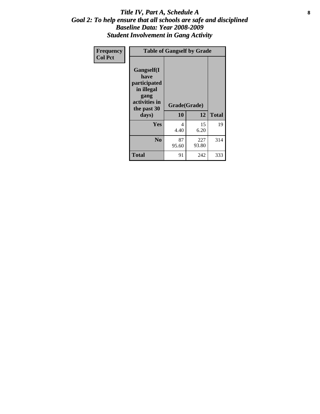#### Title IV, Part A, Schedule A **8** *Goal 2: To help ensure that all schools are safe and disciplined Baseline Data: Year 2008-2009 Student Involvement in Gang Activity*

| Frequency      | <b>Table of Gangself by Grade</b>                                                                 |                    |              |              |
|----------------|---------------------------------------------------------------------------------------------------|--------------------|--------------|--------------|
| <b>Col Pct</b> | Gangself(I<br>have<br>participated<br>in illegal<br>gang<br>activities in<br>the past 30<br>days) | Grade(Grade)<br>10 | 12           | <b>Total</b> |
|                | Yes                                                                                               | 4<br>4.40          | 15<br>6.20   | 19           |
|                | N <sub>0</sub>                                                                                    | 87<br>95.60        | 227<br>93.80 | 314          |
|                | <b>Total</b>                                                                                      | 91                 | 242          | 333          |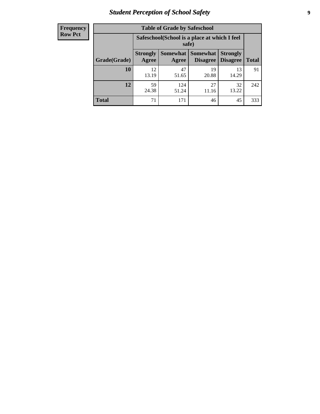# *Student Perception of School Safety* **9**

| <b>Frequency</b><br>Row Pct |
|-----------------------------|
|                             |

| <b>Table of Grade by Safeschool</b> |                                                                                                                          |              |             |             |     |  |  |
|-------------------------------------|--------------------------------------------------------------------------------------------------------------------------|--------------|-------------|-------------|-----|--|--|
|                                     | Safeschool (School is a place at which I feel<br>safe)                                                                   |              |             |             |     |  |  |
| Grade(Grade)                        | Somewhat Somewhat<br><b>Strongly</b><br><b>Strongly</b><br><b>Disagree</b><br>Agree<br>Disagree<br><b>Total</b><br>Agree |              |             |             |     |  |  |
| 10                                  | 12.<br>13.19                                                                                                             | 47<br>51.65  | 19<br>20.88 | 13<br>14.29 | 91  |  |  |
| 12                                  | 59<br>24.38                                                                                                              | 124<br>51.24 | 27<br>11.16 | 32<br>13.22 | 242 |  |  |
| <b>Total</b>                        | 71                                                                                                                       | 171          | 46          | 45          | 333 |  |  |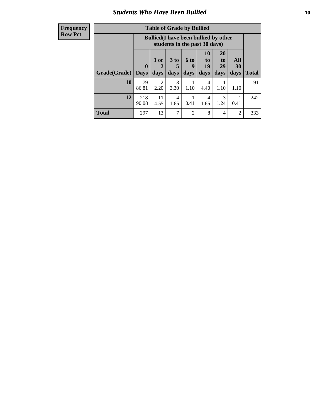### *Students Who Have Been Bullied* **10**

| <b>Frequency</b> |
|------------------|
| Row Pct          |

| <b>Table of Grade by Bullied</b> |                            |                                                                               |                              |                          |                        |                        |                          |              |
|----------------------------------|----------------------------|-------------------------------------------------------------------------------|------------------------------|--------------------------|------------------------|------------------------|--------------------------|--------------|
|                                  |                            | <b>Bullied</b> (I have been bullied by other<br>students in the past 30 days) |                              |                          |                        |                        |                          |              |
| Grade(Grade)                     | $\mathbf 0$<br><b>Days</b> | 1 or<br>2<br>days                                                             | 3 <sub>to</sub><br>5<br>days | <b>6 to</b><br>9<br>days | 10<br>to<br>19<br>days | 20<br>to<br>29<br>days | All<br><b>30</b><br>days | <b>Total</b> |
| 10                               | 79<br>86.81                | $\overline{2}$<br>2.20                                                        | 3<br>3.30                    | 1.10                     | 4<br>4.40              | 1.10                   | 1.10                     | 91           |
| 12                               | 218<br>90.08               | 11<br>4.55                                                                    | 4<br>1.65                    | 0.41                     | 4<br>1.65              | 3<br>1.24              | 0.41                     | 242          |
| <b>Total</b>                     | 297                        | 13                                                                            | 7                            | 2                        | 8                      | 4                      | 2                        | 333          |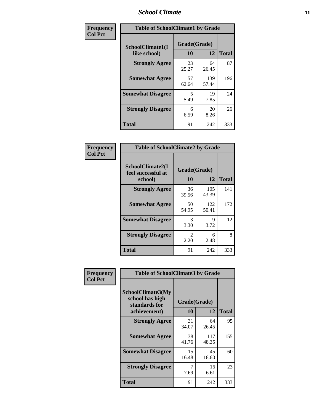### *School Climate* **11**

| Frequency      | <b>Table of SchoolClimate1 by Grade</b> |                    |              |              |  |  |  |
|----------------|-----------------------------------------|--------------------|--------------|--------------|--|--|--|
| <b>Col Pct</b> | SchoolClimate1(I<br>like school)        | Grade(Grade)<br>10 | 12           | <b>Total</b> |  |  |  |
|                | <b>Strongly Agree</b>                   | 23<br>25.27        | 64<br>26.45  | 87           |  |  |  |
|                | <b>Somewhat Agree</b>                   | 57<br>62.64        | 139<br>57.44 | 196          |  |  |  |
|                | <b>Somewhat Disagree</b>                | 5<br>5.49          | 19<br>7.85   | 24           |  |  |  |
|                | <b>Strongly Disagree</b>                | 6<br>6.59          | 20<br>8.26   | 26           |  |  |  |
|                | <b>Total</b>                            | 91                 | 242          | 333          |  |  |  |

| Frequency<br><b>Col Pct</b> | <b>Table of SchoolClimate2 by Grade</b> |              |              |                     |
|-----------------------------|-----------------------------------------|--------------|--------------|---------------------|
|                             | SchoolClimate2(I<br>feel successful at  | Grade(Grade) |              |                     |
|                             | school)<br><b>Strongly Agree</b>        | 10<br>36     | 12<br>105    | <b>Total</b><br>141 |
|                             |                                         | 39.56        | 43.39        |                     |
|                             | <b>Somewhat Agree</b>                   | 50<br>54.95  | 122<br>50.41 | 172                 |
|                             | <b>Somewhat Disagree</b>                | 3<br>3.30    | 9<br>3.72    | 12                  |
|                             | <b>Strongly Disagree</b>                | 2<br>2.20    | 6<br>2.48    | 8                   |
|                             | <b>Total</b>                            | 91           | 242          | 333                 |

| Frequency<br><b>Col Pct</b> | <b>Table of SchoolClimate3 by Grade</b>                                      |                    |              |              |
|-----------------------------|------------------------------------------------------------------------------|--------------------|--------------|--------------|
|                             | <b>SchoolClimate3(My</b><br>school has high<br>standards for<br>achievement) | Grade(Grade)<br>10 | 12           | <b>Total</b> |
|                             | <b>Strongly Agree</b>                                                        | 31<br>34.07        | 64<br>26.45  | 95           |
|                             | <b>Somewhat Agree</b>                                                        | 38<br>41.76        | 117<br>48.35 | 155          |
|                             | <b>Somewhat Disagree</b>                                                     | 15<br>16.48        | 45<br>18.60  | 60           |
|                             | <b>Strongly Disagree</b>                                                     | 7<br>7.69          | 16<br>6.61   | 23           |
|                             | Total                                                                        | 91                 | 242          | 333          |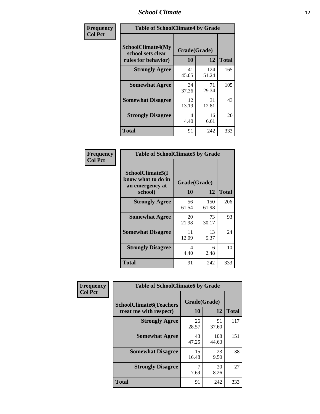### *School Climate* **12**

| Frequency      | <b>Table of SchoolClimate4 by Grade</b>                       |                    |              |              |
|----------------|---------------------------------------------------------------|--------------------|--------------|--------------|
| <b>Col Pct</b> | SchoolClimate4(My<br>school sets clear<br>rules for behavior) | Grade(Grade)<br>10 | 12           | <b>Total</b> |
|                | <b>Strongly Agree</b>                                         | 41<br>45.05        | 124<br>51.24 | 165          |
|                | <b>Somewhat Agree</b>                                         | 34<br>37.36        | 71<br>29.34  | 105          |
|                | <b>Somewhat Disagree</b>                                      | 12<br>13.19        | 31<br>12.81  | 43           |
|                | <b>Strongly Disagree</b>                                      | 4<br>4.40          | 16<br>6.61   | 20           |
|                | <b>Total</b>                                                  | 91                 | 242          | 333          |

| <b>Table of SchoolClimate5 by Grade</b>                              |                    |              |              |  |  |
|----------------------------------------------------------------------|--------------------|--------------|--------------|--|--|
| SchoolClimate5(I<br>know what to do in<br>an emergency at<br>school) | Grade(Grade)<br>10 | 12           | <b>Total</b> |  |  |
|                                                                      |                    |              |              |  |  |
| <b>Strongly Agree</b>                                                | 56<br>61.54        | 150<br>61.98 | 206          |  |  |
| <b>Somewhat Agree</b>                                                | 20<br>21.98        | 73<br>30.17  | 93           |  |  |
| <b>Somewhat Disagree</b>                                             | 11<br>12.09        | 13<br>5.37   | 24           |  |  |
| <b>Strongly Disagree</b>                                             | 4<br>4.40          | 6<br>2.48    | 10           |  |  |
| <b>Total</b>                                                         | 91                 | 242          | 333          |  |  |

| Frequency      | <b>Table of SchoolClimate6 by Grade</b>                  |                    |              |              |  |
|----------------|----------------------------------------------------------|--------------------|--------------|--------------|--|
| <b>Col Pct</b> | <b>SchoolClimate6(Teachers</b><br>treat me with respect) | Grade(Grade)<br>10 | 12           | <b>Total</b> |  |
|                | <b>Strongly Agree</b>                                    | 26<br>28.57        | 91<br>37.60  | 117          |  |
|                | <b>Somewhat Agree</b>                                    | 43<br>47.25        | 108<br>44.63 | 151          |  |
|                | <b>Somewhat Disagree</b>                                 | 15<br>16.48        | 23<br>9.50   | 38           |  |
|                | <b>Strongly Disagree</b>                                 | 7<br>7.69          | 20<br>8.26   | 27           |  |
|                | <b>Total</b>                                             | 91                 | 242          | 333          |  |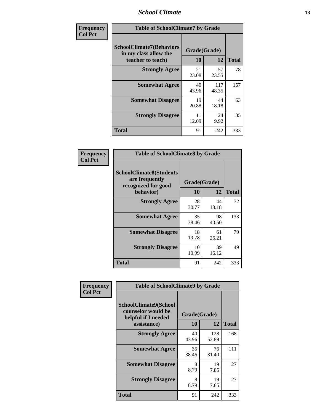### *School Climate* **13**

| Frequency      | <b>Table of SchoolClimate7 by Grade</b>                                       |                           |              |              |
|----------------|-------------------------------------------------------------------------------|---------------------------|--------------|--------------|
| <b>Col Pct</b> | <b>SchoolClimate7(Behaviors</b><br>in my class allow the<br>teacher to teach) | Grade(Grade)<br><b>10</b> | 12           | <b>Total</b> |
|                | <b>Strongly Agree</b>                                                         | 21<br>23.08               | 57<br>23.55  | 78           |
|                | <b>Somewhat Agree</b>                                                         | 40<br>43.96               | 117<br>48.35 | 157          |
|                | <b>Somewhat Disagree</b>                                                      | 19<br>20.88               | 44<br>18.18  | 63           |
|                | <b>Strongly Disagree</b>                                                      | 11<br>12.09               | 24<br>9.92   | 35           |
|                | <b>Total</b>                                                                  | 91                        | 242          | 333          |

| Frequency      | <b>Table of SchoolClimate8 by Grade</b>                                 |              |             |              |
|----------------|-------------------------------------------------------------------------|--------------|-------------|--------------|
| <b>Col Pct</b> | <b>SchoolClimate8(Students</b><br>are frequently<br>recognized for good | Grade(Grade) |             |              |
|                | behavior)                                                               | 10           | 12          | <b>Total</b> |
|                | <b>Strongly Agree</b>                                                   | 28<br>30.77  | 44<br>18.18 | 72           |
|                | <b>Somewhat Agree</b>                                                   | 35<br>38.46  | 98<br>40.50 | 133          |
|                | <b>Somewhat Disagree</b>                                                | 18<br>19.78  | 61<br>25.21 | 79           |
|                | <b>Strongly Disagree</b>                                                | 10<br>10.99  | 39<br>16.12 | 49           |
|                | <b>Total</b>                                                            | 91           | 242         | 333          |

| <b>Frequency</b> | <b>Table of SchoolClimate9 by Grade</b>                                                  |                    |              |              |
|------------------|------------------------------------------------------------------------------------------|--------------------|--------------|--------------|
| <b>Col Pct</b>   | <b>SchoolClimate9(School</b><br>counselor would be<br>helpful if I needed<br>assistance) | Grade(Grade)<br>10 | 12           | <b>Total</b> |
|                  | <b>Strongly Agree</b>                                                                    | 40<br>43.96        | 128<br>52.89 | 168          |
|                  | <b>Somewhat Agree</b>                                                                    | 35<br>38.46        | 76<br>31.40  | 111          |
|                  | <b>Somewhat Disagree</b>                                                                 | 8<br>8.79          | 19<br>7.85   | 27           |
|                  | <b>Strongly Disagree</b>                                                                 | 8<br>8.79          | 19<br>7.85   | 27           |
|                  | <b>Total</b>                                                                             | 91                 | 242          | 333          |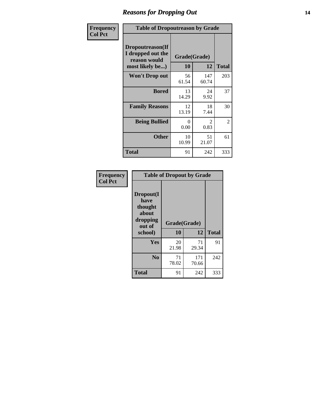### *Reasons for Dropping Out* **14**

| Frequency      | <b>Table of Dropoutreason by Grade</b>                                   |                    |                        |              |
|----------------|--------------------------------------------------------------------------|--------------------|------------------------|--------------|
| <b>Col Pct</b> | Dropoutreason(If<br>I dropped out the<br>reason would<br>most likely be) | Grade(Grade)<br>10 | 12                     | <b>Total</b> |
|                | Won't Drop out                                                           | 56<br>61.54        | 147<br>60.74           | 203          |
|                | <b>Bored</b>                                                             | 13<br>14.29        | 24<br>9.92             | 37           |
|                | <b>Family Reasons</b>                                                    | 12<br>13.19        | 18<br>7.44             | 30           |
|                | <b>Being Bullied</b>                                                     | 0<br>0.00          | $\mathfrak{D}$<br>0.83 | 2            |
|                | <b>Other</b>                                                             | 10<br>10.99        | 51<br>21.07            | 61           |
|                | Total                                                                    | 91                 | 242                    | 333          |

| Frequency      | <b>Table of Dropout by Grade</b>                                       |                    |              |              |  |
|----------------|------------------------------------------------------------------------|--------------------|--------------|--------------|--|
| <b>Col Pct</b> | Dropout(I<br>have<br>thought<br>about<br>dropping<br>out of<br>school) | Grade(Grade)<br>10 | 12           | <b>Total</b> |  |
|                |                                                                        |                    |              |              |  |
|                | Yes                                                                    | 20<br>21.98        | 71<br>29.34  | 91           |  |
|                | N <sub>0</sub>                                                         | 71<br>78.02        | 171<br>70.66 | 242          |  |
|                | <b>Total</b>                                                           | 91                 | 242          | 333          |  |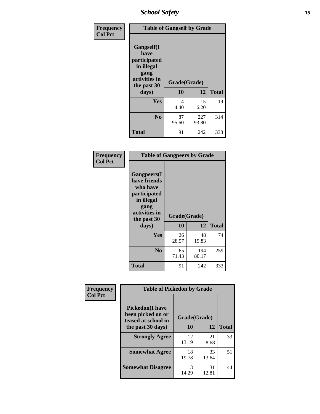*School Safety* **15**

| Frequency      | <b>Table of Gangself by Grade</b>                                                                 |                    |              |              |
|----------------|---------------------------------------------------------------------------------------------------|--------------------|--------------|--------------|
| <b>Col Pct</b> | Gangself(I<br>have<br>participated<br>in illegal<br>gang<br>activities in<br>the past 30<br>days) | Grade(Grade)<br>10 | 12           | <b>Total</b> |
|                | Yes                                                                                               | 4<br>4.40          | 15<br>6.20   | 19           |
|                | N <sub>0</sub>                                                                                    | 87<br>95.60        | 227<br>93.80 | 314          |
|                | <b>Total</b>                                                                                      | 91                 | 242          | 333          |

| Frequency<br><b>Col Pct</b> | <b>Table of Gangpeers by Grade</b>                                                                                             |                    |              |              |  |
|-----------------------------|--------------------------------------------------------------------------------------------------------------------------------|--------------------|--------------|--------------|--|
|                             | <b>Gangpeers</b> (I<br>have friends<br>who have<br>participated<br>in illegal<br>gang<br>activities in<br>the past 30<br>days) | Grade(Grade)<br>10 | 12           | <b>Total</b> |  |
|                             | <b>Yes</b>                                                                                                                     | 26<br>28.57        | 48<br>19.83  | 74           |  |
|                             | N <sub>0</sub>                                                                                                                 | 65<br>71.43        | 194<br>80.17 | 259          |  |
|                             | <b>Total</b>                                                                                                                   | 91                 | 242          | 333          |  |

| Frequency      |                                                                     | <b>Table of Pickedon by Grade</b> |             |              |  |  |  |  |  |
|----------------|---------------------------------------------------------------------|-----------------------------------|-------------|--------------|--|--|--|--|--|
| <b>Col Pct</b> | <b>Pickedon</b> (I have<br>been picked on or<br>teased at school in | Grade(Grade)                      |             |              |  |  |  |  |  |
|                | the past 30 days)                                                   | 10                                | 12          | <b>Total</b> |  |  |  |  |  |
|                | <b>Strongly Agree</b>                                               | 12<br>13.19                       | 21<br>8.68  | 33           |  |  |  |  |  |
|                | <b>Somewhat Agree</b>                                               | 18<br>19.78                       | 33<br>13.64 | 51           |  |  |  |  |  |
|                | <b>Somewhat Disagree</b>                                            | 13<br>14.29                       | 31<br>12.81 | 44           |  |  |  |  |  |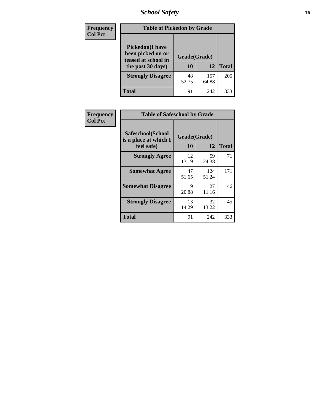# *School Safety* **16**

| Frequency      |                                                                                          | <b>Table of Pickedon by Grade</b> |              |              |  |  |  |  |  |  |  |  |
|----------------|------------------------------------------------------------------------------------------|-----------------------------------|--------------|--------------|--|--|--|--|--|--|--|--|
| <b>Col Pct</b> | <b>Pickedon</b> (I have<br>been picked on or<br>teased at school in<br>the past 30 days) | Grade(Grade)<br>10                | 12           | <b>Total</b> |  |  |  |  |  |  |  |  |
|                | <b>Strongly Disagree</b>                                                                 | 48<br>52.75                       | 157<br>64.88 | 205          |  |  |  |  |  |  |  |  |
|                | Total                                                                                    | 91                                | 242          | 333          |  |  |  |  |  |  |  |  |

| Frequency      | <b>Table of Safeschool by Grade</b>                      |                    |              |              |
|----------------|----------------------------------------------------------|--------------------|--------------|--------------|
| <b>Col Pct</b> | Safeschool(School<br>is a place at which I<br>feel safe) | Grade(Grade)<br>10 | 12           | <b>Total</b> |
|                | <b>Strongly Agree</b>                                    | 12<br>13.19        | 59<br>24.38  | 71           |
|                | <b>Somewhat Agree</b>                                    | 47<br>51.65        | 124<br>51.24 | 171          |
|                | <b>Somewhat Disagree</b>                                 | 19<br>20.88        | 27<br>11.16  | 46           |
|                | <b>Strongly Disagree</b>                                 | 13<br>14.29        | 32<br>13.22  | 45           |
|                | <b>Total</b>                                             | 91                 | 242          | 333          |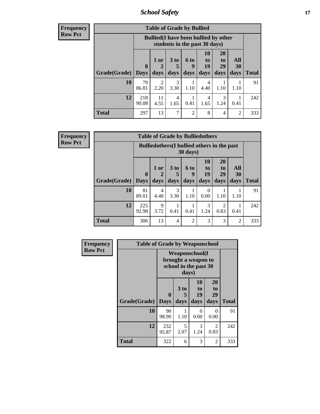*School Safety* **17**

**Frequency Row Pct**

| <b>Table of Grade by Bullied</b> |              |                                                                               |                              |                   |                        |                               |                          |              |  |  |  |
|----------------------------------|--------------|-------------------------------------------------------------------------------|------------------------------|-------------------|------------------------|-------------------------------|--------------------------|--------------|--|--|--|
|                                  |              | <b>Bullied</b> (I have been bullied by other<br>students in the past 30 days) |                              |                   |                        |                               |                          |              |  |  |  |
| Grade(Grade)                     | 0<br>  Days  | 1 or<br>2<br>days                                                             | 3 <sub>to</sub><br>5<br>days | 6 to<br>q<br>days | 10<br>to<br>19<br>days | <b>20</b><br>to<br>29<br>days | All<br><b>30</b><br>days | <b>Total</b> |  |  |  |
| 10                               | 79<br>86.81  | 2<br>2.20                                                                     | 3<br>3.30                    | 1.10              | 4<br>4.40              | 1.10                          | 1.10                     | 91           |  |  |  |
| 12                               | 218<br>90.08 | 11<br>4.55                                                                    | 4<br>1.65                    | 0.41              | 4<br>1.65              | 3<br>1.24                     | 0.41                     | 242          |  |  |  |
| <b>Total</b>                     | 297          | 13                                                                            | 7                            | $\overline{c}$    | 8                      | 4                             | $\overline{2}$           | 333          |  |  |  |

**Frequency Row Pct**

| <b>Table of Grade by Bulliedothers</b>                                                                                                                                                    |                                                                         |                        |                |                |                  |           |                |     |  |  |  |  |
|-------------------------------------------------------------------------------------------------------------------------------------------------------------------------------------------|-------------------------------------------------------------------------|------------------------|----------------|----------------|------------------|-----------|----------------|-----|--|--|--|--|
|                                                                                                                                                                                           | <b>Bulliedothers</b> (I bullied others in the past<br>$30 \text{ days}$ |                        |                |                |                  |           |                |     |  |  |  |  |
| 10<br>20<br>All<br>1 or<br>3 <sub>to</sub><br>6 to<br>to<br>to<br>29<br>19<br>30<br>$\mathbf{0}$<br>5<br>q<br>Grade(Grade)<br>days<br>days<br>days<br><b>Days</b><br>days<br>days<br>days |                                                                         |                        |                |                |                  |           | <b>Total</b>   |     |  |  |  |  |
| 10                                                                                                                                                                                        | 81<br>89.01                                                             | $\overline{4}$<br>4.40 | 3<br>3.30      | 1.10           | $\Omega$<br>0.00 | 1.10      | 1.10           | 91  |  |  |  |  |
| 12                                                                                                                                                                                        | 225<br>92.98                                                            | 9<br>3.72              | 0.41           | 0.41           | 3<br>1.24        | 2<br>0.83 | 0.41           | 242 |  |  |  |  |
| <b>Total</b>                                                                                                                                                                              | 306                                                                     | 13                     | $\overline{4}$ | $\overline{c}$ | 3                | 3         | $\overline{c}$ | 333 |  |  |  |  |

| Frequency      | <b>Table of Grade by Weaponschool</b> |                                                                        |                   |                               |                        |              |  |  |  |
|----------------|---------------------------------------|------------------------------------------------------------------------|-------------------|-------------------------------|------------------------|--------------|--|--|--|
| <b>Row Pct</b> |                                       | <b>Weaponschool</b> (I<br>brought a weapon to<br>school in the past 30 |                   |                               |                        |              |  |  |  |
|                | Grade(Grade)                          | $\bf{0}$<br><b>Days</b>                                                | 3 to<br>5<br>days | <b>10</b><br>to<br>19<br>days | 20<br>to<br>29<br>days | <b>Total</b> |  |  |  |
|                | 10                                    | 90<br>98.90                                                            | 1.10              | 0<br>0.00                     | $\Omega$<br>0.00       | 91           |  |  |  |
|                | 12                                    | 232<br>95.87                                                           | 5<br>2.07         | 3<br>1.24                     | 2<br>0.83              | 242          |  |  |  |
|                | <b>Total</b>                          | 322                                                                    | 6                 | 3                             | $\overline{2}$         | 333          |  |  |  |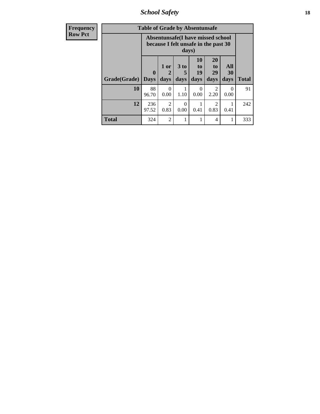*School Safety* **18**

| <b>Frequency</b> |                     | <b>Table of Grade by Absentunsafe</b> |                                     |                              |                        |                                                                           |                   |              |
|------------------|---------------------|---------------------------------------|-------------------------------------|------------------------------|------------------------|---------------------------------------------------------------------------|-------------------|--------------|
| <b>Row Pct</b>   |                     |                                       |                                     | days)                        |                        | Absentunsafe(I have missed school<br>because I felt unsafe in the past 30 |                   |              |
|                  | Grade(Grade)   Days | $\mathbf 0$                           | 1 or<br>$\mathbf 2$<br>days         | 3 <sub>to</sub><br>5<br>days | 10<br>to<br>19<br>days | 20<br>t <sub>0</sub><br>29<br>days                                        | All<br>30<br>days | <b>Total</b> |
|                  | 10                  | 88<br>96.70                           | 0.00                                | 1.10                         | 0<br>0.00              | 2.20                                                                      | $\Omega$<br>0.00  | 91           |
|                  | 12                  | 236<br>97.52                          | $\mathcal{D}_{\mathcal{A}}$<br>0.83 | ∩<br>0.00                    | 0.41                   | $\mathcal{D}_{\mathcal{L}}$<br>0.83                                       | 0.41              | 242          |
|                  | <b>Total</b>        | 324                                   | $\overline{c}$                      |                              |                        | 4                                                                         | 1                 | 333          |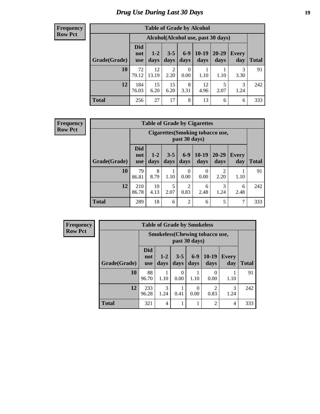# *Drug Use During Last 30 Days* **19**

#### **Frequency Row Pct**

| <b>Table of Grade by Alcohol</b>                                                                                                                                         |              |                                    |                        |                          |            |           |           |     |  |  |  |
|--------------------------------------------------------------------------------------------------------------------------------------------------------------------------|--------------|------------------------------------|------------------------|--------------------------|------------|-----------|-----------|-----|--|--|--|
|                                                                                                                                                                          |              | Alcohol(Alcohol use, past 30 days) |                        |                          |            |           |           |     |  |  |  |
| <b>Did</b><br>$6-9$<br>$10-19$<br>20-29<br>$3 - 5$<br>$1-2$<br>Every<br>not<br>Grade(Grade)<br>days<br>days<br>days<br><b>Total</b><br>days<br>day<br>days<br><b>use</b> |              |                                    |                        |                          |            |           |           |     |  |  |  |
| 10                                                                                                                                                                       | 72<br>79.12  | 12<br>13.19                        | $\overline{2}$<br>2.20 | $\boldsymbol{0}$<br>0.00 | 1.10       | 1.10      | 3<br>3.30 | 91  |  |  |  |
| 12                                                                                                                                                                       | 184<br>76.03 | 15<br>6.20                         | 15<br>6.20             | 8<br>3.31                | 12<br>4.96 | 5<br>2.07 | 3<br>1.24 | 242 |  |  |  |
| <b>Total</b>                                                                                                                                                             | 256          | 27                                 | 17                     | 8                        | 13         | 6         | 6         | 333 |  |  |  |

#### **Frequency Row Pct**

| <b>Table of Grade by Cigarettes</b> |                          |                                                                                                                           |      |                  |           |                        |      |     |  |  |  |
|-------------------------------------|--------------------------|---------------------------------------------------------------------------------------------------------------------------|------|------------------|-----------|------------------------|------|-----|--|--|--|
|                                     |                          | Cigarettes (Smoking tobacco use,<br>past 30 days)                                                                         |      |                  |           |                        |      |     |  |  |  |
| Grade(Grade)                        | Did<br>not<br><b>use</b> | $6 - 9$<br>$10-19$<br>$3 - 5$<br>20-29<br>$1 - 2$<br>Every<br><b>Total</b><br>days<br>days<br>days<br>days<br>day<br>days |      |                  |           |                        |      |     |  |  |  |
| 10                                  | 79<br>86.81              | 8<br>8.79                                                                                                                 | 1.10 | $\theta$<br>0.00 | 0<br>0.00 | $\mathfrak{D}$<br>2.20 | 1.10 | 91  |  |  |  |
| 12                                  | 210<br>86.78             | 5<br>$\overline{2}$<br>10<br>3<br>6<br>6<br>2.07<br>0.83<br>2.48<br>1.24<br>4.13<br>2.48                                  |      |                  |           |                        |      |     |  |  |  |
| <b>Total</b>                        | 289                      | 18                                                                                                                        | 6    | $\overline{2}$   | 6         | 5                      | 7    | 333 |  |  |  |

**Frequency Row Pct**

| <b>Table of Grade by Smokeless</b> |                                 |                                                                                                               |                  |           |                |                |     |  |  |  |  |
|------------------------------------|---------------------------------|---------------------------------------------------------------------------------------------------------------|------------------|-----------|----------------|----------------|-----|--|--|--|--|
|                                    |                                 | <b>Smokeless</b> (Chewing tobacco use,<br>past 30 days)                                                       |                  |           |                |                |     |  |  |  |  |
| Grade(Grade)                       | <b>Did</b><br>not<br><b>use</b> | $6 - 9$<br>$10-19$<br>$3 - 5$<br>$1-2$<br><b>Every</b><br>days<br><b>Total</b><br>days<br>days<br>day<br>days |                  |           |                |                |     |  |  |  |  |
| 10                                 | 88<br>96.70                     | 1.10                                                                                                          | $\Omega$<br>0.00 | 1.10      | 0.00           | 1.10           | 91  |  |  |  |  |
| 12                                 | 233<br>96.28                    | $\mathcal{R}$<br>1.24                                                                                         | 0.41             | 0<br>0.00 | 2<br>0.83      | 3<br>1.24      | 242 |  |  |  |  |
| <b>Total</b>                       | 321                             | 4                                                                                                             | 1                |           | $\overline{2}$ | $\overline{4}$ | 333 |  |  |  |  |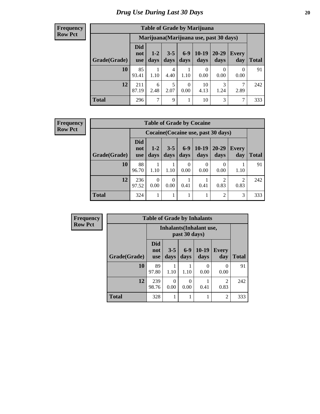#### **Frequency Row Pct**

| <b>Table of Grade by Marijuana</b>                                                                                                                                       |                                         |           |           |                  |                  |           |                  |     |  |  |  |
|--------------------------------------------------------------------------------------------------------------------------------------------------------------------------|-----------------------------------------|-----------|-----------|------------------|------------------|-----------|------------------|-----|--|--|--|
|                                                                                                                                                                          | Marijuana (Marijuana use, past 30 days) |           |           |                  |                  |           |                  |     |  |  |  |
| <b>Did</b><br>$6-9$<br>$10-19$<br>20-29<br>$3 - 5$<br>$1-2$<br>Every<br>not<br>Grade(Grade)<br>days<br>days<br>days<br>days<br><b>Total</b><br>day<br>days<br><b>use</b> |                                         |           |           |                  |                  |           |                  |     |  |  |  |
| 10                                                                                                                                                                       | 85<br>93.41                             | 1.10      | 4<br>4.40 | 1.10             | $\theta$<br>0.00 | 0<br>0.00 | $\Omega$<br>0.00 | 91  |  |  |  |
| 12                                                                                                                                                                       | 211<br>87.19                            | 6<br>2.48 | 5<br>2.07 | $\theta$<br>0.00 | 10<br>4.13       | 3<br>1.24 | 7<br>2.89        | 242 |  |  |  |
| <b>Total</b>                                                                                                                                                             | 296                                     | 7         | 9         | 1<br>ı           | 10               | 3         | 7                | 333 |  |  |  |

#### **Frequency Row Pct**

| <b>Table of Grade by Cocaine</b> |                                 |                                                                                                                       |           |                  |           |                          |           |     |  |  |  |
|----------------------------------|---------------------------------|-----------------------------------------------------------------------------------------------------------------------|-----------|------------------|-----------|--------------------------|-----------|-----|--|--|--|
|                                  |                                 | Cocaine (Cocaine use, past 30 days)                                                                                   |           |                  |           |                          |           |     |  |  |  |
| Grade(Grade)                     | <b>Did</b><br>not<br><b>use</b> | $6-9$<br>$10-19$<br>$3 - 5$<br>20-29<br>$1-2$<br><b>Every</b><br>days<br>days<br>days<br>day<br>days<br>Total<br>days |           |                  |           |                          |           |     |  |  |  |
| 10                               | 88<br>96.70                     | 1.10                                                                                                                  | 1.10      | $\Omega$<br>0.00 | 0<br>0.00 | $\left( \right)$<br>0.00 | 1.10      | 91  |  |  |  |
| 12                               | 236<br>97.52                    | 0<br>0.00                                                                                                             | 0<br>0.00 | 0.41             | 0.41      | っ<br>0.83                | 2<br>0.83 | 242 |  |  |  |
| <b>Total</b>                     | 324                             |                                                                                                                       | 1         |                  | 1         | 2                        | 3         | 333 |  |  |  |

| Frequency      |              | <b>Table of Grade by Inhalants</b> |                 |               |                                 |                        |              |  |
|----------------|--------------|------------------------------------|-----------------|---------------|---------------------------------|------------------------|--------------|--|
| <b>Row Pct</b> |              |                                    |                 | past 30 days) | <b>Inhalants</b> (Inhalant use, |                        |              |  |
|                | Grade(Grade) | <b>Did</b><br>not<br><b>use</b>    | $3 - 5$<br>days | $6-9$<br>days | $10-19$<br>days                 | <b>Every</b><br>day    | <b>Total</b> |  |
|                | 10           | 89<br>97.80                        | 1.10            | 1.10          | 0<br>0.00                       | 0.00                   | 91           |  |
|                | 12           | 239<br>98.76                       | 0<br>0.00       | 0<br>0.00     | 0.41                            | $\mathfrak{D}$<br>0.83 | 242          |  |
|                | <b>Total</b> | 328                                |                 |               |                                 | $\overline{c}$         | 333          |  |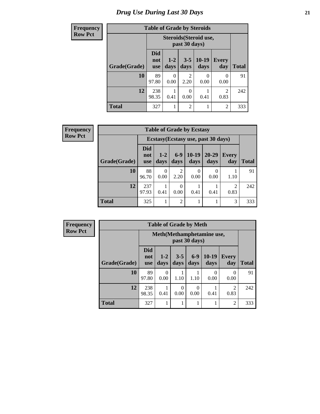# *Drug Use During Last 30 Days* **21**

| <b>Frequency</b> | <b>Table of Grade by Steroids</b> |                                 |                 |                        |                        |                        |              |  |
|------------------|-----------------------------------|---------------------------------|-----------------|------------------------|------------------------|------------------------|--------------|--|
| <b>Row Pct</b>   |                                   |                                 |                 | past 30 days)          | Steroids (Steroid use, |                        |              |  |
|                  | Grade(Grade)                      | <b>Did</b><br>not<br><b>use</b> | $1 - 2$<br>days | $3 - 5$<br>days        | $10-19$<br>days        | Every<br>day           | <b>Total</b> |  |
|                  | 10                                | 89<br>97.80                     | 0<br>0.00       | $\overline{2}$<br>2.20 | 0.00                   | 0<br>0.00              | 91           |  |
|                  | 12                                | 238<br>98.35                    | 0.41            | 0<br>0.00              | 0.41                   | $\overline{2}$<br>0.83 | 242          |  |
|                  | <b>Total</b>                      | 327                             | 1               | 2                      |                        | $\overline{2}$         | 333          |  |

| Frequency      |              |                                 |               |                        | <b>Table of Grade by Ecstasy</b> |                                     |                        |              |
|----------------|--------------|---------------------------------|---------------|------------------------|----------------------------------|-------------------------------------|------------------------|--------------|
| <b>Row Pct</b> |              |                                 |               |                        |                                  | Ecstasy (Ecstasy use, past 30 days) |                        |              |
|                | Grade(Grade) | <b>Did</b><br>not<br><b>use</b> | $1-2$<br>days | $6-9$<br>days          | $10-19$<br>days                  | $20 - 29$<br>days                   | <b>Every</b><br>day    | <b>Total</b> |
|                | 10           | 88<br>96.70                     | 0<br>0.00     | $\mathfrak{D}$<br>2.20 | $\Omega$<br>0.00                 | $\Omega$<br>0.00                    | 1.10                   | 91           |
|                | 12           | 237<br>97.93                    | 0.41          | $\Omega$<br>0.00       | 0.41                             | 0.41                                | $\overline{c}$<br>0.83 | 242          |
|                | <b>Total</b> | 325                             |               | $\overline{2}$         |                                  |                                     | 3                      | 333          |

| <b>Frequency</b> |
|------------------|
| <b>Row Pct</b>   |

F

| <b>Table of Grade by Meth</b> |                                 |                                             |                 |                 |                 |                        |              |  |  |
|-------------------------------|---------------------------------|---------------------------------------------|-----------------|-----------------|-----------------|------------------------|--------------|--|--|
|                               |                                 | Meth (Methamphetamine use,<br>past 30 days) |                 |                 |                 |                        |              |  |  |
| Grade(Grade)                  | <b>Did</b><br>not<br><b>use</b> | $1 - 2$<br>days                             | $3 - 5$<br>days | $6 - 9$<br>days | $10-19$<br>days | <b>Every</b><br>day    | <b>Total</b> |  |  |
| 10                            | 89<br>97.80                     | $\theta$<br>0.00                            | 1.10            | 1.10            | 0.00            | 0<br>0.00              | 91           |  |  |
| 12                            | 238<br>98.35                    | 0.41                                        | 0.00            | 0<br>0.00       | 0.41            | $\overline{2}$<br>0.83 | 242          |  |  |
| <b>Total</b>                  | 327                             |                                             |                 |                 |                 | $\overline{c}$         | 333          |  |  |

┓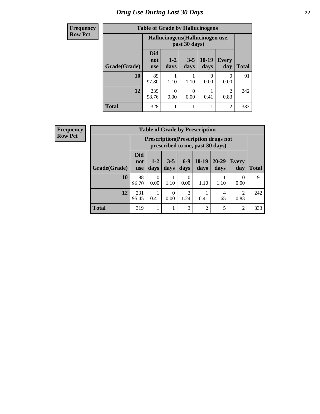# *Drug Use During Last 30 Days* **22**

| <b>Frequency</b> |              | <b>Table of Grade by Hallucinogens</b> |                                  |                  |                 |                |              |
|------------------|--------------|----------------------------------------|----------------------------------|------------------|-----------------|----------------|--------------|
| <b>Row Pct</b>   |              |                                        | Hallucinogens (Hallucinogen use, | past 30 days)    |                 |                |              |
|                  | Grade(Grade) | <b>Did</b><br>not<br><b>use</b>        | $1 - 2$<br>days                  | $3 - 5$<br>days  | $10-19$<br>days | Every<br>day   | <b>Total</b> |
|                  | 10           | 89<br>97.80                            | 1.10                             | 1.10             | 0<br>0.00       | 0<br>0.00      | 91           |
|                  | 12           | 239<br>98.76                           | 0<br>0.00                        | $\Omega$<br>0.00 | 0.41            | 2<br>0.83      | 242          |
|                  | <b>Total</b> | 328                                    |                                  |                  | 1               | $\overline{2}$ | 333          |

| Frequency<br><b>Row Pct</b> |  |
|-----------------------------|--|
|                             |  |

| <b>Table of Grade by Prescription</b> |                                                                                                                                                       |                                                                                |           |                  |                |           |                        |     |
|---------------------------------------|-------------------------------------------------------------------------------------------------------------------------------------------------------|--------------------------------------------------------------------------------|-----------|------------------|----------------|-----------|------------------------|-----|
|                                       |                                                                                                                                                       | <b>Prescription</b> (Prescription drugs not<br>prescribed to me, past 30 days) |           |                  |                |           |                        |     |
| Grade(Grade)                          | <b>Did</b><br>$10-19$<br>$6 - 9$<br>$20 - 29$<br>$3 - 5$<br>$1-2$<br><b>Every</b><br>not<br>days<br>days<br>days<br>day<br>days<br>days<br><b>use</b> |                                                                                |           |                  |                |           | Total                  |     |
| 10                                    | 88<br>96.70                                                                                                                                           | 0<br>0.00                                                                      | 1.10      | $\Omega$<br>0.00 | 1.10           | 1.10      | 0<br>0.00              | 91  |
| 12                                    | 231<br>95.45                                                                                                                                          | 0.41                                                                           | 0<br>0.00 | 3<br>1.24        | 0.41           | 4<br>1.65 | $\mathfrak{D}$<br>0.83 | 242 |
| <b>Total</b>                          | 319                                                                                                                                                   |                                                                                |           | 3                | $\overline{2}$ | 5         | $\overline{2}$         | 333 |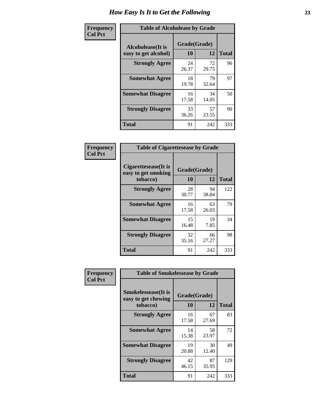| Frequency      | <b>Table of Alcoholease by Grade</b>              |                    |             |              |  |  |  |  |
|----------------|---------------------------------------------------|--------------------|-------------|--------------|--|--|--|--|
| <b>Col Pct</b> | <b>Alcoholease</b> (It is<br>easy to get alcohol) | Grade(Grade)<br>10 | 12          | <b>Total</b> |  |  |  |  |
|                | <b>Strongly Agree</b>                             | 24<br>26.37        | 72<br>29.75 | 96           |  |  |  |  |
|                | <b>Somewhat Agree</b>                             | 18<br>19.78        | 79<br>32.64 | 97           |  |  |  |  |
|                | <b>Somewhat Disagree</b>                          | 16<br>17.58        | 34<br>14.05 | 50           |  |  |  |  |
|                | <b>Strongly Disagree</b>                          | 33<br>36.26        | 57<br>23.55 | 90           |  |  |  |  |
|                | <b>Total</b>                                      | 91                 | 242         | 333          |  |  |  |  |

| Frequency      | <b>Table of Cigarettesease by Grade</b>                  |                    |             |              |  |  |
|----------------|----------------------------------------------------------|--------------------|-------------|--------------|--|--|
| <b>Col Pct</b> | Cigarettesease (It is<br>easy to get smoking<br>tobacco) | Grade(Grade)<br>10 | 12          | <b>Total</b> |  |  |
|                | <b>Strongly Agree</b>                                    | 28<br>30.77        | 94<br>38.84 | 122          |  |  |
|                | <b>Somewhat Agree</b>                                    | 16<br>17.58        | 63<br>26.03 | 79           |  |  |
|                | <b>Somewhat Disagree</b>                                 | 15<br>16.48        | 19<br>7.85  | 34           |  |  |
|                | <b>Strongly Disagree</b>                                 | 32<br>35.16        | 66<br>27.27 | 98           |  |  |
|                | <b>Total</b>                                             | 91                 | 242         | 333          |  |  |

| Frequency      | <b>Table of Smokelessease by Grade</b>                         |                    |             |              |
|----------------|----------------------------------------------------------------|--------------------|-------------|--------------|
| <b>Col Pct</b> | <b>Smokelessease</b> (It is<br>easy to get chewing<br>tobacco) | Grade(Grade)<br>10 | 12          | <b>Total</b> |
|                | <b>Strongly Agree</b>                                          | 16<br>17.58        | 67<br>27.69 | 83           |
|                | <b>Somewhat Agree</b>                                          | 14<br>15.38        | 58<br>23.97 | 72           |
|                | <b>Somewhat Disagree</b>                                       | 19<br>20.88        | 30<br>12.40 | 49           |
|                | <b>Strongly Disagree</b>                                       | 42<br>46.15        | 87<br>35.95 | 129          |
|                | <b>Total</b>                                                   | 91                 | 242         | 333          |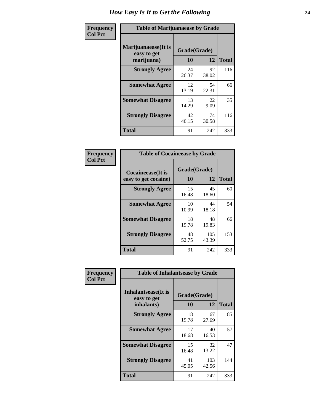| Frequency      | <b>Table of Marijuanaease by Grade</b>           |                    |             |              |  |  |
|----------------|--------------------------------------------------|--------------------|-------------|--------------|--|--|
| <b>Col Pct</b> | Marijuanaease(It is<br>easy to get<br>marijuana) | Grade(Grade)<br>10 | 12          | <b>Total</b> |  |  |
|                | <b>Strongly Agree</b>                            | 24<br>26.37        | 92<br>38.02 | 116          |  |  |
|                | <b>Somewhat Agree</b>                            | 12<br>13.19        | 54<br>22.31 | 66           |  |  |
|                | <b>Somewhat Disagree</b>                         | 13<br>14.29        | 22<br>9.09  | 35           |  |  |
|                | <b>Strongly Disagree</b>                         | 42<br>46.15        | 74<br>30.58 | 116          |  |  |
|                | <b>Total</b>                                     | 91                 | 242         | 333          |  |  |

| <b>Table of Cocaineease by Grade</b> |             |              |              |  |  |  |  |  |  |  |
|--------------------------------------|-------------|--------------|--------------|--|--|--|--|--|--|--|
| <b>Cocaineease</b> (It is            |             | Grade(Grade) |              |  |  |  |  |  |  |  |
| easy to get cocaine)                 | 10          | 12           | <b>Total</b> |  |  |  |  |  |  |  |
| <b>Strongly Agree</b>                | 15<br>16.48 | 45<br>18.60  | 60           |  |  |  |  |  |  |  |
| <b>Somewhat Agree</b>                | 10<br>10.99 | 44<br>18.18  | 54           |  |  |  |  |  |  |  |
| <b>Somewhat Disagree</b>             | 18<br>19.78 | 48<br>19.83  | 66           |  |  |  |  |  |  |  |
| <b>Strongly Disagree</b>             | 48<br>52.75 | 105<br>43.39 | 153          |  |  |  |  |  |  |  |
| <b>Total</b>                         | 91          | 242          | 333          |  |  |  |  |  |  |  |

| Frequency      | <b>Table of Inhalantsease by Grade</b>                   |                    |              |     |  |  |  |  |  |  |  |
|----------------|----------------------------------------------------------|--------------------|--------------|-----|--|--|--|--|--|--|--|
| <b>Col Pct</b> | <b>Inhalantsease</b> (It is<br>easy to get<br>inhalants) | Grade(Grade)<br>10 | <b>Total</b> |     |  |  |  |  |  |  |  |
|                | <b>Strongly Agree</b>                                    | 18<br>19.78        | 67<br>27.69  | 85  |  |  |  |  |  |  |  |
|                | <b>Somewhat Agree</b>                                    | 17<br>18.68        | 40<br>16.53  | 57  |  |  |  |  |  |  |  |
|                | <b>Somewhat Disagree</b>                                 | 15<br>16.48        | 32<br>13.22  | 47  |  |  |  |  |  |  |  |
|                | <b>Strongly Disagree</b>                                 | 41<br>45.05        | 103<br>42.56 | 144 |  |  |  |  |  |  |  |
|                | <b>Total</b>                                             | 91                 | 242          | 333 |  |  |  |  |  |  |  |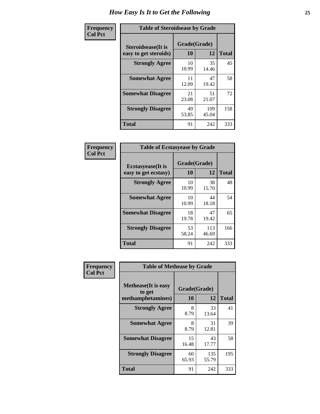| Frequency      | <b>Table of Steroidsease by Grade</b>               |                    |              |     |  |  |  |  |  |  |  |
|----------------|-----------------------------------------------------|--------------------|--------------|-----|--|--|--|--|--|--|--|
| <b>Col Pct</b> | <b>Steroidsease</b> (It is<br>easy to get steroids) | Grade(Grade)<br>10 | <b>Total</b> |     |  |  |  |  |  |  |  |
|                | <b>Strongly Agree</b>                               | 10<br>10.99        | 35<br>14.46  | 45  |  |  |  |  |  |  |  |
|                | <b>Somewhat Agree</b>                               | 11<br>12.09        | 47<br>19.42  | 58  |  |  |  |  |  |  |  |
|                | <b>Somewhat Disagree</b>                            | 21<br>23.08        | 51<br>21.07  | 72  |  |  |  |  |  |  |  |
|                | <b>Strongly Disagree</b>                            | 49<br>53.85        | 109<br>45.04 | 158 |  |  |  |  |  |  |  |
|                | <b>Total</b>                                        | 91                 | 242          | 333 |  |  |  |  |  |  |  |

| Frequency      | <b>Table of Ecstasyease by Grade</b> |              |              |              |  |  |  |  |  |  |
|----------------|--------------------------------------|--------------|--------------|--------------|--|--|--|--|--|--|
| <b>Col Pct</b> | <b>Ecstasyease</b> (It is            | Grade(Grade) |              |              |  |  |  |  |  |  |
|                | easy to get ecstasy)                 | 10           | 12           | <b>Total</b> |  |  |  |  |  |  |
|                | <b>Strongly Agree</b>                | 10<br>10.99  | 38<br>15.70  | 48           |  |  |  |  |  |  |
|                | <b>Somewhat Agree</b>                | 10<br>10.99  | 44<br>18.18  | 54           |  |  |  |  |  |  |
|                | <b>Somewhat Disagree</b>             | 18<br>19.78  | 47<br>19.42  | 65           |  |  |  |  |  |  |
|                | <b>Strongly Disagree</b>             | 53<br>58.24  | 113<br>46.69 | 166          |  |  |  |  |  |  |
|                | <b>Total</b>                         | 91           | 242          | 333          |  |  |  |  |  |  |

| Frequency      | <b>Table of Methease by Grade</b>                          |                    |              |     |  |  |  |  |  |  |  |
|----------------|------------------------------------------------------------|--------------------|--------------|-----|--|--|--|--|--|--|--|
| <b>Col Pct</b> | <b>Methease</b> (It is easy<br>to get<br>methamphetamines) | Grade(Grade)<br>10 | <b>Total</b> |     |  |  |  |  |  |  |  |
|                | <b>Strongly Agree</b>                                      | 8<br>8.79          | 33<br>13.64  | 41  |  |  |  |  |  |  |  |
|                | <b>Somewhat Agree</b>                                      | 8<br>8.79          | 31<br>12.81  | 39  |  |  |  |  |  |  |  |
|                | <b>Somewhat Disagree</b>                                   | 15<br>16.48        | 43<br>17.77  | 58  |  |  |  |  |  |  |  |
|                | <b>Strongly Disagree</b>                                   | 60<br>65.93        | 135<br>55.79 | 195 |  |  |  |  |  |  |  |
|                | Total                                                      | 91                 | 242          | 333 |  |  |  |  |  |  |  |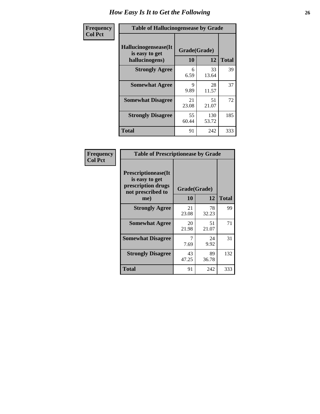| <b>Frequency</b> | <b>Table of Hallucinogensease by Grade</b>               |                    |              |              |  |  |  |  |  |
|------------------|----------------------------------------------------------|--------------------|--------------|--------------|--|--|--|--|--|
| <b>Col Pct</b>   | Hallucinogensease(It<br>is easy to get<br>hallucinogens) | Grade(Grade)<br>10 | 12           | <b>Total</b> |  |  |  |  |  |
|                  | <b>Strongly Agree</b>                                    | 6<br>6.59          | 33<br>13.64  | 39           |  |  |  |  |  |
|                  | <b>Somewhat Agree</b>                                    | 9<br>9.89          | 28<br>11.57  | 37           |  |  |  |  |  |
|                  | <b>Somewhat Disagree</b>                                 | 21<br>23.08        | 51<br>21.07  | 72           |  |  |  |  |  |
|                  | <b>Strongly Disagree</b>                                 | 55<br>60.44        | 130<br>53.72 | 185          |  |  |  |  |  |
|                  | <b>Total</b>                                             | 91                 | 242          | 333          |  |  |  |  |  |

| Frequency<br>  Col Pct |
|------------------------|
|                        |

| <b>Table of Prescriptionease by Grade</b>                                                |             |              |              |  |  |  |  |  |  |
|------------------------------------------------------------------------------------------|-------------|--------------|--------------|--|--|--|--|--|--|
| <b>Prescriptionease</b> (It<br>is easy to get<br>prescription drugs<br>not prescribed to |             | Grade(Grade) |              |  |  |  |  |  |  |
| me)                                                                                      | 10          | 12           | <b>Total</b> |  |  |  |  |  |  |
| <b>Strongly Agree</b>                                                                    | 21<br>23.08 | 78<br>32.23  | 99           |  |  |  |  |  |  |
| <b>Somewhat Agree</b>                                                                    | 20<br>21.98 | 51<br>21.07  | 71           |  |  |  |  |  |  |
| <b>Somewhat Disagree</b>                                                                 | 7.69        | 24<br>9.92   | 31           |  |  |  |  |  |  |
| <b>Strongly Disagree</b>                                                                 | 43<br>47.25 | 89<br>36.78  | 132          |  |  |  |  |  |  |
| <b>Total</b>                                                                             | 91          | 242          | 333          |  |  |  |  |  |  |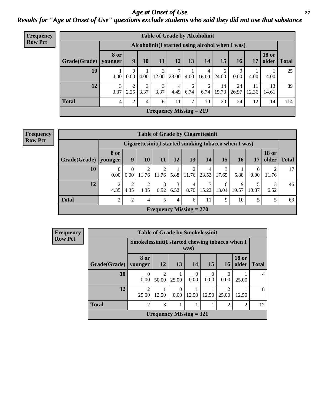#### *Age at Onset of Use* **27** *Results for "Age at Onset of Use" questions exclude students who said they did not use that substance*

| <b>Frequency</b> |                                                  |                 |                        |           | <b>Table of Grade by Alcoholinit</b>        |            |            |            |             |                  |             |                       |              |
|------------------|--------------------------------------------------|-----------------|------------------------|-----------|---------------------------------------------|------------|------------|------------|-------------|------------------|-------------|-----------------------|--------------|
| <b>Row Pct</b>   | Alcoholinit (I started using alcohol when I was) |                 |                        |           |                                             |            |            |            |             |                  |             |                       |              |
|                  | Grade(Grade)                                     | 8 or<br>younger | 9                      | 10        | 11                                          | 12         | 13         | 14         | 15          | 16               | 17          | <b>18 or</b><br>older | <b>Total</b> |
|                  | 10                                               | 4.00            | 0<br>0.00              | 4.00      | 3<br>12.00                                  | 7<br>28.00 | Ŧ.<br>4.00 | 4<br>16.00 | 6<br>24.00  | $\Omega$<br>0.00 | 4.00        | 4.00                  | 25           |
|                  | 12                                               | 3<br>3.37       | $\overline{2}$<br>2.25 | 3<br>3.37 | 3<br>3.37                                   | 4<br>4.49  | 6<br>6.74  | 6<br>6.74  | 14<br>15.73 | 24<br>26.97      | 11<br>12.36 | 13<br>14.61           | 89           |
|                  | <b>Total</b>                                     | $\overline{4}$  | 2                      | 4         | 6                                           | 11         | 7          | 10         | 20          | 24               | 12          | 14                    | 114          |
|                  |                                                  |                 |                        |           | <b>Frequency Missing <math>= 219</math></b> |            |            |            |             |                  |             |                       |              |

| <b>Frequency</b> |  |
|------------------|--|
| <b>Row Pct</b>   |  |

|              | <b>Table of Grade by Cigarettesinit</b> |                                                       |                         |                           |                |                        |            |            |            |       |                       |              |  |  |
|--------------|-----------------------------------------|-------------------------------------------------------|-------------------------|---------------------------|----------------|------------------------|------------|------------|------------|-------|-----------------------|--------------|--|--|
|              |                                         | Cigarettesinit (I started smoking tobacco when I was) |                         |                           |                |                        |            |            |            |       |                       |              |  |  |
| Grade(Grade) | <b>8 or</b><br>younger                  | 9                                                     | 10                      | 11                        | 12             | 13                     | 14         | 15         | 16         | 17    | <b>18 or</b><br>older | <b>Total</b> |  |  |
| 10           | $\Omega$<br>0.00                        | $\Omega$<br>0.00                                      | $\overline{2}$<br>11.76 | $\overline{c}$<br>11.76   | 5.88           | 2<br>11.76             | 4<br>23.53 | 3<br>17.65 | 5.88       | 0.00  | 2<br>11.76            | 17           |  |  |
| 12           | 2<br>4.35                               | ↑<br>4.35                                             | $\overline{c}$<br>4.35  | 3<br>6.52                 | 3<br>6.52      | $\overline{4}$<br>8.70 | 15.22      | 6<br>13.04 | 9<br>19.57 | 10.87 | 3<br>6.52             | 46           |  |  |
| <b>Total</b> | 2                                       | ↑                                                     | 4                       | 5                         | $\overline{4}$ | 6                      | 11         | 9          | 10         | 5     | 5                     | 63           |  |  |
|              |                                         |                                                       |                         | Frequency Missing $= 270$ |                |                        |            |            |            |       |                       |              |  |  |

| Frequency      |                                                        | <b>Table of Grade by Smokelessinit</b> |                         |                           |                    |           |                  |                       |                |  |  |  |  |  |  |
|----------------|--------------------------------------------------------|----------------------------------------|-------------------------|---------------------------|--------------------|-----------|------------------|-----------------------|----------------|--|--|--|--|--|--|
| <b>Row Pct</b> | Smokelessinit(I started chewing tobacco when I<br>was) |                                        |                         |                           |                    |           |                  |                       |                |  |  |  |  |  |  |
|                | Grade(Grade)                                           | 8 or<br>vounger                        | 12                      | <b>13</b>                 | 14                 | 15        | 16 <sup>1</sup>  | <b>18 or</b><br>older | <b>Total</b>   |  |  |  |  |  |  |
|                | 10                                                     | $\theta$<br>0.00                       | $\overline{c}$<br>50.00 | 25.00                     | $\Omega$<br>0.00   | 0<br>0.00 | $\Omega$<br>0.00 | 25.00                 | $\overline{4}$ |  |  |  |  |  |  |
|                | 12                                                     | $\overline{2}$<br>25.00                | 12.50                   | 0.00                      | $12.50 \downarrow$ | 12.50     | 2<br>25.00       | 12.50                 | 8              |  |  |  |  |  |  |
|                | <b>Total</b>                                           | $\overline{2}$                         | 3                       |                           |                    |           | $\overline{2}$   | 2                     | 12             |  |  |  |  |  |  |
|                |                                                        |                                        |                         | Frequency Missing $= 321$ |                    |           |                  |                       |                |  |  |  |  |  |  |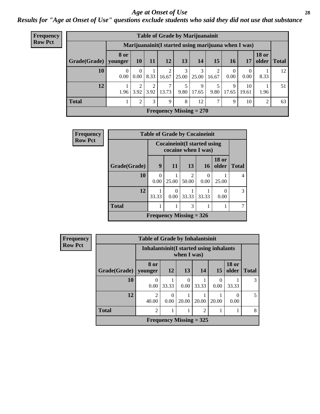#### *Age at Onset of Use* **28**

*Results for "Age at Onset of Use" questions exclude students who said they did not use that substance*

| Frequency      | <b>Table of Grade by Marijuanainit</b> |                  |           |           |                         |       |                                                      |                |                            |                  |                       |              |
|----------------|----------------------------------------|------------------|-----------|-----------|-------------------------|-------|------------------------------------------------------|----------------|----------------------------|------------------|-----------------------|--------------|
| <b>Row Pct</b> |                                        |                  |           |           |                         |       | Marijuanainit (I started using marijuana when I was) |                |                            |                  |                       |              |
|                | Grade(Grade)   younger                 | <b>8 or</b>      | 10        | <b>11</b> | <b>12</b>               | 13    | 14                                                   | 15             | <b>16</b>                  | 17               | <b>18 or</b><br>older | <b>Total</b> |
|                | 10                                     | $\Omega$<br>0.00 | 0<br>0.00 | 8.33      | $\mathfrak{D}$<br>16.67 | 25.00 | 3<br>25.00                                           | 2<br>16.67     | $\Omega$<br>$0.00^{\circ}$ | $\theta$<br>0.00 | 8.33                  | 12           |
|                | 12                                     | 1.96             | ∍<br>3.92 | ↑<br>3.92 | 7<br>13.73              | 9.80  | 9<br>17.65                                           | 9.80           | 9<br>17.65                 | 10<br>19.61      | 1.96                  | 51           |
|                | <b>Total</b>                           |                  | C         | 3         | 9                       | 8     | 12                                                   | $\overline{7}$ | 9                          | 10               | 2                     | 63           |
|                |                                        |                  |           |           |                         |       | Frequency Missing $= 270$                            |                |                            |                  |                       |              |

| Frequency      |              | <b>Table of Grade by Cocaineinit</b> |           |                                                            |                           |                       |              |  |  |
|----------------|--------------|--------------------------------------|-----------|------------------------------------------------------------|---------------------------|-----------------------|--------------|--|--|
| <b>Row Pct</b> |              |                                      |           | <b>Cocaineinit</b> (I started using<br>cocaine when I was) |                           |                       |              |  |  |
|                | Grade(Grade) | 9                                    | 11        | 13                                                         | <b>16</b>                 | <b>18 or</b><br>older | <b>Total</b> |  |  |
|                | 10           | $\theta$<br>0.00                     | 25.00     | 2<br>50.00                                                 | $\mathbf{\Omega}$<br>0.00 | 25.00                 | 4            |  |  |
|                | 12           | 33.33                                | 0<br>0.00 | 33.33                                                      | 33.33                     | 0.00                  | 3            |  |  |
|                | <b>Total</b> |                                      |           | 3                                                          |                           |                       |              |  |  |
|                |              |                                      |           | Frequency Missing $=$ 326                                  |                           |                       |              |  |  |

| <b>Frequency</b> |                        | <b>Table of Grade by Inhalantsinit</b> |                  |                                                         |                           |           |                       |              |  |
|------------------|------------------------|----------------------------------------|------------------|---------------------------------------------------------|---------------------------|-----------|-----------------------|--------------|--|
| <b>Row Pct</b>   |                        |                                        |                  | Inhalantsinit (I started using inhalants<br>when I was) |                           |           |                       |              |  |
|                  | Grade(Grade)   younger | 8 or                                   | <b>12</b>        | 13                                                      | 14                        | 15        | <b>18 or</b><br>older | <b>Total</b> |  |
|                  | 10                     | 0<br>0.00                              | 33.33            | 0<br>0.00                                               | 33.33                     | 0<br>0.00 | 33.33                 | 3            |  |
|                  | 12                     | $\mathfrak{D}$<br>40.00                | $\theta$<br>0.00 | 20.00                                                   | 20.00                     | 20.00     | 0.00                  | 5            |  |
|                  | <b>Total</b>           | $\mathfrak{D}$                         |                  |                                                         | $\overline{2}$            |           |                       | 8            |  |
|                  |                        |                                        |                  |                                                         | Frequency Missing $=$ 325 |           |                       |              |  |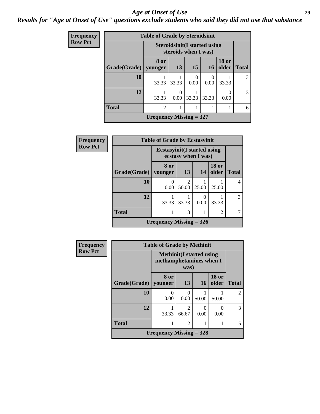#### *Age at Onset of Use* **29**

### *Results for "Age at Onset of Use" questions exclude students who said they did not use that substance*

| Frequency      |              | <b>Table of Grade by Steroidsinit</b> |           |                                                             |                  |                       |              |
|----------------|--------------|---------------------------------------|-----------|-------------------------------------------------------------|------------------|-----------------------|--------------|
| <b>Row Pct</b> |              |                                       |           | <b>Steroidsinit(I started using</b><br>steroids when I was) |                  |                       |              |
|                | Grade(Grade) | 8 or<br>vounger                       | 13        | 15                                                          | 16               | <b>18 or</b><br>older | <b>Total</b> |
|                | 10           | 33.33                                 | 33.33     | 0.00                                                        | $\theta$<br>0.00 | 33.33                 | 3            |
|                | 12           | 33.33                                 | 0<br>0.00 | 33.33                                                       | 33.33            | 0.00                  | 3            |
|                | <b>Total</b> | $\mathfrak{D}$                        |           | 1                                                           |                  |                       | 6            |
|                |              | Frequency Missing $= 327$             |           |                                                             |                  |                       |              |

| Frequency      |              | <b>Table of Grade by Ecstasyinit</b> |                         |       |                       |              |
|----------------|--------------|--------------------------------------|-------------------------|-------|-----------------------|--------------|
| <b>Row Pct</b> |              | <b>Ecstasyinit</b> (I started using  | ecstasy when I was)     |       |                       |              |
|                | Grade(Grade) | 8 or<br>vounger                      | 13                      | 14    | <b>18 or</b><br>older | <b>Total</b> |
|                | 10           | $\left($<br>0.00                     | $\mathfrak{D}$<br>50.00 | 25.00 | 25.00                 | 4            |
|                | 12           | 33.33                                | 33.33                   | 0.00  | 33.33                 | 3            |
|                | <b>Total</b> |                                      | 3                       |       | 2                     |              |
|                |              | Frequency Missing $= 326$            |                         |       |                       |              |

| <b>Frequency</b> |              | <b>Table of Grade by Methinit</b>                           |                                      |       |                       |                |
|------------------|--------------|-------------------------------------------------------------|--------------------------------------|-------|-----------------------|----------------|
| <b>Row Pct</b>   |              | <b>Methinit</b> (I started using<br>methamphetamines when I | was)                                 |       |                       |                |
|                  | Grade(Grade) | 8 or<br>vounger                                             | 13                                   | 16    | <b>18 or</b><br>older | <b>Total</b>   |
|                  | 10           | 0<br>0.00                                                   | $\Omega$<br>0.00                     | 50.00 | 50.00                 | $\overline{c}$ |
|                  | 12           | 33.33                                                       | $\mathcal{D}_{\mathcal{L}}$<br>66.67 | 0.00  | 0<br>0.00             | 3              |
|                  | <b>Total</b> |                                                             | 2                                    |       |                       | 5              |
|                  |              | Frequency Missing $=$ 328                                   |                                      |       |                       |                |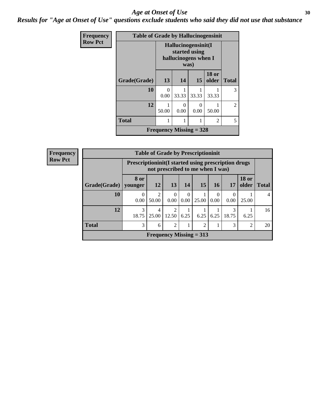#### Age at Onset of Use **30**

*Results for "Age at Onset of Use" questions exclude students who said they did not use that substance*

| <b>Frequency</b> | <b>Table of Grade by Hallucinogensinit</b> |                  |                                                                      |       |                       |                |  |  |
|------------------|--------------------------------------------|------------------|----------------------------------------------------------------------|-------|-----------------------|----------------|--|--|
| <b>Row Pct</b>   |                                            |                  | Hallucinogensinit(I<br>started using<br>hallucinogens when I<br>was) |       |                       |                |  |  |
|                  | Grade(Grade)                               | 13               | 14                                                                   | 15    | <b>18 or</b><br>older | <b>Total</b>   |  |  |
|                  | 10                                         | $\Omega$<br>0.00 | 33.33                                                                | 33.33 | 33.33                 | 3              |  |  |
|                  | 12                                         | 50.00            | 0<br>0.00                                                            | 0.00  | 50.00                 | $\overline{2}$ |  |  |
|                  | <b>Total</b>                               |                  | 1                                                                    |       | $\mathfrak{D}$        | 5              |  |  |
|                  |                                            |                  | Frequency Missing $=$ 328                                            |       |                       |                |  |  |

| <b>Frequency</b> |              |                  |            | <b>Table of Grade by Prescriptioninit</b> |                  |           |                  |                                                                                                 |                       |              |  |  |
|------------------|--------------|------------------|------------|-------------------------------------------|------------------|-----------|------------------|-------------------------------------------------------------------------------------------------|-----------------------|--------------|--|--|
| <b>Row Pct</b>   |              |                  |            |                                           |                  |           |                  | <b>Prescriptioninit (I started using prescription drugs</b><br>not prescribed to me when I was) |                       |              |  |  |
|                  | Grade(Grade) | 8 or<br>younger  | 12         | 13                                        | 14               | <b>15</b> | <b>16</b>        | 17                                                                                              | <b>18 or</b><br>older | <b>Total</b> |  |  |
|                  | 10           | $\Omega$<br>0.00 | 2<br>50.00 | $\Omega$<br>0.00                          | $\Omega$<br>0.00 | 25.00     | $\theta$<br>0.00 | 0.00                                                                                            | 25.00                 |              |  |  |
|                  | 12           | 3<br>18.75       | 4<br>25.00 | 2<br>12.50                                | 6.25             | 6.25      | 6.25             | 18.75                                                                                           | 6.25                  | 16           |  |  |
|                  | <b>Total</b> | 3                | 6          | $\overline{2}$                            |                  | 2         |                  | 3                                                                                               | $\overline{2}$        | 20           |  |  |
|                  |              |                  |            | Frequency Missing $= 313$                 |                  |           |                  |                                                                                                 |                       |              |  |  |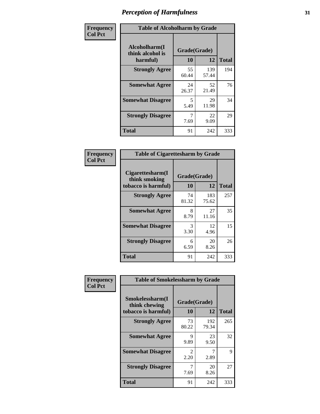| Frequency      | <b>Table of Alcoholharm by Grade</b>          |                    |              |              |  |  |  |
|----------------|-----------------------------------------------|--------------------|--------------|--------------|--|--|--|
| <b>Col Pct</b> | Alcoholharm(I<br>think alcohol is<br>harmful) | Grade(Grade)<br>10 | 12           | <b>Total</b> |  |  |  |
|                | <b>Strongly Agree</b>                         | 55<br>60.44        | 139<br>57.44 | 194          |  |  |  |
|                | <b>Somewhat Agree</b>                         | 24<br>26.37        | 52<br>21.49  | 76           |  |  |  |
|                | <b>Somewhat Disagree</b>                      | 5<br>5.49          | 29<br>11.98  | 34           |  |  |  |
|                | <b>Strongly Disagree</b>                      | 7<br>7.69          | 22<br>9.09   | 29           |  |  |  |
|                | <b>Total</b>                                  | 91                 | 242          | 333          |  |  |  |

| <b>Table of Cigarettesharm by Grade</b>                  |             |                    |     |  |  |  |  |  |  |
|----------------------------------------------------------|-------------|--------------------|-----|--|--|--|--|--|--|
| Cigarettesharm(I<br>think smoking<br>tobacco is harmful) | 10          | Grade(Grade)<br>12 |     |  |  |  |  |  |  |
| <b>Strongly Agree</b>                                    | 74<br>81.32 | 183<br>75.62       | 257 |  |  |  |  |  |  |
| <b>Somewhat Agree</b>                                    | 8<br>8.79   | 27<br>11.16        | 35  |  |  |  |  |  |  |
| <b>Somewhat Disagree</b>                                 | 3<br>3.30   | 12<br>4.96         | 15  |  |  |  |  |  |  |
| <b>Strongly Disagree</b>                                 | 6<br>6.59   | 20<br>8.26         | 26  |  |  |  |  |  |  |
| <b>Total</b>                                             | 91          | 242                | 333 |  |  |  |  |  |  |

| Frequency      | <b>Table of Smokelessharm by Grade</b>                  |                           |              |              |  |  |  |  |
|----------------|---------------------------------------------------------|---------------------------|--------------|--------------|--|--|--|--|
| <b>Col Pct</b> | Smokelessharm(I<br>think chewing<br>tobacco is harmful) | Grade(Grade)<br><b>10</b> | 12           | <b>Total</b> |  |  |  |  |
|                | <b>Strongly Agree</b>                                   | 73<br>80.22               | 192<br>79.34 | 265          |  |  |  |  |
|                | <b>Somewhat Agree</b>                                   | 9<br>9.89                 | 23<br>9.50   | 32           |  |  |  |  |
|                | <b>Somewhat Disagree</b>                                | $\mathfrak{D}$<br>2.20    | 2.89         | 9            |  |  |  |  |
|                | <b>Strongly Disagree</b>                                | 7.69                      | 20<br>8.26   | 27           |  |  |  |  |
|                | <b>Total</b>                                            | 91                        | 242          | 333          |  |  |  |  |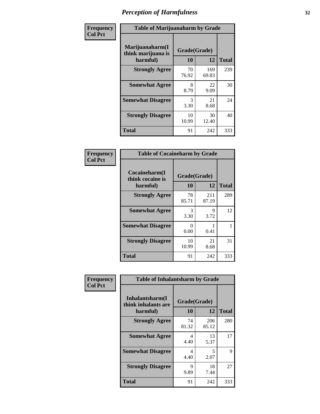| Frequency      | <b>Table of Marijuanaharm by Grade</b>            |                    |              |              |  |  |  |  |
|----------------|---------------------------------------------------|--------------------|--------------|--------------|--|--|--|--|
| <b>Col Pct</b> | Marijuanaharm(I<br>think marijuana is<br>harmful) | Grade(Grade)<br>10 | 12           | <b>Total</b> |  |  |  |  |
|                | <b>Strongly Agree</b>                             | 70<br>76.92        | 169<br>69.83 | 239          |  |  |  |  |
|                | <b>Somewhat Agree</b>                             | 8<br>8.79          | 22<br>9.09   | 30           |  |  |  |  |
|                | <b>Somewhat Disagree</b>                          | 3<br>3.30          | 21<br>8.68   | 24           |  |  |  |  |
|                | <b>Strongly Disagree</b>                          | 10<br>10.99        | 30<br>12.40  | 40           |  |  |  |  |
|                | <b>Total</b>                                      | 91                 | 242          | 333          |  |  |  |  |

| <b>Table of Cocaineharm by Grade</b>          |                    |              |              |  |  |
|-----------------------------------------------|--------------------|--------------|--------------|--|--|
| Cocaineharm(I<br>think cocaine is<br>harmful) | Grade(Grade)<br>10 | 12           | <b>Total</b> |  |  |
| <b>Strongly Agree</b>                         | 78<br>85.71        | 211<br>87.19 | 289          |  |  |
| <b>Somewhat Agree</b>                         | 3<br>3.30          | 9<br>3.72    | 12           |  |  |
| <b>Somewhat Disagree</b>                      | 0<br>0.00          | 1<br>0.41    | 1            |  |  |
| <b>Strongly Disagree</b>                      | 10<br>10.99        | 21<br>8.68   | 31           |  |  |
| <b>Total</b>                                  | 91                 | 242          | 333          |  |  |

| Frequency      | <b>Table of Inhalantsharm by Grade</b>             |                           |              |              |
|----------------|----------------------------------------------------|---------------------------|--------------|--------------|
| <b>Col Pct</b> | Inhalantsharm(I<br>think inhalants are<br>harmful) | Grade(Grade)<br><b>10</b> | 12           | <b>Total</b> |
|                | <b>Strongly Agree</b>                              | 74<br>81.32               | 206<br>85.12 | 280          |
|                | <b>Somewhat Agree</b>                              | 4<br>4.40                 | 13<br>5.37   | 17           |
|                | <b>Somewhat Disagree</b>                           | 4<br>4.40                 | 5<br>2.07    | 9            |
|                | <b>Strongly Disagree</b>                           | 9<br>9.89                 | 18<br>7.44   | 27           |
|                | <b>Total</b>                                       | 91                        | 242          | 333          |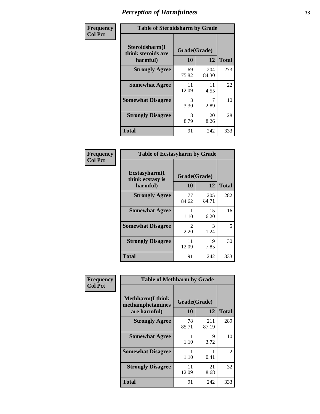| Frequency      | <b>Table of Steroidsharm by Grade</b>            |                    |              |              |
|----------------|--------------------------------------------------|--------------------|--------------|--------------|
| <b>Col Pct</b> | Steroidsharm(I<br>think steroids are<br>harmful) | Grade(Grade)<br>10 | 12           | <b>Total</b> |
|                | <b>Strongly Agree</b>                            | 69<br>75.82        | 204<br>84.30 | 273          |
|                | <b>Somewhat Agree</b>                            | 11<br>12.09        | 11<br>4.55   | 22           |
|                | <b>Somewhat Disagree</b>                         | 3<br>3.30          | 7<br>2.89    | 10           |
|                | <b>Strongly Disagree</b>                         | 8<br>8.79          | 20<br>8.26   | 28           |
|                | <b>Total</b>                                     | 91                 | 242          | 333          |

| <b>Table of Ecstasyharm by Grade</b>          |                    |              |     |  |  |
|-----------------------------------------------|--------------------|--------------|-----|--|--|
| Ecstasyharm(I<br>think ecstasy is<br>harmful) | Grade(Grade)<br>10 | <b>Total</b> |     |  |  |
| <b>Strongly Agree</b>                         | 77<br>84.62        | 205<br>84.71 | 282 |  |  |
| <b>Somewhat Agree</b>                         | 1<br>1.10          | 15<br>6.20   | 16  |  |  |
| <b>Somewhat Disagree</b>                      | 2<br>2.20          | 3<br>1.24    | 5   |  |  |
| <b>Strongly Disagree</b>                      | 11<br>12.09        | 19<br>7.85   | 30  |  |  |
| Total                                         | 91                 | 242          | 333 |  |  |

| Frequency      | <b>Table of Methharm by Grade</b>                            |                    |              |              |
|----------------|--------------------------------------------------------------|--------------------|--------------|--------------|
| <b>Col Pct</b> | <b>Methharm</b> (I think<br>methamphetamines<br>are harmful) | Grade(Grade)<br>10 | 12           | <b>Total</b> |
|                | <b>Strongly Agree</b>                                        | 78<br>85.71        | 211<br>87.19 | 289          |
|                | <b>Somewhat Agree</b>                                        | 1.10               | 9<br>3.72    | 10           |
|                | <b>Somewhat Disagree</b>                                     | 1.10               | 0.41         | 2            |
|                | <b>Strongly Disagree</b>                                     | 11<br>12.09        | 21<br>8.68   | 32           |
|                | <b>Total</b>                                                 | 91                 | 242          | 333          |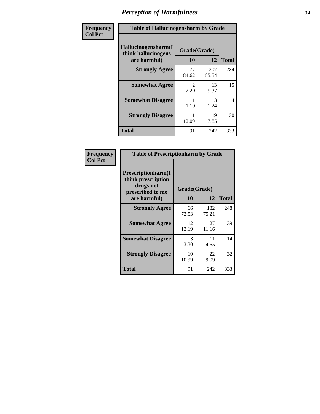| Frequency      | <b>Table of Hallucinogensharm by Grade</b>                 |                    |              |                |
|----------------|------------------------------------------------------------|--------------------|--------------|----------------|
| <b>Col Pct</b> | Hallucinogensharm(I<br>think hallucinogens<br>are harmful) | Grade(Grade)<br>10 | 12           | <b>Total</b>   |
|                | <b>Strongly Agree</b>                                      | 77<br>84.62        | 207<br>85.54 | 284            |
|                | <b>Somewhat Agree</b>                                      | 2<br>2.20          | 13<br>5.37   | 15             |
|                | <b>Somewhat Disagree</b>                                   | 1.10               | 3<br>1.24    | $\overline{4}$ |
|                | <b>Strongly Disagree</b>                                   | 11<br>12.09        | 19<br>7.85   | 30             |
|                | <b>Total</b>                                               | 91                 | 242          | 333            |

| <b>Table of Prescriptionharm by Grade</b>                                         |              |              |              |  |  |
|-----------------------------------------------------------------------------------|--------------|--------------|--------------|--|--|
| <b>Prescriptionharm</b> (I<br>think prescription<br>drugs not<br>prescribed to me | Grade(Grade) |              |              |  |  |
| are harmful)                                                                      | 10           | 12           | <b>Total</b> |  |  |
| <b>Strongly Agree</b>                                                             | 66<br>72.53  | 182<br>75.21 | 248          |  |  |
| <b>Somewhat Agree</b>                                                             | 12<br>13.19  | 27<br>11.16  | 39           |  |  |
| <b>Somewhat Disagree</b>                                                          | 3<br>3.30    | 11<br>4.55   | 14           |  |  |
| <b>Strongly Disagree</b>                                                          | 10<br>10.99  | 22<br>9.09   | 32           |  |  |
| <b>Total</b>                                                                      | 91           | 242          | 333          |  |  |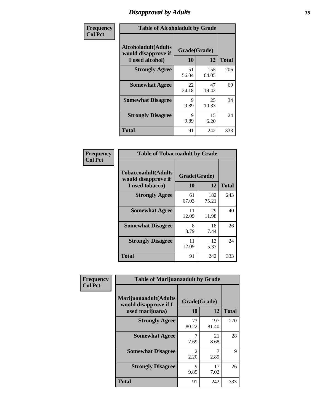# *Disapproval by Adults* **35**

| Frequency      | <b>Table of Alcoholadult by Grade</b>                                 |                    |              |              |  |
|----------------|-----------------------------------------------------------------------|--------------------|--------------|--------------|--|
| <b>Col Pct</b> | <b>Alcoholadult</b> (Adults<br>would disapprove if<br>I used alcohol) | Grade(Grade)<br>10 | 12           | <b>Total</b> |  |
|                | <b>Strongly Agree</b>                                                 | 51<br>56.04        | 155<br>64.05 | 206          |  |
|                | <b>Somewhat Agree</b>                                                 | 22<br>24.18        | 47<br>19.42  | 69           |  |
|                | <b>Somewhat Disagree</b>                                              | 9<br>9.89          | 25<br>10.33  | 34           |  |
|                | <b>Strongly Disagree</b>                                              | 9<br>9.89          | 15<br>6.20   | 24           |  |
|                | <b>Total</b>                                                          | 91                 | 242          | 333          |  |

| <b>Table of Tobaccoadult by Grade</b>                                 |                    |              |              |  |  |
|-----------------------------------------------------------------------|--------------------|--------------|--------------|--|--|
| <b>Tobaccoadult</b> (Adults<br>would disapprove if<br>I used tobacco) | Grade(Grade)<br>10 | 12           | <b>Total</b> |  |  |
| <b>Strongly Agree</b>                                                 | 61<br>67.03        | 182<br>75.21 | 243          |  |  |
| <b>Somewhat Agree</b>                                                 | 11<br>12.09        | 29<br>11.98  | 40           |  |  |
| <b>Somewhat Disagree</b>                                              | 8<br>8.79          | 18<br>7.44   | 26           |  |  |
| <b>Strongly Disagree</b>                                              | 11<br>12.09        | 13<br>5.37   | 24           |  |  |
| <b>Total</b>                                                          | 91                 | 242          | 333          |  |  |

| Frequency<br><b>Col Pct</b> | <b>Table of Marijuanaadult by Grade</b>                           |                        |              |              |  |
|-----------------------------|-------------------------------------------------------------------|------------------------|--------------|--------------|--|
|                             | Marijuanaadult(Adults<br>would disapprove if I<br>used marijuana) | Grade(Grade)<br>10     | 12           | <b>Total</b> |  |
|                             | <b>Strongly Agree</b>                                             | 73<br>80.22            | 197<br>81.40 | 270          |  |
|                             | <b>Somewhat Agree</b>                                             | 7.69                   | 21<br>8.68   | 28           |  |
|                             | <b>Somewhat Disagree</b>                                          | $\mathfrak{D}$<br>2.20 | 7<br>2.89    | 9            |  |
|                             | <b>Strongly Disagree</b>                                          | 9<br>9.89              | 17<br>7.02   | 26           |  |
|                             | <b>Total</b>                                                      | 91                     | 242          | 333          |  |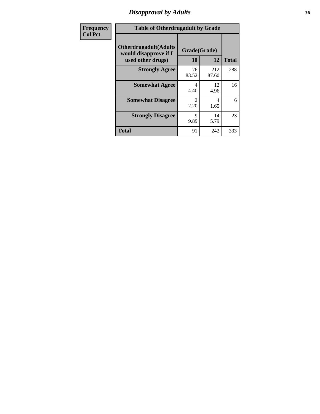# *Disapproval by Adults* **36**

| <b>Frequency</b> | <b>Table of Otherdrugadult by Grade</b>                                     |                    |              |              |
|------------------|-----------------------------------------------------------------------------|--------------------|--------------|--------------|
| <b>Col Pct</b>   | <b>Otherdrugadult</b> (Adults<br>would disapprove if I<br>used other drugs) | Grade(Grade)<br>10 | 12           | <b>Total</b> |
|                  | <b>Strongly Agree</b>                                                       | 76<br>83.52        | 212<br>87.60 | 288          |
|                  | <b>Somewhat Agree</b>                                                       | 4<br>4.40          | 12<br>4.96   | 16           |
|                  | <b>Somewhat Disagree</b>                                                    | 2<br>2.20          | 4<br>1.65    | 6            |
|                  | <b>Strongly Disagree</b>                                                    | 9<br>9.89          | 14<br>5.79   | 23           |
|                  | <b>Total</b>                                                                | 91                 | 242          | 333          |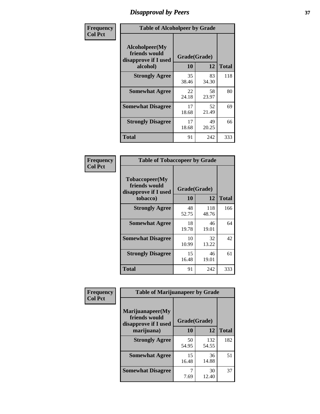# *Disapproval by Peers* **37**

| Frequency      | <b>Table of Alcoholpeer by Grade</b>                    |              |             |              |
|----------------|---------------------------------------------------------|--------------|-------------|--------------|
| <b>Col Pct</b> | Alcoholpeer(My<br>friends would<br>disapprove if I used | Grade(Grade) |             |              |
|                | alcohol)                                                | 10           | 12          | <b>Total</b> |
|                | <b>Strongly Agree</b>                                   | 35<br>38.46  | 83<br>34.30 | 118          |
|                | <b>Somewhat Agree</b>                                   | 22<br>24.18  | 58<br>23.97 | 80           |
|                | <b>Somewhat Disagree</b>                                | 17<br>18.68  | 52<br>21.49 | 69           |
|                | <b>Strongly Disagree</b>                                | 17<br>18.68  | 49<br>20.25 | 66           |
|                | Total                                                   | 91           | 242         | 333          |

| Frequency      | <b>Table of Tobaccopeer by Grade</b>                                |                    |              |              |
|----------------|---------------------------------------------------------------------|--------------------|--------------|--------------|
| <b>Col Pct</b> | Tobaccopeer(My<br>friends would<br>disapprove if I used<br>tobacco) | Grade(Grade)<br>10 | 12           | <b>Total</b> |
|                | <b>Strongly Agree</b>                                               | 48<br>52.75        | 118<br>48.76 | 166          |
|                | <b>Somewhat Agree</b>                                               | 18<br>19.78        | 46<br>19.01  | 64           |
|                | <b>Somewhat Disagree</b>                                            | 10<br>10.99        | 32<br>13.22  | 42           |
|                | <b>Strongly Disagree</b>                                            | 15<br>16.48        | 46<br>19.01  | 61           |
|                | <b>Total</b>                                                        | 91                 | 242          | 333          |

| $\mathbf{c}\mathbf{v}$ | <b>Table of Marijuanapeer by Grade</b>                                  |                    |              |              |  |
|------------------------|-------------------------------------------------------------------------|--------------------|--------------|--------------|--|
|                        | Marijuanapeer(My<br>friends would<br>disapprove if I used<br>marijuana) | Grade(Grade)<br>10 | 12           | <b>Total</b> |  |
|                        | <b>Strongly Agree</b>                                                   | 50<br>54.95        | 132<br>54.55 | 182          |  |
|                        | <b>Somewhat Agree</b>                                                   | 15<br>16.48        | 36<br>14.88  | 51           |  |
|                        | <b>Somewhat Disagree</b>                                                | 7.69               | 30<br>12.40  | 37           |  |

| Frequenc |
|----------|
| Col Pct  |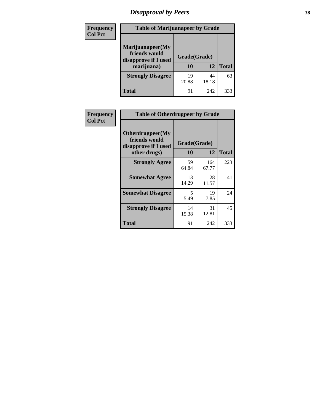# *Disapproval by Peers* **38**

| Frequency<br><b>Col Pct</b> | <b>Table of Marijuanapeer by Grade</b>                                  |                    |             |              |
|-----------------------------|-------------------------------------------------------------------------|--------------------|-------------|--------------|
|                             | Marijuanapeer(My<br>friends would<br>disapprove if I used<br>marijuana) | Grade(Grade)<br>10 | 12          | <b>Total</b> |
|                             | <b>Strongly Disagree</b>                                                | 19<br>20.88        | 44<br>18.18 | 63           |
|                             | Total                                                                   | 91                 | 242         | 333          |

| Frequency      | <b>Table of Otherdrugpeer by Grade</b>                                    |                    |             |              |
|----------------|---------------------------------------------------------------------------|--------------------|-------------|--------------|
| <b>Col Pct</b> | Otherdrugpeer(My<br>friends would<br>disapprove if I used<br>other drugs) | Grade(Grade)<br>10 | 12          | <b>Total</b> |
|                | <b>Strongly Agree</b>                                                     | 59                 | 164         | 223          |
|                |                                                                           | 64.84              | 67.77       |              |
|                | <b>Somewhat Agree</b>                                                     | 13<br>14.29        | 28<br>11.57 | 41           |
|                | <b>Somewhat Disagree</b>                                                  | 5<br>5.49          | 19<br>7.85  | 24           |
|                | <b>Strongly Disagree</b>                                                  | 14<br>15.38        | 31<br>12.81 | 45           |
|                | <b>Total</b>                                                              | 91                 | 242         | 333          |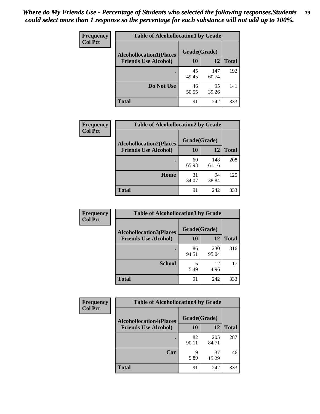| Frequency<br><b>Col Pct</b> | <b>Table of Alcohollocation1 by Grade</b>      |             |              |              |
|-----------------------------|------------------------------------------------|-------------|--------------|--------------|
|                             | Grade(Grade)<br><b>Alcohollocation1(Places</b> |             |              |              |
|                             | <b>Friends Use Alcohol)</b>                    | 10          | 12           | <b>Total</b> |
|                             |                                                | 45<br>49.45 | 147<br>60.74 | 192          |
|                             | Do Not Use                                     | 46<br>50.55 | 95<br>39.26  | 141          |
|                             | <b>Total</b>                                   | 91          | 242          | 333          |

| Frequency      | <b>Table of Alcohollocation2 by Grade</b>                     |                    |              |              |
|----------------|---------------------------------------------------------------|--------------------|--------------|--------------|
| <b>Col Pct</b> | <b>Alcohollocation2(Places</b><br><b>Friends Use Alcohol)</b> | Grade(Grade)<br>10 | <b>12</b>    | <b>Total</b> |
|                |                                                               | 60<br>65.93        | 148<br>61.16 | 208          |
|                | Home                                                          | 31<br>34.07        | 94<br>38.84  | 125          |
|                | <b>Total</b>                                                  | 91                 | 242          | 333          |

| Frequency<br><b>Col Pct</b> | <b>Table of Alcohollocation 3 by Grade</b>                    |                    |              |              |
|-----------------------------|---------------------------------------------------------------|--------------------|--------------|--------------|
|                             | <b>Alcohollocation3(Places</b><br><b>Friends Use Alcohol)</b> | Grade(Grade)<br>10 | 12           | <b>Total</b> |
|                             |                                                               | 86<br>94.51        | 230<br>95.04 | 316          |
|                             | <b>School</b>                                                 | 5<br>5.49          | 12<br>4.96   | 17           |
|                             | <b>Total</b>                                                  | 91                 | 242          | 333          |

| <b>Frequency</b> | <b>Table of Alcohollocation4 by Grade</b> |              |              |              |
|------------------|-------------------------------------------|--------------|--------------|--------------|
| <b>Col Pct</b>   | <b>Alcohollocation4(Places</b>            | Grade(Grade) |              |              |
|                  | <b>Friends Use Alcohol)</b>               | 10           | 12           | <b>Total</b> |
|                  |                                           | 82<br>90.11  | 205<br>84.71 | 287          |
|                  | Car                                       | 9<br>9.89    | 37<br>15.29  | 46           |
|                  | <b>Total</b>                              | 91           | 242          | 333          |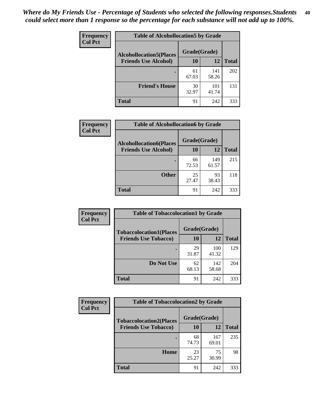| Frequency<br><b>Col Pct</b> | <b>Table of Alcohollocation5 by Grade</b> |              |              |              |
|-----------------------------|-------------------------------------------|--------------|--------------|--------------|
|                             | <b>Alcohollocation5</b> (Places           | Grade(Grade) |              |              |
|                             | <b>Friends Use Alcohol)</b>               | 10           | 12           | <b>Total</b> |
|                             |                                           | 61<br>67.03  | 141<br>58.26 | 202          |
|                             | <b>Friend's House</b>                     | 30<br>32.97  | 101<br>41.74 | 131          |
|                             | <b>Total</b>                              | 91           | 242          | 333          |

| Frequency      | <b>Table of Alcohollocation6 by Grade</b>                     |                    |              |              |
|----------------|---------------------------------------------------------------|--------------------|--------------|--------------|
| <b>Col Pct</b> | <b>Alcohollocation6(Places</b><br><b>Friends Use Alcohol)</b> | Grade(Grade)<br>10 | <b>12</b>    | <b>Total</b> |
|                |                                                               | 66<br>72.53        | 149<br>61.57 | 215          |
|                | <b>Other</b>                                                  | 25<br>27.47        | 93<br>38.43  | 118          |
|                | <b>Total</b>                                                  | 91                 | 242          | 333          |

| Frequency      | <b>Table of Tobaccolocation1 by Grade</b> |              |              |              |
|----------------|-------------------------------------------|--------------|--------------|--------------|
| <b>Col Pct</b> | <b>Tobaccolocation1(Places</b>            | Grade(Grade) |              |              |
|                | <b>Friends Use Tobacco)</b>               | 10           | 12           | <b>Total</b> |
|                |                                           | 29<br>31.87  | 100<br>41.32 | 129          |
|                | Do Not Use                                | 62<br>68.13  | 142<br>58.68 | 204          |
|                | <b>Total</b>                              | 91           | 242          | 333          |

| <b>Frequency</b> | <b>Table of Tobaccolocation2 by Grade</b> |              |              |              |  |
|------------------|-------------------------------------------|--------------|--------------|--------------|--|
| <b>Col Pct</b>   | <b>Tobaccolocation2(Places</b>            | Grade(Grade) |              |              |  |
|                  | <b>Friends Use Tobacco)</b>               | 10           | 12           | <b>Total</b> |  |
|                  |                                           | 68<br>74.73  | 167<br>69.01 | 235          |  |
|                  | Home                                      | 23<br>25.27  | 75<br>30.99  | 98           |  |
|                  | <b>Total</b>                              | 91           | 242          | 333          |  |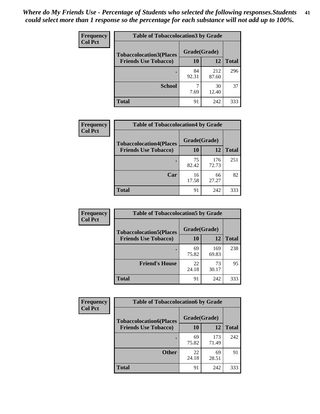| Frequency      | <b>Table of Tobaccolocation 3 by Grade</b> |              |              |              |
|----------------|--------------------------------------------|--------------|--------------|--------------|
| <b>Col Pct</b> | <b>Tobaccolocation3(Places</b>             | Grade(Grade) |              |              |
|                | <b>Friends Use Tobacco)</b>                | 10           | 12           | <b>Total</b> |
|                |                                            | 84<br>92.31  | 212<br>87.60 | 296          |
|                | <b>School</b>                              | 7.69         | 30<br>12.40  | 37           |
|                | <b>Total</b>                               | 91           | 242          | 333          |

| <b>Frequency</b> | <b>Table of Tobaccolocation4 by Grade</b> |              |              |              |
|------------------|-------------------------------------------|--------------|--------------|--------------|
| <b>Col Pct</b>   | <b>Tobaccolocation4(Places</b>            | Grade(Grade) |              |              |
|                  | <b>Friends Use Tobacco)</b>               | 10           | 12           | <b>Total</b> |
|                  |                                           | 75<br>82.42  | 176<br>72.73 | 251          |
|                  | Car                                       | 16<br>17.58  | 66<br>27.27  | 82           |
|                  | <b>Total</b>                              | 91           | 242          | 333          |

| Frequency      | <b>Table of Tobaccolocation5 by Grade</b> |              |              |              |
|----------------|-------------------------------------------|--------------|--------------|--------------|
| <b>Col Pct</b> | <b>Tobaccolocation5(Places</b>            | Grade(Grade) |              |              |
|                | <b>Friends Use Tobacco)</b>               | 10           | <b>12</b>    | <b>Total</b> |
|                |                                           | 69<br>75.82  | 169<br>69.83 | 238          |
|                | <b>Friend's House</b>                     | 22<br>24.18  | 73<br>30.17  | 95           |
|                | <b>Total</b>                              | 91           | 242          | 333          |

| Frequency      | <b>Table of Tobaccolocation6 by Grade</b> |              |              |              |  |
|----------------|-------------------------------------------|--------------|--------------|--------------|--|
| <b>Col Pct</b> | <b>Tobaccolocation6(Places</b>            | Grade(Grade) |              |              |  |
|                | <b>Friends Use Tobacco)</b>               | 10           | 12           | <b>Total</b> |  |
|                |                                           | 69<br>75.82  | 173<br>71.49 | 242          |  |
|                | <b>Other</b>                              | 22<br>24.18  | 69<br>28.51  | 91           |  |
|                | <b>Total</b>                              | 91           | 242          | 333          |  |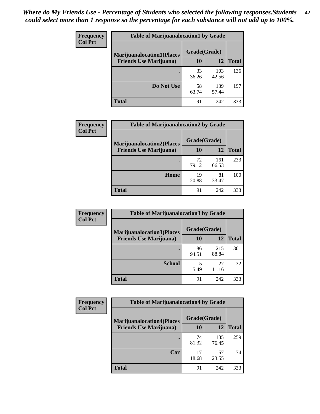| <b>Frequency</b> | <b>Table of Marijuanalocation1 by Grade</b> |              |              |              |
|------------------|---------------------------------------------|--------------|--------------|--------------|
| <b>Col Pct</b>   | <b>Marijuanalocation1(Places</b>            | Grade(Grade) |              |              |
|                  | <b>Friends Use Marijuana</b> )              | <b>10</b>    | 12           | <b>Total</b> |
|                  |                                             | 33<br>36.26  | 103<br>42.56 | 136          |
|                  | Do Not Use                                  | 58<br>63.74  | 139<br>57.44 | 197          |
|                  | <b>Total</b>                                | 91           | 242          | 333          |

| <b>Frequency</b> | <b>Table of Marijuanalocation2 by Grade</b>                        |                    |              |              |
|------------------|--------------------------------------------------------------------|--------------------|--------------|--------------|
| <b>Col Pct</b>   | <b>Marijuanalocation2(Places</b><br><b>Friends Use Marijuana</b> ) | Grade(Grade)<br>10 | 12           | <b>Total</b> |
|                  |                                                                    |                    |              |              |
|                  |                                                                    | 72<br>79.12        | 161<br>66.53 | 233          |
|                  | Home                                                               | 19<br>20.88        | 81<br>33.47  | 100          |
|                  | <b>Total</b>                                                       | 91                 | 242          | 333          |

| Frequency<br><b>Col Pct</b> | <b>Table of Marijuanalocation3 by Grade</b> |              |              |              |
|-----------------------------|---------------------------------------------|--------------|--------------|--------------|
|                             | <b>Marijuanalocation3(Places</b>            | Grade(Grade) |              |              |
|                             | <b>Friends Use Marijuana</b> )              | 10           | 12           | <b>Total</b> |
|                             |                                             | 86<br>94.51  | 215<br>88.84 | 301          |
|                             | <b>School</b>                               | 5.49         | 27<br>11.16  | 32           |
|                             | <b>Total</b>                                | 91           | 242          | 333          |

| Frequency      | <b>Table of Marijuanalocation4 by Grade</b> |              |              |              |  |
|----------------|---------------------------------------------|--------------|--------------|--------------|--|
| <b>Col Pct</b> | <b>Marijuanalocation4(Places</b>            | Grade(Grade) |              |              |  |
|                | <b>Friends Use Marijuana</b> )              | <b>10</b>    | 12           | <b>Total</b> |  |
|                |                                             | 74<br>81.32  | 185<br>76.45 | 259          |  |
|                | Car                                         | 17<br>18.68  | 57<br>23.55  | 74           |  |
|                | <b>Total</b>                                | 91           | 242          | 333          |  |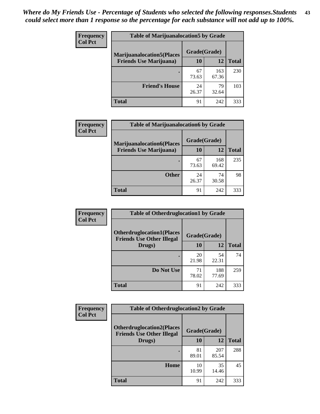| <b>Frequency</b> | <b>Table of Marijuanalocation5 by Grade</b> |              |              |              |
|------------------|---------------------------------------------|--------------|--------------|--------------|
| <b>Col Pct</b>   | <b>Marijuanalocation5(Places)</b>           | Grade(Grade) |              |              |
|                  | <b>Friends Use Marijuana</b> )              | 10           | 12           | <b>Total</b> |
|                  |                                             | 67<br>73.63  | 163<br>67.36 | 230          |
|                  | <b>Friend's House</b>                       | 24<br>26.37  | 79<br>32.64  | 103          |
|                  | <b>Total</b>                                | 91           | 242          | 333          |

| <b>Frequency</b> | <b>Table of Marijuanalocation6 by Grade</b>                        |                    |              |              |
|------------------|--------------------------------------------------------------------|--------------------|--------------|--------------|
| <b>Col Pct</b>   | <b>Marijuanalocation6(Places</b><br><b>Friends Use Marijuana</b> ) | Grade(Grade)<br>10 | 12           | <b>Total</b> |
|                  |                                                                    | 67<br>73.63        | 168<br>69.42 | 235          |
|                  | <b>Other</b>                                                       | 24<br>26.37        | 74<br>30.58  | 98           |
|                  | <b>Total</b>                                                       | 91                 | 242          | 333          |

| Frequency      | <b>Table of Otherdruglocation1 by Grade</b>                          |              |              |              |
|----------------|----------------------------------------------------------------------|--------------|--------------|--------------|
| <b>Col Pct</b> | <b>Otherdruglocation1(Places</b><br><b>Friends Use Other Illegal</b> | Grade(Grade) |              |              |
|                | Drugs)                                                               | 10           | 12           | <b>Total</b> |
|                |                                                                      | 20<br>21.98  | 54<br>22.31  | 74           |
|                | Do Not Use                                                           | 71<br>78.02  | 188<br>77.69 | 259          |
|                | <b>Total</b>                                                         | 91           | 242          | 333          |

| Frequency      | <b>Table of Otherdruglocation2 by Grade</b>                          |             |              |              |
|----------------|----------------------------------------------------------------------|-------------|--------------|--------------|
| <b>Col Pct</b> | <b>Otherdruglocation2(Places</b><br><b>Friends Use Other Illegal</b> |             | Grade(Grade) |              |
|                | Drugs)                                                               | 10          | 12           | <b>Total</b> |
|                |                                                                      | 81<br>89.01 | 207<br>85.54 | 288          |
|                | Home                                                                 | 10<br>10.99 | 35<br>14.46  | 45           |
|                | <b>Total</b>                                                         | 91          | 242          | 333          |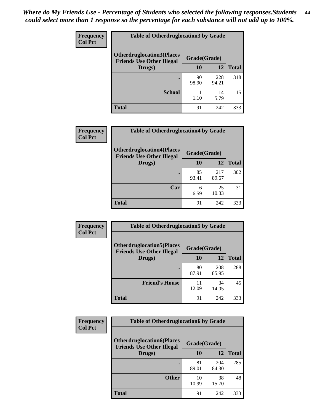| <b>Frequency</b> | <b>Table of Otherdruglocation3 by Grade</b>                          |              |              |              |
|------------------|----------------------------------------------------------------------|--------------|--------------|--------------|
| <b>Col Pct</b>   | <b>Otherdruglocation3(Places</b><br><b>Friends Use Other Illegal</b> | Grade(Grade) |              |              |
|                  | Drugs)                                                               | 10           | 12           | <b>Total</b> |
|                  |                                                                      | 90<br>98.90  | 228<br>94.21 | 318          |
|                  | <b>School</b>                                                        | 1.10         | 14<br>5.79   | 15           |
|                  | <b>Total</b>                                                         | 91           | 242          | 333          |

| <b>Frequency</b> | <b>Table of Otherdruglocation4 by Grade</b>                          |              |              |              |
|------------------|----------------------------------------------------------------------|--------------|--------------|--------------|
| <b>Col Pct</b>   | <b>Otherdruglocation4(Places</b><br><b>Friends Use Other Illegal</b> | Grade(Grade) |              |              |
|                  | Drugs)                                                               | 10           | 12           | <b>Total</b> |
|                  |                                                                      | 85<br>93.41  | 217<br>89.67 | 302          |
|                  | Car                                                                  | 6<br>6.59    | 25<br>10.33  | 31           |
|                  | <b>Total</b>                                                         | 91           | 242          | 333          |

| Frequency      | <b>Table of Otherdruglocation5 by Grade</b>                          |              |              |              |
|----------------|----------------------------------------------------------------------|--------------|--------------|--------------|
| <b>Col Pct</b> | <b>Otherdruglocation5(Places</b><br><b>Friends Use Other Illegal</b> | Grade(Grade) |              |              |
|                | Drugs)                                                               | 10           | 12           | <b>Total</b> |
|                |                                                                      | 80<br>87.91  | 208<br>85.95 | 288          |
|                | <b>Friend's House</b>                                                | 11<br>12.09  | 34<br>14.05  | 45           |
|                | <b>Total</b>                                                         | 91           | 242          | 333          |

| <b>Frequency</b> | <b>Table of Otherdruglocation6 by Grade</b>                          |              |              |              |
|------------------|----------------------------------------------------------------------|--------------|--------------|--------------|
| <b>Col Pct</b>   | <b>Otherdruglocation6(Places</b><br><b>Friends Use Other Illegal</b> | Grade(Grade) |              |              |
|                  | Drugs)                                                               | <b>10</b>    | 12           | <b>Total</b> |
|                  |                                                                      | 81<br>89.01  | 204<br>84.30 | 285          |
|                  | <b>Other</b>                                                         | 10<br>10.99  | 38<br>15.70  | 48           |
|                  | <b>Total</b>                                                         | 91           | 242          | 333          |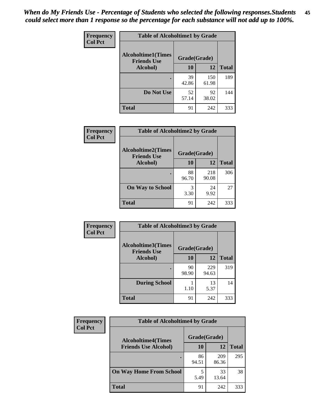| Frequency      | <b>Table of Alcoholtime1 by Grade</b>                           |             |              |              |
|----------------|-----------------------------------------------------------------|-------------|--------------|--------------|
| <b>Col Pct</b> | <b>Alcoholtime1(Times</b><br>Grade(Grade)<br><b>Friends Use</b> |             |              |              |
|                | Alcohol)                                                        | <b>10</b>   | 12           | <b>Total</b> |
|                |                                                                 | 39<br>42.86 | 150<br>61.98 | 189          |
|                | Do Not Use                                                      | 52<br>57.14 | 92<br>38.02  | 144          |
|                | <b>Total</b>                                                    | 91          | 242          | 333          |

| Frequency      | <b>Table of Alcoholtime2 by Grade</b>           |              |              |              |
|----------------|-------------------------------------------------|--------------|--------------|--------------|
| <b>Col Pct</b> | <b>Alcoholtime2(Times</b><br><b>Friends Use</b> | Grade(Grade) |              |              |
|                | Alcohol)                                        | 10           | 12           | <b>Total</b> |
|                |                                                 | 88<br>96.70  | 218<br>90.08 | 306          |
|                | <b>On Way to School</b>                         | 3.30         | 24<br>9.92   | 27           |
|                | <b>Total</b>                                    | 91           | 242          | 333          |

| Frequency<br><b>Col Pct</b> | <b>Table of Alcoholtime3 by Grade</b>                           |             |              |              |
|-----------------------------|-----------------------------------------------------------------|-------------|--------------|--------------|
|                             | <b>Alcoholtime3(Times</b><br>Grade(Grade)<br><b>Friends Use</b> |             |              |              |
|                             | Alcohol)                                                        | 10          | 12           | <b>Total</b> |
|                             |                                                                 | 90<br>98.90 | 229<br>94.63 | 319          |
|                             | <b>During School</b>                                            | 1.10        | 13<br>5.37   | 14           |
|                             | <b>Total</b>                                                    | 91          | 242          | 333          |

| <b>Frequency</b><br><b>Col Pct</b> | <b>Table of Alcoholtime4 by Grade</b> |              |              |              |
|------------------------------------|---------------------------------------|--------------|--------------|--------------|
|                                    | <b>Alcoholtime4(Times</b>             | Grade(Grade) |              |              |
|                                    | <b>Friends Use Alcohol)</b>           | 10           | 12           | <b>Total</b> |
|                                    |                                       | 86<br>94.51  | 209<br>86.36 | 295          |
|                                    | <b>On Way Home From School</b>        | 5.49         | 33<br>13.64  | 38           |
|                                    | <b>Total</b>                          | 91           | 242          | 333          |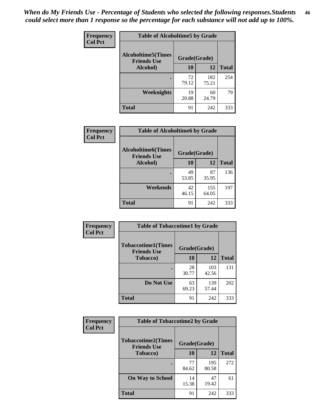*When do My Friends Use - Percentage of Students who selected the following responses.Students could select more than 1 response so the percentage for each substance will not add up to 100%.* **46**

| <b>Frequency</b> | <b>Table of Alcoholtime5 by Grade</b>            |              |              |              |
|------------------|--------------------------------------------------|--------------|--------------|--------------|
| <b>Col Pct</b>   | <b>Alcoholtime5</b> (Times<br><b>Friends Use</b> | Grade(Grade) |              |              |
|                  | Alcohol)                                         | 10           | 12           | <b>Total</b> |
|                  |                                                  | 72<br>79.12  | 182<br>75.21 | 254          |
|                  | Weeknights                                       | 19<br>20.88  | 60<br>24.79  | 79           |
|                  | <b>Total</b>                                     | 91           | 242          | 333          |

| Frequency      | <b>Table of Alcoholtime6 by Grade</b>           |              |              |              |
|----------------|-------------------------------------------------|--------------|--------------|--------------|
| <b>Col Pct</b> | <b>Alcoholtime6(Times</b><br><b>Friends Use</b> | Grade(Grade) |              |              |
|                | Alcohol)                                        | 10           | 12           | <b>Total</b> |
|                |                                                 | 49<br>53.85  | 87<br>35.95  | 136          |
|                | Weekends                                        | 42<br>46.15  | 155<br>64.05 | 197          |
|                | <b>Total</b>                                    | 91           | 242          | 333          |

| <b>Frequency</b><br><b>Col Pct</b> | <b>Table of Tobaccotime1 by Grade</b>           |              |              |              |
|------------------------------------|-------------------------------------------------|--------------|--------------|--------------|
|                                    | <b>Tobaccotime1(Times</b><br><b>Friends Use</b> | Grade(Grade) |              |              |
|                                    | <b>Tobacco</b> )                                | 10           | 12           | <b>Total</b> |
|                                    |                                                 | 28<br>30.77  | 103<br>42.56 | 131          |
|                                    | Do Not Use                                      | 63<br>69.23  | 139<br>57.44 | 202          |
|                                    | <b>Total</b>                                    | 91           | 242          | 333          |

| <b>Frequency</b> | <b>Table of Tobaccotime2 by Grade</b>           |              |              |              |
|------------------|-------------------------------------------------|--------------|--------------|--------------|
| <b>Col Pct</b>   | <b>Tobaccotime2(Times</b><br><b>Friends Use</b> | Grade(Grade) |              |              |
|                  | <b>Tobacco</b> )                                | 10           | 12           | <b>Total</b> |
|                  |                                                 | 77<br>84.62  | 195<br>80.58 | 272          |
|                  | <b>On Way to School</b>                         | 14<br>15.38  | 47<br>19.42  | 61           |
|                  | <b>Total</b>                                    | 91           | 242          | 333          |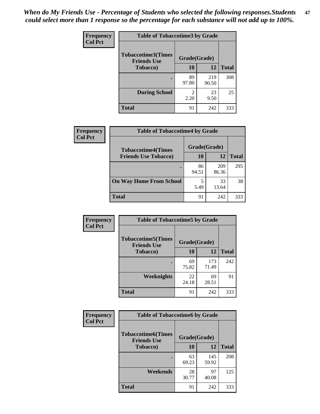*When do My Friends Use - Percentage of Students who selected the following responses.Students could select more than 1 response so the percentage for each substance will not add up to 100%.* **47**

| <b>Frequency</b> | <b>Table of Tobaccotime3 by Grade</b>                           |                        |              |              |  |
|------------------|-----------------------------------------------------------------|------------------------|--------------|--------------|--|
| <b>Col Pct</b>   | <b>Tobaccotime3(Times</b><br>Grade(Grade)<br><b>Friends Use</b> |                        |              |              |  |
|                  | <b>Tobacco</b> )                                                | 10                     | 12           | <b>Total</b> |  |
|                  |                                                                 | 89<br>97.80            | 219<br>90.50 | 308          |  |
|                  | <b>During School</b>                                            | $\mathfrak{D}$<br>2.20 | 23<br>9.50   | 25           |  |
|                  | <b>Total</b>                                                    | 91                     | 242          | 333          |  |

| Frequency<br><b>Col Pct</b> | <b>Table of Tobaccotime4 by Grade</b> |              |              |              |  |
|-----------------------------|---------------------------------------|--------------|--------------|--------------|--|
|                             | <b>Tobaccotime4(Times</b>             | Grade(Grade) |              |              |  |
|                             | <b>Friends Use Tobacco)</b>           | 10           | 12           | <b>Total</b> |  |
|                             |                                       | 86<br>94.51  | 209<br>86.36 | 295          |  |
|                             | <b>On Way Home From School</b>        | 5<br>5.49    | 33<br>13.64  | 38           |  |
|                             | Total                                 | 91           | 242          | 333          |  |

| <b>Frequency</b> | <b>Table of Tobaccotime5 by Grade</b>                            |             |              |              |  |
|------------------|------------------------------------------------------------------|-------------|--------------|--------------|--|
| <b>Col Pct</b>   | <b>Tobaccotime5</b> (Times<br>Grade(Grade)<br><b>Friends Use</b> |             |              |              |  |
|                  | <b>Tobacco</b> )                                                 | 10          | 12           | <b>Total</b> |  |
|                  |                                                                  | 69<br>75.82 | 173<br>71.49 | 242          |  |
|                  | Weeknights                                                       | 22<br>24.18 | 69<br>28.51  | 91           |  |
|                  | <b>Total</b>                                                     | 91          | 242          | 333          |  |

| Frequency<br><b>Col Pct</b> | <b>Table of Tobaccotime6 by Grade</b>                           |             |              |              |
|-----------------------------|-----------------------------------------------------------------|-------------|--------------|--------------|
|                             | <b>Tobaccotime6(Times</b><br>Grade(Grade)<br><b>Friends Use</b> |             |              |              |
|                             | <b>Tobacco</b> )                                                | 10          | 12           | <b>Total</b> |
|                             |                                                                 | 63<br>69.23 | 145<br>59.92 | 208          |
|                             | Weekends                                                        | 28<br>30.77 | 97<br>40.08  | 125          |
|                             | Total                                                           | 91          | 242          | 333          |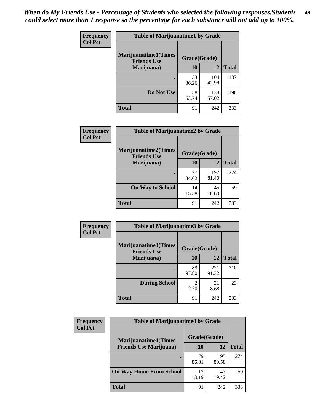| Frequency      | <b>Table of Marijuanatime1 by Grade</b>           |              |              |              |
|----------------|---------------------------------------------------|--------------|--------------|--------------|
| <b>Col Pct</b> | <b>Marijuanatime1(Times</b><br><b>Friends Use</b> | Grade(Grade) |              |              |
|                | Marijuana)                                        | 10           | 12           | <b>Total</b> |
|                |                                                   | 33<br>36.26  | 104<br>42.98 | 137          |
|                | Do Not Use                                        | 58<br>63.74  | 138<br>57.02 | 196          |
|                | <b>Total</b>                                      | 91           | 242          | 333          |

| Frequency      | <b>Table of Marijuanatime2 by Grade</b>           |              |              |              |  |
|----------------|---------------------------------------------------|--------------|--------------|--------------|--|
| <b>Col Pct</b> | <b>Marijuanatime2(Times</b><br><b>Friends Use</b> | Grade(Grade) |              |              |  |
|                | Marijuana)                                        | 10           | 12           | <b>Total</b> |  |
|                |                                                   | 77<br>84.62  | 197<br>81.40 | 274          |  |
|                | <b>On Way to School</b>                           | 14<br>15.38  | 45<br>18.60  | 59           |  |
|                | <b>Total</b>                                      | 91           | 242          | 333          |  |

| <b>Frequency</b> | <b>Table of Marijuanatime3 by Grade</b>    |                                  |              |              |  |
|------------------|--------------------------------------------|----------------------------------|--------------|--------------|--|
| <b>Col Pct</b>   | Marijuanatime3(Times<br><b>Friends Use</b> | Grade(Grade)                     |              |              |  |
|                  | Marijuana)                                 | 10                               | 12           | <b>Total</b> |  |
|                  |                                            | 89<br>97.80                      | 221<br>91.32 | 310          |  |
|                  | <b>During School</b>                       | $\overline{\mathcal{L}}$<br>2.20 | 21<br>8.68   | 23           |  |
|                  | <b>Total</b>                               | 91                               | 242          | 333          |  |

| Frequency      | <b>Table of Marijuanatime4 by Grade</b> |              |              |              |
|----------------|-----------------------------------------|--------------|--------------|--------------|
| <b>Col Pct</b> | <b>Marijuanatime4(Times</b>             | Grade(Grade) |              |              |
|                | <b>Friends Use Marijuana</b> )          | 10           | 12           | <b>Total</b> |
|                |                                         | 79<br>86.81  | 195<br>80.58 | 274          |
|                | <b>On Way Home From School</b>          | 12<br>13.19  | 47<br>19.42  | 59           |
|                | <b>Total</b>                            | 91           | 242          | 333          |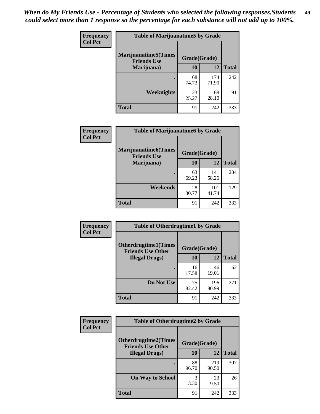| Frequency      | <b>Table of Marijuanatime5 by Grade</b>            |              |              |              |
|----------------|----------------------------------------------------|--------------|--------------|--------------|
| <b>Col Pct</b> | <b>Marijuanatime5</b> (Times<br><b>Friends Use</b> | Grade(Grade) |              |              |
|                | Marijuana)                                         | 10           | 12           | <b>Total</b> |
|                |                                                    | 68<br>74.73  | 174<br>71.90 | 242          |
|                | Weeknights                                         | 23<br>25.27  | 68<br>28.10  | 91           |
|                | <b>Total</b>                                       | 91           | 242          | 333          |

| Frequency      | <b>Table of Marijuanatime6 by Grade</b>    |              |              |              |
|----------------|--------------------------------------------|--------------|--------------|--------------|
| <b>Col Pct</b> | Marijuanatime6(Times<br><b>Friends Use</b> | Grade(Grade) |              |              |
|                | Marijuana)                                 | 10           | 12           | <b>Total</b> |
|                |                                            | 63<br>69.23  | 141<br>58.26 | 204          |
|                | Weekends                                   | 28<br>30.77  | 101<br>41.74 | 129          |
|                | <b>Total</b>                               | 91           | 242          | 333          |

| Frequency      | <b>Table of Otherdrugtime1 by Grade</b>                 |              |              |              |
|----------------|---------------------------------------------------------|--------------|--------------|--------------|
| <b>Col Pct</b> | <b>Otherdrugtime1(Times</b><br><b>Friends Use Other</b> | Grade(Grade) |              |              |
|                | <b>Illegal Drugs</b> )                                  | 10           | 12           | <b>Total</b> |
|                |                                                         | 16<br>17.58  | 46<br>19.01  | 62           |
|                | Do Not Use                                              | 75<br>82.42  | 196<br>80.99 | 271          |
|                | Total                                                   | 91           | 242          | 333          |

| Frequency      | <b>Table of Otherdrugtime2 by Grade</b><br><b>Otherdrugtime2(Times</b><br>Grade(Grade)<br><b>Friends Use Other</b> |             |              |              |
|----------------|--------------------------------------------------------------------------------------------------------------------|-------------|--------------|--------------|
| <b>Col Pct</b> |                                                                                                                    |             |              |              |
|                | <b>Illegal Drugs</b> )                                                                                             | 10          | 12           | <b>Total</b> |
|                |                                                                                                                    | 88<br>96.70 | 219<br>90.50 | 307          |
|                | <b>On Way to School</b>                                                                                            | 3<br>3.30   | 23<br>9.50   | 26           |
|                | Total                                                                                                              | 91          | 242          | 333          |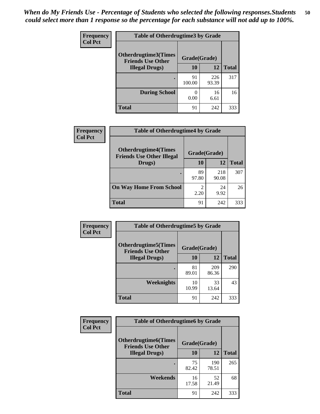| <b>Frequency</b> | <b>Table of Otherdrugtime3 by Grade</b><br>Otherdrugtime3(Times<br>Grade(Grade)<br><b>Friends Use Other</b> |              |              |              |
|------------------|-------------------------------------------------------------------------------------------------------------|--------------|--------------|--------------|
| <b>Col Pct</b>   |                                                                                                             |              |              |              |
|                  | <b>Illegal Drugs</b> )                                                                                      | 10           | 12           | <b>Total</b> |
|                  |                                                                                                             | 91<br>100.00 | 226<br>93.39 | 317          |
|                  | <b>During School</b>                                                                                        | 0<br>0.00    | 16<br>6.61   | 16           |
|                  | Total                                                                                                       | 91           | 242          | 333          |

| Frequency      | <b>Table of Otherdrugtime4 by Grade</b>                         |              |              |              |  |
|----------------|-----------------------------------------------------------------|--------------|--------------|--------------|--|
| <b>Col Pct</b> | <b>Otherdrugtime4(Times</b><br><b>Friends Use Other Illegal</b> | Grade(Grade) |              |              |  |
|                | Drugs)                                                          | 10           | 12           | <b>Total</b> |  |
|                | ٠                                                               | 89<br>97.80  | 218<br>90.08 | 307          |  |
|                | <b>On Way Home From School</b>                                  | 2<br>2.20    | 24<br>9.92   | 26           |  |
|                | <b>Total</b>                                                    | 91           | 242          | 333          |  |

| Frequency      | <b>Table of Otherdrugtime5 by Grade</b>                                  |             |              |              |  |
|----------------|--------------------------------------------------------------------------|-------------|--------------|--------------|--|
| <b>Col Pct</b> | <b>Otherdrugtime5</b> (Times<br>Grade(Grade)<br><b>Friends Use Other</b> |             |              |              |  |
|                | <b>Illegal Drugs</b> )                                                   | 10          | 12           | <b>Total</b> |  |
|                |                                                                          | 81<br>89.01 | 209<br>86.36 | 290          |  |
|                | Weeknights                                                               | 10<br>10.99 | 33<br>13.64  | 43           |  |
|                | Total                                                                    | 91          | 242          | 333          |  |

| <b>Frequency</b> | <b>Table of Otherdrugtime6 by Grade</b>                 |              |              |              |
|------------------|---------------------------------------------------------|--------------|--------------|--------------|
| <b>Col Pct</b>   | <b>Otherdrugtime6(Times</b><br><b>Friends Use Other</b> | Grade(Grade) |              |              |
|                  | <b>Illegal Drugs</b> )                                  | 10           | 12           | <b>Total</b> |
|                  |                                                         | 75<br>82.42  | 190<br>78.51 | 265          |
|                  | Weekends                                                | 16<br>17.58  | 52<br>21.49  | 68           |
|                  | <b>Total</b>                                            | 91           | 242          | 333          |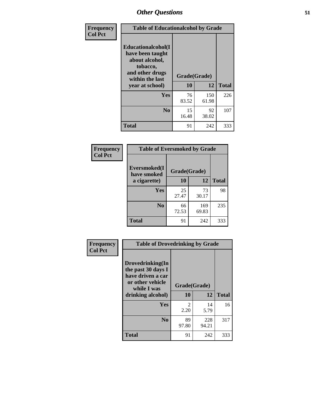| Frequency      | <b>Table of Educationalcohol by Grade</b>                                                                  |              |              |              |
|----------------|------------------------------------------------------------------------------------------------------------|--------------|--------------|--------------|
| <b>Col Pct</b> | Educationalcohol(I<br>have been taught<br>about alcohol,<br>tobacco,<br>and other drugs<br>within the last | Grade(Grade) |              |              |
|                | year at school)                                                                                            | 10           | 12           | <b>Total</b> |
|                | <b>Yes</b>                                                                                                 | 76<br>83.52  | 150<br>61.98 | 226          |
|                | N <sub>0</sub>                                                                                             | 15<br>16.48  | 92<br>38.02  | 107          |
|                | <b>Total</b>                                                                                               | 91           | 242          | 333          |

| Frequency      | <b>Table of Eversmoked by Grade</b> |              |              |              |  |
|----------------|-------------------------------------|--------------|--------------|--------------|--|
| <b>Col Pct</b> | Eversmoked(I<br>have smoked         | Grade(Grade) |              |              |  |
|                | a cigarette)                        | 10           | 12           | <b>Total</b> |  |
|                | <b>Yes</b>                          | 25<br>27.47  | 73<br>30.17  | 98           |  |
|                | N <sub>0</sub>                      | 66<br>72.53  | 169<br>69.83 | 235          |  |
|                | <b>Total</b>                        | 91           | 242          | 333          |  |

| Frequency      | <b>Table of Drovedrinking by Grade</b>                                                                              |                    |              |              |
|----------------|---------------------------------------------------------------------------------------------------------------------|--------------------|--------------|--------------|
| <b>Col Pct</b> | Drovedrinking(In<br>the past 30 days I<br>have driven a car<br>or other vehicle<br>while I was<br>drinking alcohol) | Grade(Grade)<br>10 | 12           | <b>Total</b> |
|                | <b>Yes</b>                                                                                                          | $\mathfrak{D}$     | 14           | 16           |
|                |                                                                                                                     | 2.20               | 5.79         |              |
|                | N <sub>0</sub>                                                                                                      | 89<br>97.80        | 228<br>94.21 | 317          |
|                | <b>Total</b>                                                                                                        | 91                 | 242          | 333          |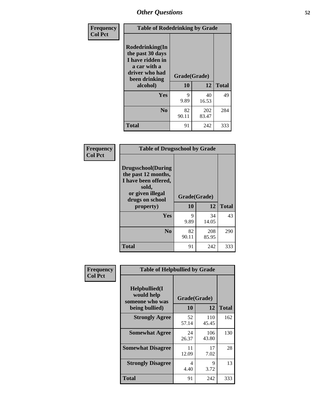| Frequency<br><b>Col Pct</b> | <b>Table of Rodedrinking by Grade</b>                                                                                  |                    |              |              |  |
|-----------------------------|------------------------------------------------------------------------------------------------------------------------|--------------------|--------------|--------------|--|
|                             | Rodedrinking(In<br>the past 30 days<br>I have ridden in<br>a car with a<br>driver who had<br>been drinking<br>alcohol) | Grade(Grade)<br>10 | 12           | <b>Total</b> |  |
|                             |                                                                                                                        |                    |              |              |  |
|                             | Yes                                                                                                                    | 9<br>9.89          | 40<br>16.53  | 49           |  |
|                             | N <sub>0</sub>                                                                                                         | 82<br>90.11        | 202<br>83.47 | 284          |  |
|                             | <b>Total</b>                                                                                                           | 91                 | 242          | 333          |  |

#### **Frequency Col Pct**

| <b>Table of Drugsschool by Grade</b>                                                                                      |              |              |              |  |
|---------------------------------------------------------------------------------------------------------------------------|--------------|--------------|--------------|--|
| <b>Drugsschool</b> (During<br>the past 12 months,<br>I have been offered,<br>sold,<br>or given illegal<br>drugs on school | Grade(Grade) |              |              |  |
| property)                                                                                                                 | 10           | 12           | <b>Total</b> |  |
| Yes                                                                                                                       | 9<br>9.89    | 34<br>14.05  | 43           |  |
| N <sub>0</sub>                                                                                                            | 82<br>90.11  | 208<br>85.95 | 290          |  |
| Total                                                                                                                     | 91           | 242          | 333          |  |

| Frequency                                                              | <b>Table of Helpbullied by Grade</b> |              |              |              |
|------------------------------------------------------------------------|--------------------------------------|--------------|--------------|--------------|
| <b>Col Pct</b><br>$Helpb$ ullied $(I$<br>would help<br>someone who was |                                      | Grade(Grade) |              |              |
|                                                                        | being bullied)                       | 10           | 12           | <b>Total</b> |
|                                                                        | <b>Strongly Agree</b>                | 52<br>57.14  | 110<br>45.45 | 162          |
|                                                                        | <b>Somewhat Agree</b>                | 24<br>26.37  | 106<br>43.80 | 130          |
|                                                                        | <b>Somewhat Disagree</b>             | 11<br>12.09  | 17<br>7.02   | 28           |
|                                                                        | <b>Strongly Disagree</b>             | 4<br>4.40    | 9<br>3.72    | 13           |
|                                                                        | <b>Total</b>                         | 91           | 242          | 333          |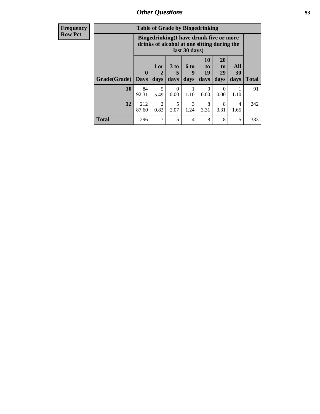| Frequency      | <b>Table of Grade by Bingedrinking</b> |                             |                        |                   |                          |                                                                                        |                               |                        |              |
|----------------|----------------------------------------|-----------------------------|------------------------|-------------------|--------------------------|----------------------------------------------------------------------------------------|-------------------------------|------------------------|--------------|
| <b>Row Pct</b> |                                        |                             |                        |                   | last 30 days)            | Bingedrinking(I have drunk five or more<br>drinks of alcohol at one sitting during the |                               |                        |              |
|                | Grade(Grade)                           | $\mathbf{0}$<br><b>Days</b> | $1$ or<br>days         | 3 to<br>5<br>days | <b>6 to</b><br>9<br>days | <b>10</b><br>to<br><b>19</b><br>days                                                   | <b>20</b><br>to<br>29<br>days | All<br>30<br>days      | <b>Total</b> |
|                | <b>10</b>                              | 84<br>92.31                 | 5<br>5.49              | $\Omega$<br>0.00  | 1.10                     | $\Omega$<br>0.00                                                                       | 0<br>0.00                     | 1.10                   | 91           |
|                | 12                                     | 212<br>87.60                | $\overline{2}$<br>0.83 | 5<br>2.07         | 3<br>1.24                | 8<br>3.31                                                                              | 8<br>3.31                     | $\overline{4}$<br>1.65 | 242          |
|                | <b>Total</b>                           | 296                         | 7                      | 5                 | 4                        | 8                                                                                      | 8                             | 5                      | 333          |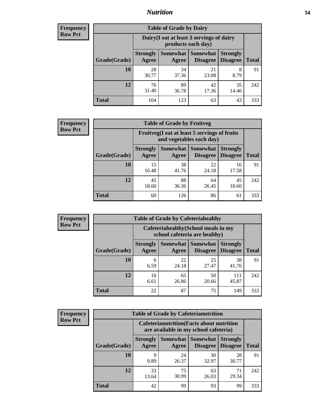### *Nutrition* **54**

| <b>Frequency</b><br>Row Pct |
|-----------------------------|
|                             |

| <b>Table of Grade by Dairy</b> |                          |                                                                 |                             |                                    |              |  |  |  |  |
|--------------------------------|--------------------------|-----------------------------------------------------------------|-----------------------------|------------------------------------|--------------|--|--|--|--|
|                                |                          | Dairy (I eat at least 3 servings of dairy<br>products each day) |                             |                                    |              |  |  |  |  |
| Grade(Grade)                   | <b>Strongly</b><br>Agree | <b>Somewhat</b><br>Agree                                        | <b>Somewhat</b><br>Disagree | <b>Strongly</b><br><b>Disagree</b> | <b>Total</b> |  |  |  |  |
| 10                             | 28<br>30.77              | 34<br>37.36                                                     | 21<br>23.08                 | 8<br>8.79                          | 91           |  |  |  |  |
| 12                             | 76<br>31.40              | 89<br>36.78                                                     | 42<br>17.36                 | 35<br>14.46                        | 242          |  |  |  |  |
| <b>Total</b>                   | 104                      | 123                                                             | 63                          | 43                                 | 333          |  |  |  |  |

| <b>Frequency</b> |  |
|------------------|--|
| <b>Row Pct</b>   |  |

| <b>Table of Grade by Fruitveg</b>                                        |                          |             |                                      |                                    |              |  |  |
|--------------------------------------------------------------------------|--------------------------|-------------|--------------------------------------|------------------------------------|--------------|--|--|
| Fruitveg(I eat at least 5 servings of fruits<br>and vegetables each day) |                          |             |                                      |                                    |              |  |  |
| Grade(Grade)                                                             | <b>Strongly</b><br>Agree | Agree       | <b>Somewhat</b> Somewhat<br>Disagree | <b>Strongly</b><br><b>Disagree</b> | <b>Total</b> |  |  |
| 10                                                                       | 15<br>16.48              | 38<br>41.76 | 22<br>24.18                          | 16<br>17.58                        | 91           |  |  |
| 12                                                                       | 45<br>18.60              | 88<br>36.36 | 64<br>26.45                          | 45<br>18.60                        | 242          |  |  |
| <b>Total</b>                                                             | 60                       | 126         | 86                                   | 61                                 | 333          |  |  |

| Frequency      | <b>Table of Grade by Cafeteriahealthy</b> |                                                                       |                     |                             |                                    |              |  |  |
|----------------|-------------------------------------------|-----------------------------------------------------------------------|---------------------|-----------------------------|------------------------------------|--------------|--|--|
| <b>Row Pct</b> |                                           | Cafeteriahealthy (School meals in my<br>school cafeteria are healthy) |                     |                             |                                    |              |  |  |
|                | Grade(Grade)                              | <b>Strongly</b><br>Agree                                              | Somewhat  <br>Agree | Somewhat<br><b>Disagree</b> | <b>Strongly</b><br><b>Disagree</b> | <b>Total</b> |  |  |
|                | 10                                        | 6<br>6.59                                                             | 22<br>24.18         | 25<br>27.47                 | 38<br>41.76                        | 91           |  |  |
|                | 12                                        | 16<br>6.61                                                            | 65<br>26.86         | 50<br>20.66                 | 111<br>45.87                       | 242          |  |  |
|                | Total                                     | 22                                                                    | 87                  | 75                          | 149                                | 333          |  |  |

| <b>Frequency</b> |
|------------------|
| <b>Row Pct</b>   |

| <b>Table of Grade by Cafeterianutrition</b>                                               |                          |                     |                                    |                                    |              |  |  |
|-------------------------------------------------------------------------------------------|--------------------------|---------------------|------------------------------------|------------------------------------|--------------|--|--|
| <b>Cafeterianutrition</b> (Facts about nutrition<br>are available in my school cafeteria) |                          |                     |                                    |                                    |              |  |  |
| Grade(Grade)                                                                              | <b>Strongly</b><br>Agree | Somewhat  <br>Agree | <b>Somewhat</b><br><b>Disagree</b> | <b>Strongly</b><br><b>Disagree</b> | <b>Total</b> |  |  |
| 10                                                                                        | Q<br>9.89                | 24<br>26.37         | 30<br>32.97                        | 28<br>30.77                        | 91           |  |  |
| 12                                                                                        | 33<br>13.64              | 75<br>30.99         | 63<br>26.03                        | 71<br>29.34                        | 242          |  |  |
| <b>Total</b>                                                                              | 42                       | 99                  | 93                                 | 99                                 | 333          |  |  |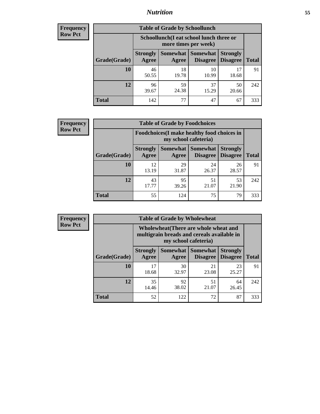### *Nutrition* **55**

| Frequency |
|-----------|
| Row Pct   |

| <b>Table of Grade by Schoollunch</b> |                          |                                                                 |                             |                                    |              |  |  |  |  |
|--------------------------------------|--------------------------|-----------------------------------------------------------------|-----------------------------|------------------------------------|--------------|--|--|--|--|
|                                      |                          | Schoollunch(I eat school lunch three or<br>more times per week) |                             |                                    |              |  |  |  |  |
| Grade(Grade)                         | <b>Strongly</b><br>Agree | Somewhat  <br>Agree                                             | <b>Somewhat</b><br>Disagree | <b>Strongly</b><br><b>Disagree</b> | <b>Total</b> |  |  |  |  |
| 10                                   | 46<br>50.55              | 18<br>19.78                                                     | 10<br>10.99                 | 17<br>18.68                        | 91           |  |  |  |  |
| 12                                   | 96<br>39.67              | 59<br>24.38                                                     | 37<br>15.29                 | 50<br>20.66                        | 242          |  |  |  |  |
| <b>Total</b>                         | 142                      | 77                                                              | 47                          | 67                                 | 333          |  |  |  |  |

| <b>Frequency</b> |  |
|------------------|--|
| <b>Row Pct</b>   |  |

| y | <b>Table of Grade by Foodchoices</b>                                |                          |             |                                   |                                    |              |  |  |
|---|---------------------------------------------------------------------|--------------------------|-------------|-----------------------------------|------------------------------------|--------------|--|--|
|   | Foodchoices (I make healthy food choices in<br>my school cafeteria) |                          |             |                                   |                                    |              |  |  |
|   | Grade(Grade)                                                        | <b>Strongly</b><br>Agree | Agree       | Somewhat   Somewhat  <br>Disagree | <b>Strongly</b><br><b>Disagree</b> | <b>Total</b> |  |  |
|   | 10                                                                  | 12<br>13.19              | 29<br>31.87 | 24<br>26.37                       | 26<br>28.57                        | 91           |  |  |
|   | 12                                                                  | 43<br>17.77              | 95<br>39.26 | 51<br>21.07                       | 53<br>21.90                        | 242          |  |  |
|   | <b>Total</b>                                                        | 55                       | 124         | 75                                | 79                                 | 333          |  |  |

| Frequency      | <b>Table of Grade by Wholewheat</b> |                                                                                                             |                   |                                    |                                    |              |  |  |
|----------------|-------------------------------------|-------------------------------------------------------------------------------------------------------------|-------------------|------------------------------------|------------------------------------|--------------|--|--|
| <b>Row Pct</b> |                                     | Wholewheat (There are whole wheat and<br>multigrain breads and cereals available in<br>my school cafeteria) |                   |                                    |                                    |              |  |  |
|                | Grade(Grade)                        | <b>Strongly</b><br>Agree                                                                                    | Somewhat<br>Agree | <b>Somewhat</b><br><b>Disagree</b> | <b>Strongly</b><br><b>Disagree</b> | <b>Total</b> |  |  |
|                | 10                                  | 17<br>18.68                                                                                                 | 30<br>32.97       | 21<br>23.08                        | 23<br>25.27                        | 91           |  |  |
|                | 12                                  | 35<br>14.46                                                                                                 | 92<br>38.02       | 51<br>21.07                        | 64<br>26.45                        | 242          |  |  |
|                | <b>Total</b>                        | 52                                                                                                          | 122               | 72                                 | 87                                 | 333          |  |  |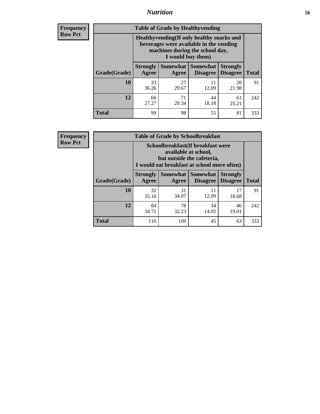### *Nutrition* **56**

**Frequency Row Pct**

| <b>Table of Grade by Healthyvending</b> |                                                                                                                                               |                          |                                    |                                    |              |  |
|-----------------------------------------|-----------------------------------------------------------------------------------------------------------------------------------------------|--------------------------|------------------------------------|------------------------------------|--------------|--|
|                                         | Healthyvending (If only healthy snacks and<br>beverages were available in the vending<br>machines during the school day,<br>I would buy them) |                          |                                    |                                    |              |  |
| Grade(Grade)                            | <b>Strongly</b><br>Agree                                                                                                                      | <b>Somewhat</b><br>Agree | <b>Somewhat</b><br><b>Disagree</b> | <b>Strongly</b><br><b>Disagree</b> | <b>Total</b> |  |
| 10                                      | 33<br>36.26                                                                                                                                   | 27<br>29.67              | 11<br>12.09                        | 20<br>21.98                        | 91           |  |
| 12                                      | 66<br>27.27                                                                                                                                   | 71<br>29.34              | 44<br>18.18                        | 61<br>25.21                        | 242          |  |
| <b>Total</b>                            | 99                                                                                                                                            | 98                       | 55                                 | 81                                 | 333          |  |

**Frequency Row Pct**

| <b>Table of Grade by Schoolbreakfast</b> |                                                                                                                                         |             |                                        |                                    |              |  |  |
|------------------------------------------|-----------------------------------------------------------------------------------------------------------------------------------------|-------------|----------------------------------------|------------------------------------|--------------|--|--|
|                                          | Schoolbreakfast (If breakfast were<br>available at school,<br>but outside the cafeteria,<br>I would eat breakfast at school more often) |             |                                        |                                    |              |  |  |
| Grade(Grade)                             | <b>Strongly</b><br>Agree                                                                                                                | Agree       | Somewhat   Somewhat<br><b>Disagree</b> | <b>Strongly</b><br><b>Disagree</b> | <b>Total</b> |  |  |
| 10                                       | 32<br>35.16                                                                                                                             | 31<br>34.07 | 11<br>12.09                            | 17<br>18.68                        | 91           |  |  |
| 12                                       | 84<br>34.71                                                                                                                             | 78<br>32.23 | 34<br>14.05                            | 46<br>19.01                        | 242          |  |  |
| <b>Total</b>                             | 116                                                                                                                                     | 109         | 45                                     | 63                                 | 333          |  |  |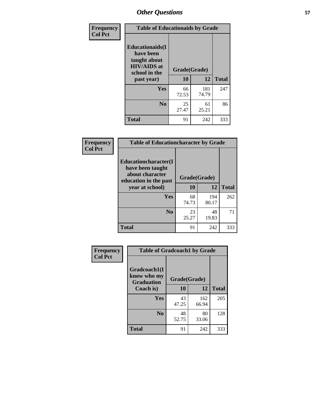| Frequency<br><b>Col Pct</b> | <b>Table of Educationaids by Grade</b>                                                                    |                    |              |              |  |
|-----------------------------|-----------------------------------------------------------------------------------------------------------|--------------------|--------------|--------------|--|
|                             | <b>Educationaids</b> (I<br>have been<br>taught about<br><b>HIV/AIDS</b> at<br>school in the<br>past year) | Grade(Grade)<br>10 | 12           | <b>Total</b> |  |
|                             | Yes                                                                                                       | 66<br>72.53        | 181<br>74.79 | 247          |  |
|                             | N <sub>0</sub>                                                                                            | 25<br>27.47        | 61<br>25.21  | 86           |  |
|                             | <b>Total</b>                                                                                              | 91                 | 242          | 333          |  |

| <b>Frequency</b> | <b>Table of Educationcharacter by Grade</b>                                          |              |              |              |
|------------------|--------------------------------------------------------------------------------------|--------------|--------------|--------------|
| <b>Col Pct</b>   | Educationcharacter(I<br>have been taught<br>about character<br>education in the past | Grade(Grade) |              |              |
|                  | year at school)                                                                      | 10           | 12           | <b>Total</b> |
|                  | <b>Yes</b>                                                                           | 68<br>74.73  | 194<br>80.17 | 262          |
|                  | N <sub>0</sub>                                                                       | 23<br>25.27  | 48<br>19.83  | 71           |
|                  | <b>Total</b>                                                                         | 91           | 242          | 333          |

| Frequency      | <b>Table of Gradcoach1 by Grade</b> |              |              |              |
|----------------|-------------------------------------|--------------|--------------|--------------|
| <b>Col Pct</b> | Gradcoach1(I<br>know who my         | Grade(Grade) |              |              |
|                | <b>Graduation</b><br>Coach is)      | 10           | 12           | <b>Total</b> |
|                | Yes                                 | 43<br>47.25  | 162<br>66.94 | 205          |
|                | N <sub>0</sub>                      | 48<br>52.75  | 80<br>33.06  | 128          |
|                | <b>Total</b>                        | 91           | 242          | 333          |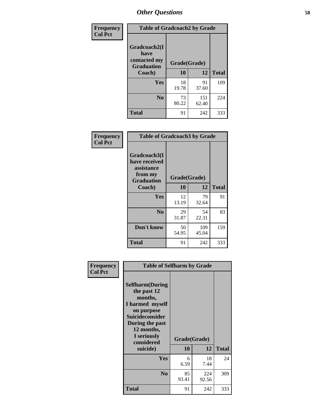| Frequency      | <b>Table of Gradcoach2 by Grade</b> |              |              |              |
|----------------|-------------------------------------|--------------|--------------|--------------|
| <b>Col Pct</b> | Gradcoach2(I<br>have                |              |              |              |
|                | contacted my<br><b>Graduation</b>   | Grade(Grade) |              |              |
|                | Coach)                              | 10           | 12           | <b>Total</b> |
|                | Yes                                 | 18<br>19.78  | 91<br>37.60  | 109          |
|                | N <sub>0</sub>                      | 73<br>80.22  | 151<br>62.40 | 224          |
|                | <b>Total</b>                        | 91           | 242          | 333          |

| <b>Frequency</b><br><b>Col Pct</b> | <b>Table of Gradcoach3 by Grade</b>                                         |              |              |              |
|------------------------------------|-----------------------------------------------------------------------------|--------------|--------------|--------------|
|                                    | Gradcoach3(I<br>have received<br>assistance<br>from my<br><b>Graduation</b> | Grade(Grade) |              |              |
|                                    | Coach)                                                                      | 10           | 12           | <b>Total</b> |
|                                    | Yes                                                                         | 12<br>13.19  | 79<br>32.64  | 91           |
|                                    | N <sub>0</sub>                                                              | 29<br>31.87  | 54<br>22.31  | 83           |
|                                    | Don't know                                                                  | 50<br>54.95  | 109<br>45.04 | 159          |
|                                    | <b>Total</b>                                                                | 91           | 242          | 333          |

| Frequency      | <b>Table of Selfharm by Grade</b>                                                                                                                            |              |              |              |  |
|----------------|--------------------------------------------------------------------------------------------------------------------------------------------------------------|--------------|--------------|--------------|--|
| <b>Col Pct</b> | <b>Selfharm</b> (During<br>the past 12<br>months,<br>I harmed myself<br>on purpose<br><b>Suicideconsider</b><br>During the past<br>12 months,<br>I seriously |              |              |              |  |
|                | considered                                                                                                                                                   | Grade(Grade) |              |              |  |
|                | suicide)                                                                                                                                                     | 10           | 12           | <b>Total</b> |  |
|                | <b>Yes</b>                                                                                                                                                   | 6<br>6.59    | 18<br>7.44   | 24           |  |
|                | N <sub>0</sub>                                                                                                                                               | 85<br>93.41  | 224<br>92.56 | 309          |  |
|                | <b>Total</b>                                                                                                                                                 | 91           | 242          | 333          |  |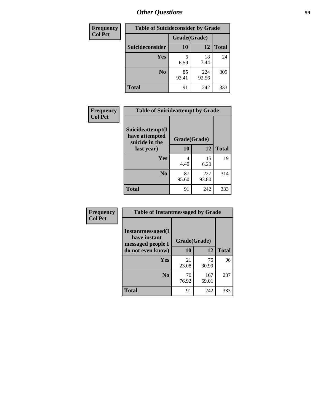| <b>Frequency</b> | <b>Table of Suicideconsider by Grade</b> |              |              |              |
|------------------|------------------------------------------|--------------|--------------|--------------|
| <b>Col Pct</b>   |                                          | Grade(Grade) |              |              |
|                  | Suicideconsider                          | <b>10</b>    | 12           | <b>Total</b> |
|                  | <b>Yes</b>                               | 6<br>6.59    | 18<br>7.44   | 24           |
|                  | N <sub>0</sub>                           | 85<br>93.41  | 224<br>92.56 | 309          |
|                  | <b>Total</b>                             | 91           | 242          | 333          |

| Frequency      | <b>Table of Suicideattempt by Grade</b>              |              |              |              |
|----------------|------------------------------------------------------|--------------|--------------|--------------|
| <b>Col Pct</b> | Suicideattempt(I<br>have attempted<br>suicide in the | Grade(Grade) |              |              |
|                | last year)                                           | 10           | 12           | <b>Total</b> |
|                | Yes                                                  | 4<br>4.40    | 15<br>6.20   | 19           |
|                | N <sub>0</sub>                                       | 87<br>95.60  | 227<br>93.80 | 314          |
|                | <b>Total</b>                                         | 91           | 242          | 333          |

| Frequency      | <b>Table of Instantmessaged by Grade</b>                       |              |              |              |
|----------------|----------------------------------------------------------------|--------------|--------------|--------------|
| <b>Col Pct</b> | <b>Instantmessaged</b> (I<br>have instant<br>messaged people I | Grade(Grade) |              |              |
|                | do not even know)                                              | 10           | 12           | <b>Total</b> |
|                | Yes                                                            | 21<br>23.08  | 75<br>30.99  | 96           |
|                | N <sub>0</sub>                                                 | 70<br>76.92  | 167<br>69.01 | 237          |
|                | <b>Total</b>                                                   | 91           | 242          | 333          |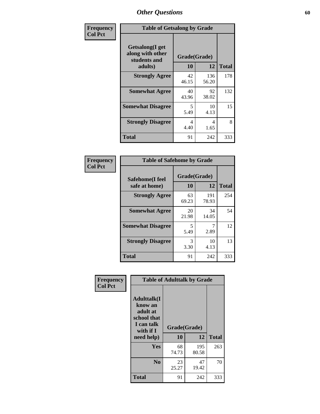| Frequency      | <b>Table of Getsalong by Grade</b>                          |             |              |              |  |  |  |
|----------------|-------------------------------------------------------------|-------------|--------------|--------------|--|--|--|
| <b>Col Pct</b> | <b>Getsalong</b> (I get<br>along with other<br>students and |             | Grade(Grade) |              |  |  |  |
|                | adults)                                                     | 10          | 12           | <b>Total</b> |  |  |  |
|                | <b>Strongly Agree</b>                                       | 42<br>46.15 | 136<br>56.20 | 178          |  |  |  |
|                | <b>Somewhat Agree</b>                                       | 40<br>43.96 | 92<br>38.02  | 132          |  |  |  |
|                | <b>Somewhat Disagree</b>                                    | 5<br>5.49   | 10<br>4.13   | 15           |  |  |  |
|                | <b>Strongly Disagree</b>                                    | 4<br>4.40   | 4<br>1.65    | 8            |  |  |  |
|                | <b>Total</b>                                                | 91          | 242          | 333          |  |  |  |

| Frequency      | <b>Table of Safehome by Grade</b> |                           |              |              |  |  |  |  |
|----------------|-----------------------------------|---------------------------|--------------|--------------|--|--|--|--|
| <b>Col Pct</b> | Safehome(I feel<br>safe at home)  | Grade(Grade)<br><b>10</b> | 12           | <b>Total</b> |  |  |  |  |
|                | <b>Strongly Agree</b>             | 63<br>69.23               | 191<br>78.93 | 254          |  |  |  |  |
|                | <b>Somewhat Agree</b>             | 20<br>21.98               | 34<br>14.05  | 54           |  |  |  |  |
|                | <b>Somewhat Disagree</b>          | 5<br>5.49                 | 7<br>2.89    | 12           |  |  |  |  |
|                | <b>Strongly Disagree</b>          | 3<br>3.30                 | 10<br>4.13   | 13           |  |  |  |  |
|                | <b>Total</b>                      | 91                        | 242          | 333          |  |  |  |  |

| Frequency      |                                                                                     | <b>Table of Adulttalk by Grade</b> |              |              |
|----------------|-------------------------------------------------------------------------------------|------------------------------------|--------------|--------------|
| <b>Col Pct</b> | <b>Adulttalk(I</b><br>know an<br>adult at<br>school that<br>I can talk<br>with if I | Grade(Grade)                       |              |              |
|                | need help)                                                                          | 10                                 | 12           | <b>Total</b> |
|                | <b>Yes</b>                                                                          | 68<br>74.73                        | 195<br>80.58 | 263          |
|                | N <sub>0</sub>                                                                      | 23<br>25.27                        | 47<br>19.42  | 70           |
|                | <b>Total</b>                                                                        | 91                                 | 242          | 333          |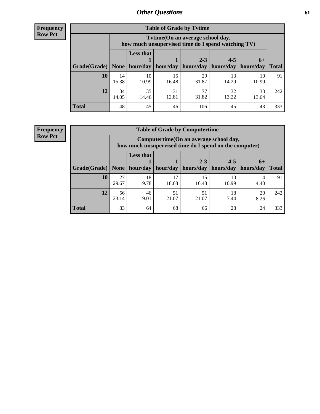**Frequency Row Pct**

| <b>Table of Grade by Tvtime</b> |             |                                                                                        |             |             |             |             |              |  |  |  |
|---------------------------------|-------------|----------------------------------------------------------------------------------------|-------------|-------------|-------------|-------------|--------------|--|--|--|
|                                 |             | Tvtime(On an average school day,<br>how much unsupervised time do I spend watching TV) |             |             |             |             |              |  |  |  |
|                                 |             | <b>Less that</b>                                                                       |             | $2 - 3$     | $4 - 5$     | $6+$        |              |  |  |  |
| Grade(Grade)                    | None        | hour/day                                                                               | hour/day    | hours/day   | hours/day   | hours/day   | <b>Total</b> |  |  |  |
| 10                              | 14<br>15.38 | 10<br>10.99                                                                            | 15<br>16.48 | 29<br>31.87 | 13<br>14.29 | 10<br>10.99 | 91           |  |  |  |
| 12                              | 34<br>14.05 | 35<br>14.46                                                                            | 31<br>12.81 | 77<br>31.82 | 32<br>13.22 | 33<br>13.64 | 242          |  |  |  |
| <b>Total</b>                    | 48          | 45                                                                                     | 46          | 106         | 45          | 43          | 333          |  |  |  |

**Frequency Row Pct**

| <b>Table of Grade by Computertime</b> |             |                                                                                                   |             |                      |                      |                   |              |  |  |  |
|---------------------------------------|-------------|---------------------------------------------------------------------------------------------------|-------------|----------------------|----------------------|-------------------|--------------|--|--|--|
|                                       |             | Computertime (On an average school day,<br>how much unsupervised time do I spend on the computer) |             |                      |                      |                   |              |  |  |  |
| Grade(Grade)                          | None        | <b>Less that</b><br>hour/day                                                                      | hour/day    | $2 - 3$<br>hours/day | $4 - 5$<br>hours/day | $6+$<br>hours/day | <b>Total</b> |  |  |  |
| 10                                    | 27<br>29.67 | 18<br>19.78                                                                                       | 17<br>18.68 | 15<br>16.48          | 10<br>10.99          | 4.40              | 91           |  |  |  |
| 12                                    | 56<br>23.14 | 46<br>51<br>51<br>20<br>18<br>21.07<br>21.07<br>7.44<br>19.01<br>8.26                             |             |                      |                      |                   |              |  |  |  |
| <b>Total</b>                          | 83          | 64                                                                                                | 68          | 66                   | 28                   | 24                | 333          |  |  |  |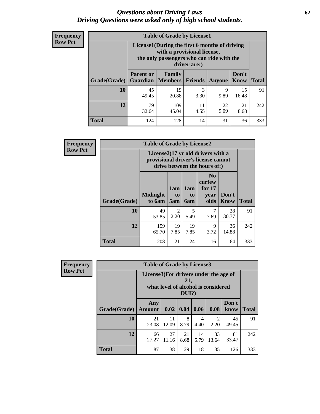#### *Questions about Driving Laws* **62** *Driving Questions were asked only of high school students.*

| <b>Frequency</b> |
|------------------|
| <b>Row Pct</b>   |

| <b>Table of Grade by License1</b> |                                                                       |                                                                                                                                           |           |           |               |              |  |  |  |
|-----------------------------------|-----------------------------------------------------------------------|-------------------------------------------------------------------------------------------------------------------------------------------|-----------|-----------|---------------|--------------|--|--|--|
|                                   |                                                                       | License1(During the first 6 months of driving<br>with a provisional license,<br>the only passengers who can ride with the<br>driver are:) |           |           |               |              |  |  |  |
| Grade(Grade)                      | <b>Parent or</b><br>Guardian                                          | Family<br><b>Members</b>                                                                                                                  | Friends   | Anyone    | Don't<br>Know | <b>Total</b> |  |  |  |
| 10                                | 45<br>49.45                                                           | 19<br>20.88                                                                                                                               | 3<br>3.30 | 9<br>9.89 | 15<br>16.48   | 91           |  |  |  |
| 12                                | 79<br>109<br>22<br>21<br>11<br>9.09<br>45.04<br>4.55<br>8.68<br>32.64 |                                                                                                                                           |           |           |               |              |  |  |  |
| <b>Total</b>                      | 124                                                                   | 128                                                                                                                                       | 14        | 31        | 36            | 333          |  |  |  |

| <b>Frequency</b> |                                                                                                                      | <b>Table of Grade by License2</b> |                              |                              |                                                      |                      |              |  |
|------------------|----------------------------------------------------------------------------------------------------------------------|-----------------------------------|------------------------------|------------------------------|------------------------------------------------------|----------------------|--------------|--|
| <b>Row Pct</b>   | License $2(17 \text{ yr})$ old drivers with a<br>provisional driver's license cannot<br>drive between the hours of:) |                                   |                              |                              |                                                      |                      |              |  |
|                  | Grade(Grade)                                                                                                         | <b>Midnight</b><br>to 6am         | 1am<br>t <sub>0</sub><br>5am | 1am<br>t <sub>0</sub><br>6am | N <sub>0</sub><br>curfew<br>for $17$<br>year<br>olds | Don't<br><b>Know</b> | <b>Total</b> |  |
|                  | 10                                                                                                                   | 49<br>53.85                       | $\overline{c}$<br>2.20       | 5<br>5.49                    | 7<br>7.69                                            | 28<br>30.77          | 91           |  |
|                  | 12                                                                                                                   | 159<br>65.70                      | 19<br>7.85                   | 19<br>7.85                   | 9<br>3.72                                            | 36<br>14.88          | 242          |  |
|                  | <b>Total</b>                                                                                                         | 208                               | 21                           | 24                           | 16                                                   | 64                   | 333          |  |

| Frequency      |              | <b>Table of Grade by License3</b>     |             |                 |                        |                                     |               |              |  |  |
|----------------|--------------|---------------------------------------|-------------|-----------------|------------------------|-------------------------------------|---------------|--------------|--|--|
| <b>Row Pct</b> |              | License3(For drivers under the age of |             | 21,<br>$DUI$ ?) |                        | what level of alcohol is considered |               |              |  |  |
|                | Grade(Grade) | Any<br><b>Amount</b>                  | 0.02        | 0.04            | 0.06                   | 0.08                                | Don't<br>know | <b>Total</b> |  |  |
|                | 10           | 21<br>23.08                           | 11<br>12.09 | 8<br>8.79       | $\overline{4}$<br>4.40 | $\mathfrak{D}$<br>2.20              | 45<br>49.45   | 91           |  |  |
|                | 12           | 66<br>27.27                           | 27<br>11.16 | 21<br>8.68      | 14<br>5.79             | 33<br>13.64                         | 81<br>33.47   | 242          |  |  |
|                | <b>Total</b> | 87                                    | 38          | 29              | 18                     | 35                                  | 126           | 333          |  |  |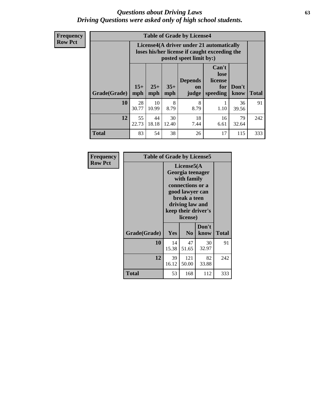#### *Questions about Driving Laws* **63** *Driving Questions were asked only of high school students.*

**Frequency Row Pct**

| <b>Table of Grade by License4</b> |             |                                                                                                                                                                                                                                                                                       |           |           |      |             |     |  |  |  |
|-----------------------------------|-------------|---------------------------------------------------------------------------------------------------------------------------------------------------------------------------------------------------------------------------------------------------------------------------------------|-----------|-----------|------|-------------|-----|--|--|--|
|                                   |             | License4(A driver under 21 automatically<br>loses his/her license if caught exceeding the<br>posted speet limit by:)<br>Can't<br>lose<br><b>Depends</b><br>license<br>$15+$<br>$25+$<br>$35+$<br>Don't<br>for<br><b>on</b><br><b>Total</b><br>speeding<br>mph<br>mph<br>know<br>judge |           |           |      |             |     |  |  |  |
| Grade(Grade)                      | mph         |                                                                                                                                                                                                                                                                                       |           |           |      |             |     |  |  |  |
| 10                                | 28<br>30.77 | 10<br>10.99                                                                                                                                                                                                                                                                           | 8<br>8.79 | 8<br>8.79 | 1.10 | 36<br>39.56 | 91  |  |  |  |
| 12                                | 55<br>22.73 | 18<br>44<br>30<br>16<br>79<br>18.18<br>12.40<br>7.44<br>6.61<br>32.64                                                                                                                                                                                                                 |           |           |      |             |     |  |  |  |
| <b>Total</b>                      | 83          | 54                                                                                                                                                                                                                                                                                    | 38        | 26        | 17   | 115         | 333 |  |  |  |

| Frequency      | <b>Table of Grade by License5</b> |             |                                                                                                                                                             |               |       |  |
|----------------|-----------------------------------|-------------|-------------------------------------------------------------------------------------------------------------------------------------------------------------|---------------|-------|--|
| <b>Row Pct</b> |                                   |             | License5(A)<br>Georgia teenager<br>with family<br>connections or a<br>good lawyer can<br>break a teen<br>driving law and<br>keep their driver's<br>license) |               |       |  |
|                | Grade(Grade)                      | Yes         | N <sub>0</sub>                                                                                                                                              | Don't<br>know | Total |  |
|                | 10                                | 14<br>15.38 | 47<br>51.65                                                                                                                                                 | 30<br>32.97   | 91    |  |
|                | 12                                | 39<br>16.12 | 121<br>50.00                                                                                                                                                | 82<br>33.88   | 242   |  |
|                | <b>Total</b>                      | 53          | 168                                                                                                                                                         | 112           | 333   |  |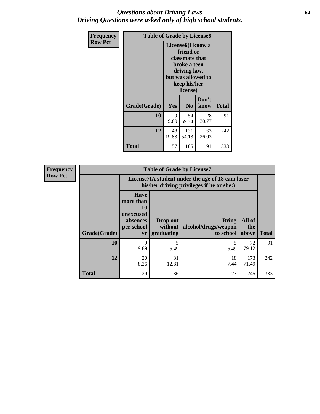#### *Questions about Driving Laws* **64** *Driving Questions were asked only of high school students.*

| <b>Frequency</b> | <b>Table of Grade by License6</b> |                                                                                                                                                 |                |               |              |
|------------------|-----------------------------------|-------------------------------------------------------------------------------------------------------------------------------------------------|----------------|---------------|--------------|
| <b>Row Pct</b>   |                                   | License <sub>6</sub> (I know a<br>friend or<br>classmate that<br>broke a teen<br>driving law,<br>but was allowed to<br>keep his/her<br>license) |                |               |              |
|                  | Grade(Grade)                      | <b>Yes</b>                                                                                                                                      | N <sub>0</sub> | Don't<br>know | <b>Total</b> |
|                  | 10                                | 9<br>9.89                                                                                                                                       | 54<br>59.34    | 28<br>30.77   | 91           |
|                  | 12                                | 48<br>131<br>63<br>19.83<br>54.13<br>26.03                                                                                                      |                |               | 242          |
|                  | <b>Total</b>                      | 57                                                                                                                                              | 185            | 91            | 333          |

| <b>Frequency</b> |              | <b>Table of Grade by License7</b>                                           |                                     |                                                                                               |                        |              |  |
|------------------|--------------|-----------------------------------------------------------------------------|-------------------------------------|-----------------------------------------------------------------------------------------------|------------------------|--------------|--|
| <b>Row Pct</b>   |              |                                                                             |                                     | License7(A student under the age of 18 cam loser<br>his/her driving privileges if he or she:) |                        |              |  |
|                  | Grade(Grade) | <b>Have</b><br>more than<br>10<br>unexcused<br>absences<br>per school<br>yr | Drop out<br>without  <br>graduating | <b>Bring</b><br>alcohol/drugs/weapon<br>to school                                             | All of<br>the<br>above | <b>Total</b> |  |
|                  | <b>10</b>    | 9<br>9.89                                                                   | 5<br>5.49                           | 5.49                                                                                          | 72<br>79.12            | 91           |  |
|                  | 12           | 20<br>8.26                                                                  | 31<br>12.81                         | 18<br>7.44                                                                                    | 173<br>71.49           | 242          |  |
|                  | <b>Total</b> | 29                                                                          | 36                                  | 23                                                                                            | 245                    | 333          |  |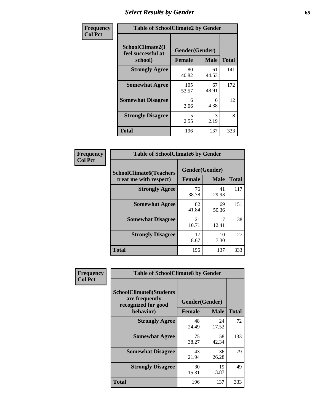# *Select Results by Gender* **65**

| Frequency      | <b>Table of SchoolClimate2 by Gender</b>          |                                 |             |              |
|----------------|---------------------------------------------------|---------------------------------|-------------|--------------|
| <b>Col Pct</b> | SchoolClimate2(I<br>feel successful at<br>school) | Gender(Gender)<br><b>Female</b> | <b>Male</b> | <b>Total</b> |
|                | <b>Strongly Agree</b>                             | 80<br>40.82                     | 61<br>44.53 | 141          |
|                | <b>Somewhat Agree</b>                             | 105<br>53.57                    | 67<br>48.91 | 172          |
|                | <b>Somewhat Disagree</b>                          | 6<br>3.06                       | 6<br>4.38   | 12           |
|                | <b>Strongly Disagree</b>                          | 5<br>2.55                       | 3<br>2.19   | 8            |
|                | <b>Total</b>                                      | 196                             | 137         | 333          |

| <b>Frequency</b> | <b>Table of SchoolClimate6 by Gender</b>                 |                                 |             |              |
|------------------|----------------------------------------------------------|---------------------------------|-------------|--------------|
| <b>Col Pct</b>   | <b>SchoolClimate6(Teachers</b><br>treat me with respect) | Gender(Gender)<br><b>Female</b> | <b>Male</b> | <b>Total</b> |
|                  | <b>Strongly Agree</b>                                    | 76<br>38.78                     | 41<br>29.93 | 117          |
|                  | <b>Somewhat Agree</b>                                    | 82<br>41.84                     | 69<br>50.36 | 151          |
|                  | <b>Somewhat Disagree</b>                                 | 21<br>10.71                     | 17<br>12.41 | 38           |
|                  | <b>Strongly Disagree</b>                                 | 17<br>8.67                      | 10<br>7.30  | 27           |
|                  | <b>Total</b>                                             | 196                             | 137         | 333          |

| <b>Frequency</b> | <b>Table of SchoolClimate8 by Gender</b>                                             |               |                               |              |  |
|------------------|--------------------------------------------------------------------------------------|---------------|-------------------------------|--------------|--|
| <b>Col Pct</b>   | <b>SchoolClimate8(Students</b><br>are frequently<br>recognized for good<br>behavior) | <b>Female</b> | Gender(Gender)<br><b>Male</b> | <b>Total</b> |  |
|                  | <b>Strongly Agree</b>                                                                | 48<br>24.49   | 24<br>17.52                   | 72           |  |
|                  | <b>Somewhat Agree</b>                                                                | 75<br>38.27   | 58<br>42.34                   | 133          |  |
|                  | <b>Somewhat Disagree</b>                                                             | 43<br>21.94   | 36<br>26.28                   | 79           |  |
|                  | <b>Strongly Disagree</b>                                                             | 30<br>15.31   | 19<br>13.87                   | 49           |  |
|                  | Total                                                                                | 196           | 137                           | 333          |  |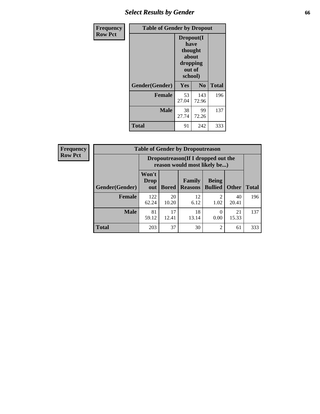# *Select Results by Gender* **66**

| Frequency      | <b>Table of Gender by Dropout</b> |                                                              |                |              |
|----------------|-----------------------------------|--------------------------------------------------------------|----------------|--------------|
| <b>Row Pct</b> |                                   | Dropout(I<br>have<br>thought<br>about<br>dropping<br>school) | out of         |              |
|                | Gender(Gender)                    | Yes                                                          | N <sub>0</sub> | <b>Total</b> |
|                | <b>Female</b>                     | 53<br>27.04                                                  | 143<br>72.96   | 196          |
|                | <b>Male</b>                       | 38<br>27.74                                                  | 99<br>72.26    | 137          |
|                | <b>Total</b>                      | 91                                                           | 242            | 333          |

| <b>Frequency</b> |
|------------------|
| <b>Row Pct</b>   |

| $\mathbf{y}$ | <b>Table of Gender by Dropoutreason</b> |                             |                                                                     |                                 |                                |              |              |
|--------------|-----------------------------------------|-----------------------------|---------------------------------------------------------------------|---------------------------------|--------------------------------|--------------|--------------|
|              |                                         |                             | Dropoutreason (If I dropped out the<br>reason would most likely be) |                                 |                                |              |              |
|              | Gender(Gender)                          | Won't<br><b>Drop</b><br>out | <b>Bored</b>                                                        | <b>Family</b><br><b>Reasons</b> | <b>Being</b><br><b>Bullied</b> | <b>Other</b> | <b>Total</b> |
|              | <b>Female</b>                           | 122<br>62.24                | 20<br>10.20                                                         | 12<br>6.12                      | 1.02                           | 40<br>20.41  | 196          |
|              | <b>Male</b>                             | 81<br>59.12                 | 17<br>12.41                                                         | 18<br>13.14                     | 0.00                           | 21<br>15.33  | 137          |
|              | <b>Total</b>                            | 203                         | 37                                                                  | 30                              | $\mathfrak{D}$                 | 61           | 333          |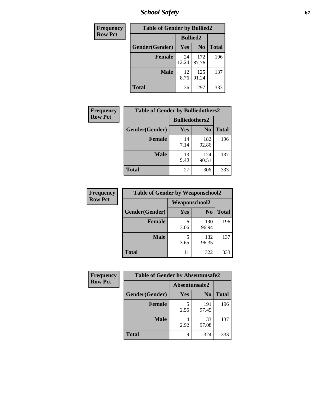*School Safety* **67**

| Frequency      | <b>Table of Gender by Bullied2</b> |                 |                |              |
|----------------|------------------------------------|-----------------|----------------|--------------|
| <b>Row Pct</b> |                                    | <b>Bullied2</b> |                |              |
|                | Gender(Gender)                     | Yes             | N <sub>0</sub> | <b>Total</b> |
|                | <b>Female</b>                      | 24<br>12.24     | 172<br>87.76   | 196          |
|                | <b>Male</b>                        | 12<br>8.76      | 125<br>91.24   | 137          |
|                | <b>Total</b>                       | 36              | 297            | 333          |

| Frequency      | <b>Table of Gender by Bulliedothers2</b> |                       |                |              |
|----------------|------------------------------------------|-----------------------|----------------|--------------|
| <b>Row Pct</b> |                                          | <b>Bulliedothers2</b> |                |              |
|                | Gender(Gender)                           | Yes                   | N <sub>0</sub> | <b>Total</b> |
|                | <b>Female</b>                            | 14<br>7.14            | 182<br>92.86   | 196          |
|                | <b>Male</b>                              | 13<br>9.49            | 124<br>90.51   | 137          |
|                | <b>Total</b>                             | 27                    | 306            | 333          |

| Frequency      |                | <b>Table of Gender by Weaponschool2</b> |                |              |  |
|----------------|----------------|-----------------------------------------|----------------|--------------|--|
| <b>Row Pct</b> |                | Weaponschool2                           |                |              |  |
|                | Gender(Gender) | Yes                                     | N <sub>0</sub> | <b>Total</b> |  |
|                | <b>Female</b>  | 6<br>3.06                               | 190<br>96.94   | 196          |  |
|                | <b>Male</b>    | 5<br>3.65                               | 132<br>96.35   | 137          |  |
|                | <b>Total</b>   | 11                                      | 322            | 333          |  |

| Frequency      | <b>Table of Gender by Absentunsafe2</b> |               |                |              |
|----------------|-----------------------------------------|---------------|----------------|--------------|
| <b>Row Pct</b> |                                         | Absentunsafe2 |                |              |
|                | Gender(Gender)                          | Yes           | N <sub>0</sub> | <b>Total</b> |
|                | <b>Female</b>                           | 2.55          | 191<br>97.45   | 196          |
|                | <b>Male</b>                             | 2.92          | 133<br>97.08   | 137          |
|                | <b>Total</b>                            | q             | 324            | 333          |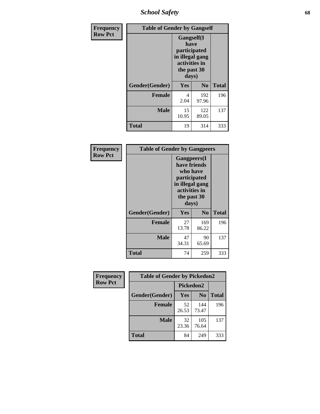*School Safety* **68**

| Frequency      | <b>Table of Gender by Gangself</b> |                                                                                                |                |              |
|----------------|------------------------------------|------------------------------------------------------------------------------------------------|----------------|--------------|
| <b>Row Pct</b> |                                    | Gangself(I<br>have<br>participated<br>in illegal gang<br>activities in<br>the past 30<br>days) |                |              |
|                | Gender(Gender)                     | Yes                                                                                            | N <sub>0</sub> | <b>Total</b> |
|                | <b>Female</b>                      | 4<br>2.04                                                                                      | 192<br>97.96   | 196          |
|                | <b>Male</b>                        | 15<br>10.95                                                                                    | 122<br>89.05   | 137          |
|                | <b>Total</b>                       | 19                                                                                             | 314            | 333          |

| Frequency      | <b>Table of Gender by Gangpeers</b> |                                                                                                                             |                |              |
|----------------|-------------------------------------|-----------------------------------------------------------------------------------------------------------------------------|----------------|--------------|
| <b>Row Pct</b> |                                     | <b>Gangpeers</b> (I<br>have friends<br>who have<br>participated<br>in illegal gang<br>activities in<br>the past 30<br>days) |                |              |
|                | Gender(Gender)                      | <b>Yes</b>                                                                                                                  | N <sub>0</sub> | <b>Total</b> |
|                | <b>Female</b>                       | 27<br>13.78                                                                                                                 | 169<br>86.22   | 196          |
|                | <b>Male</b>                         | 47<br>34.31                                                                                                                 | 90<br>65.69    | 137          |
|                | Total                               | 74                                                                                                                          | 259            | 333          |

| Frequency      | <b>Table of Gender by Pickedon2</b> |             |                |              |
|----------------|-------------------------------------|-------------|----------------|--------------|
| <b>Row Pct</b> |                                     | Pickedon2   |                |              |
|                | Gender(Gender)                      | Yes         | N <sub>0</sub> | <b>Total</b> |
|                | <b>Female</b>                       | 52<br>26.53 | 144<br>73.47   | 196          |
|                | <b>Male</b>                         | 32<br>23.36 | 105<br>76.64   | 137          |
|                | <b>Total</b>                        | 84          | 249            | 333          |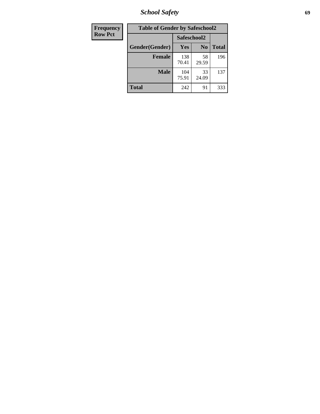*School Safety* **69**

| Frequency      | <b>Table of Gender by Safeschool2</b> |              |                |              |
|----------------|---------------------------------------|--------------|----------------|--------------|
| <b>Row Pct</b> |                                       | Safeschool2  |                |              |
|                | Gender(Gender)                        | <b>Yes</b>   | N <sub>0</sub> | <b>Total</b> |
|                | <b>Female</b>                         | 138<br>70.41 | 58<br>29.59    | 196          |
|                | <b>Male</b>                           | 104<br>75.91 | 33<br>24.09    | 137          |
|                | Total                                 | 242          | 91             | 333          |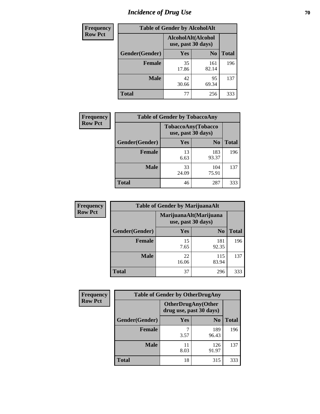# *Incidence of Drug Use* **70**

| <b>Frequency</b> | <b>Table of Gender by AlcoholAlt</b> |             |                                          |              |  |
|------------------|--------------------------------------|-------------|------------------------------------------|--------------|--|
| <b>Row Pct</b>   |                                      |             | AlcoholAlt(Alcohol<br>use, past 30 days) |              |  |
|                  | Gender(Gender)                       | <b>Yes</b>  | N <sub>0</sub>                           | <b>Total</b> |  |
|                  | <b>Female</b>                        | 35<br>17.86 | 161<br>82.14                             | 196          |  |
|                  | <b>Male</b>                          | 42<br>30.66 | 95<br>69.34                              | 137          |  |
|                  | <b>Total</b>                         | 77          | 256                                      | 333          |  |

| <b>Frequency</b> | <b>Table of Gender by TobaccoAny</b> |                    |                    |              |
|------------------|--------------------------------------|--------------------|--------------------|--------------|
| <b>Row Pct</b>   |                                      | use, past 30 days) | TobaccoAny(Tobacco |              |
|                  | Gender(Gender)                       | Yes                | N <sub>0</sub>     | <b>Total</b> |
|                  | <b>Female</b>                        | 13<br>6.63         | 183<br>93.37       | 196          |
|                  | <b>Male</b>                          | 33<br>24.09        | 104<br>75.91       | 137          |
|                  | <b>Total</b>                         | 46                 | 287                | 333          |

| <b>Frequency</b> | <b>Table of Gender by MarijuanaAlt</b> |             |                                              |              |
|------------------|----------------------------------------|-------------|----------------------------------------------|--------------|
| <b>Row Pct</b>   |                                        |             | MarijuanaAlt(Marijuana<br>use, past 30 days) |              |
|                  | Gender(Gender)                         | <b>Yes</b>  | N <sub>0</sub>                               | <b>Total</b> |
|                  | <b>Female</b>                          | 15<br>7.65  | 181<br>92.35                                 | 196          |
|                  | <b>Male</b>                            | 22<br>16.06 | 115<br>83.94                                 | 137          |
|                  | <b>Total</b>                           | 37          | 296                                          | 333          |

| <b>Frequency</b> | <b>Table of Gender by OtherDrugAny</b> |                                                      |                |              |
|------------------|----------------------------------------|------------------------------------------------------|----------------|--------------|
| <b>Row Pct</b>   |                                        | <b>OtherDrugAny(Other</b><br>drug use, past 30 days) |                |              |
|                  | Gender(Gender)                         | <b>Yes</b>                                           | N <sub>0</sub> | <b>Total</b> |
|                  | <b>Female</b>                          | 3.57                                                 | 189<br>96.43   | 196          |
|                  | <b>Male</b>                            | 11<br>8.03                                           | 126<br>91.97   | 137          |
|                  | <b>Total</b>                           | 18                                                   | 315            | 333          |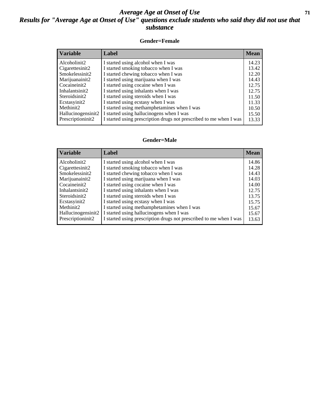#### *Average Age at Onset of Use* **71** *Results for "Average Age at Onset of Use" questions exclude students who said they did not use that substance*

#### **Gender=Female**

| <b>Variable</b>    | <b>Label</b>                                                       | <b>Mean</b> |
|--------------------|--------------------------------------------------------------------|-------------|
| Alcoholinit2       | I started using alcohol when I was                                 | 14.23       |
| Cigarettesinit2    | I started smoking tobacco when I was                               | 13.42       |
| Smokelessinit2     | I started chewing tobacco when I was                               | 12.20       |
| Marijuanainit2     | I started using marijuana when I was                               | 14.43       |
| Cocaineinit2       | I started using cocaine when I was                                 | 12.75       |
| Inhalantsinit2     | I started using inhalants when I was                               | 12.75       |
| Steroidsinit2      | I started using steroids when I was                                | 11.50       |
| Ecstasyinit2       | I started using ecstasy when I was                                 | 11.33       |
| Methinit2          | I started using methamphetamines when I was                        | 10.50       |
| Hallucinogensinit2 | I started using hallucinogens when I was                           | 15.50       |
| Prescription in t2 | I started using prescription drugs not prescribed to me when I was | 13.33       |

#### **Gender=Male**

| <b>Variable</b>    | Label                                                              | <b>Mean</b> |
|--------------------|--------------------------------------------------------------------|-------------|
| Alcoholinit2       | I started using alcohol when I was                                 | 14.86       |
| Cigarettesinit2    | I started smoking tobacco when I was                               | 14.28       |
| Smokelessinit2     | I started chewing tobacco when I was                               | 14.43       |
| Marijuanainit2     | I started using marijuana when I was                               | 14.03       |
| Cocaineinit2       | I started using cocaine when I was                                 | 14.00       |
| Inhalantsinit2     | I started using inhalants when I was                               | 12.75       |
| Steroidsinit2      | I started using steroids when I was                                | 13.75       |
| Ecstasyinit2       | I started using ecstasy when I was                                 | 15.75       |
| Methinit2          | I started using methamphetamines when I was                        | 15.67       |
| Hallucinogensinit2 | I started using hallucinogens when I was                           | 15.67       |
| Prescriptioninit2  | I started using prescription drugs not prescribed to me when I was | 13.63       |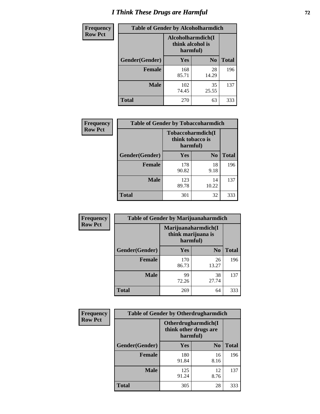# *I Think These Drugs are Harmful* **72**

| <b>Frequency</b> | <b>Table of Gender by Alcoholharmdich</b> |                                                   |                |              |
|------------------|-------------------------------------------|---------------------------------------------------|----------------|--------------|
| <b>Row Pct</b>   |                                           | Alcoholharmdich(I<br>think alcohol is<br>harmful) |                |              |
|                  | Gender(Gender)                            | Yes                                               | N <sub>0</sub> | <b>Total</b> |
|                  | Female                                    | 168<br>85.71                                      | 28<br>14.29    | 196          |
|                  | <b>Male</b>                               | 102<br>74.45                                      | 35<br>25.55    | 137          |
|                  | <b>Total</b>                              | 270                                               | 63             | 333          |

| Frequency      | <b>Table of Gender by Tobaccoharmdich</b> |                              |                   |              |
|----------------|-------------------------------------------|------------------------------|-------------------|--------------|
| <b>Row Pct</b> |                                           | think tobacco is<br>harmful) | Tobaccoharmdich(I |              |
|                | Gender(Gender)                            | Yes                          | $\bf N_0$         | <b>Total</b> |
|                | <b>Female</b>                             | 178<br>90.82                 | 18<br>9.18        | 196          |
|                | <b>Male</b>                               | 123<br>89.78                 | 14<br>10.22       | 137          |
|                | <b>Total</b>                              | 301                          | 32                | 333          |

| Frequency      | <b>Table of Gender by Marijuanaharmdich</b> |                                                       |                |              |  |
|----------------|---------------------------------------------|-------------------------------------------------------|----------------|--------------|--|
| <b>Row Pct</b> |                                             | Marijuanaharmdich(I<br>think marijuana is<br>harmful) |                |              |  |
|                | Gender(Gender)                              | <b>Yes</b>                                            | N <sub>0</sub> | <b>Total</b> |  |
|                | <b>Female</b>                               | 170<br>86.73                                          | 26<br>13.27    | 196          |  |
|                | <b>Male</b>                                 | 99<br>72.26                                           | 38<br>27.74    | 137          |  |
|                | <b>Total</b>                                | 269                                                   | 64             | 333          |  |

| Frequency      | <b>Table of Gender by Otherdrugharmdich</b> |                                                          |                |              |
|----------------|---------------------------------------------|----------------------------------------------------------|----------------|--------------|
| <b>Row Pct</b> |                                             | Otherdrugharmdich(I<br>think other drugs are<br>harmful) |                |              |
|                | Gender(Gender)                              | <b>Yes</b>                                               | N <sub>0</sub> | <b>Total</b> |
|                | <b>Female</b>                               | 180<br>91.84                                             | 16<br>8.16     | 196          |
|                | <b>Male</b>                                 | 125<br>91.24                                             | 12<br>8.76     | 137          |
|                | <b>Total</b>                                | 305                                                      | 28             | 333          |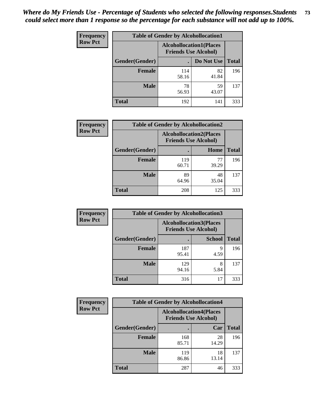| <b>Frequency</b> | <b>Table of Gender by Alcohollocation1</b> |                                                               |             |              |
|------------------|--------------------------------------------|---------------------------------------------------------------|-------------|--------------|
| <b>Row Pct</b>   |                                            | <b>Alcohollocation1(Places</b><br><b>Friends Use Alcohol)</b> |             |              |
|                  | Gender(Gender)                             |                                                               | Do Not Use  | <b>Total</b> |
|                  | <b>Female</b>                              | 114<br>58.16                                                  | 82<br>41.84 | 196          |
|                  | <b>Male</b>                                | 78<br>56.93                                                   | 59<br>43.07 | 137          |
|                  | <b>Total</b>                               | 192                                                           | 141         | 333          |

| <b>Frequency</b> | <b>Table of Gender by Alcohollocation2</b> |                             |                                |              |
|------------------|--------------------------------------------|-----------------------------|--------------------------------|--------------|
| <b>Row Pct</b>   |                                            | <b>Friends Use Alcohol)</b> | <b>Alcohollocation2(Places</b> |              |
|                  | Gender(Gender)                             |                             | Home                           | <b>Total</b> |
|                  | <b>Female</b>                              | 119<br>60.71                | 77<br>39.29                    | 196          |
|                  | <b>Male</b>                                | 89<br>64.96                 | 48<br>35.04                    | 137          |
|                  | <b>Total</b>                               | 208                         | 125                            | 333          |

| Frequency      | <b>Table of Gender by Alcohollocation3</b> |                             |                                |              |
|----------------|--------------------------------------------|-----------------------------|--------------------------------|--------------|
| <b>Row Pct</b> |                                            | <b>Friends Use Alcohol)</b> | <b>Alcohollocation3(Places</b> |              |
|                | Gender(Gender)                             |                             | <b>School</b>                  | <b>Total</b> |
|                | <b>Female</b>                              | 187<br>95.41                | q<br>4.59                      | 196          |
|                | <b>Male</b>                                | 129<br>94.16                | 8<br>5.84                      | 137          |
|                | <b>Total</b>                               | 316                         | 17                             | 333          |

| <b>Frequency</b> | <b>Table of Gender by Alcohollocation4</b> |                                                               |             |              |
|------------------|--------------------------------------------|---------------------------------------------------------------|-------------|--------------|
| <b>Row Pct</b>   |                                            | <b>Alcohollocation4(Places</b><br><b>Friends Use Alcohol)</b> |             |              |
|                  | Gender(Gender)                             |                                                               | Car         | <b>Total</b> |
|                  | <b>Female</b>                              | 168<br>85.71                                                  | 28<br>14.29 | 196          |
|                  | <b>Male</b>                                | 119<br>86.86                                                  | 18<br>13.14 | 137          |
|                  | <b>Total</b>                               | 287                                                           | 46          | 333          |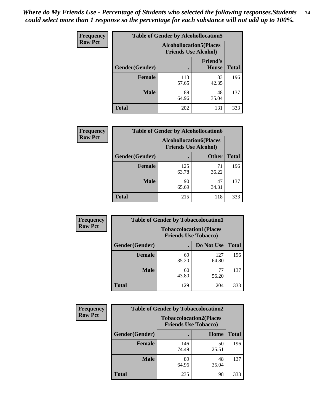| <b>Frequency</b> | <b>Table of Gender by Alcohollocation5</b> |                                                                |                          |              |
|------------------|--------------------------------------------|----------------------------------------------------------------|--------------------------|--------------|
| <b>Row Pct</b>   |                                            | <b>Alcohollocation5</b> (Places<br><b>Friends Use Alcohol)</b> |                          |              |
|                  | <b>Gender</b> (Gender)                     |                                                                | <b>Friend's</b><br>House | <b>Total</b> |
|                  | <b>Female</b>                              | 113<br>57.65                                                   | 83<br>42.35              | 196          |
|                  | <b>Male</b>                                | 89<br>64.96                                                    | 48<br>35.04              | 137          |
|                  | <b>Total</b>                               | 202                                                            | 131                      | 333          |

| <b>Frequency</b> |                | <b>Table of Gender by Alcohollocation6</b>                    |              |              |
|------------------|----------------|---------------------------------------------------------------|--------------|--------------|
| <b>Row Pct</b>   |                | <b>Alcohollocation6(Places</b><br><b>Friends Use Alcohol)</b> |              |              |
|                  | Gender(Gender) |                                                               | <b>Other</b> | <b>Total</b> |
|                  | <b>Female</b>  | 125<br>63.78                                                  | 71<br>36.22  | 196          |
|                  | <b>Male</b>    | 90<br>65.69                                                   | 47<br>34.31  | 137          |
|                  | <b>Total</b>   | 215                                                           | 118          | 333          |

| Frequency      | <b>Table of Gender by Tobaccolocation1</b> |                                                               |              |              |  |
|----------------|--------------------------------------------|---------------------------------------------------------------|--------------|--------------|--|
| <b>Row Pct</b> |                                            | <b>Tobaccolocation1(Places</b><br><b>Friends Use Tobacco)</b> |              |              |  |
|                | Gender(Gender)                             |                                                               | Do Not Use   | <b>Total</b> |  |
|                | Female                                     | 69<br>35.20                                                   | 127<br>64.80 | 196          |  |
|                | <b>Male</b>                                | 60<br>43.80                                                   | 77<br>56.20  | 137          |  |
|                | <b>Total</b>                               | 129                                                           | 204          | 333          |  |

| <b>Frequency</b> | <b>Table of Gender by Tobaccolocation2</b> |                                                               |             |              |
|------------------|--------------------------------------------|---------------------------------------------------------------|-------------|--------------|
| <b>Row Pct</b>   |                                            | <b>Tobaccolocation2(Places</b><br><b>Friends Use Tobacco)</b> |             |              |
|                  | Gender(Gender)                             |                                                               | Home        | <b>Total</b> |
|                  | Female                                     | 146<br>74.49                                                  | 50<br>25.51 | 196          |
|                  | <b>Male</b>                                | 89<br>64.96                                                   | 48<br>35.04 | 137          |
|                  | <b>Total</b>                               | 235                                                           | 98          | 333          |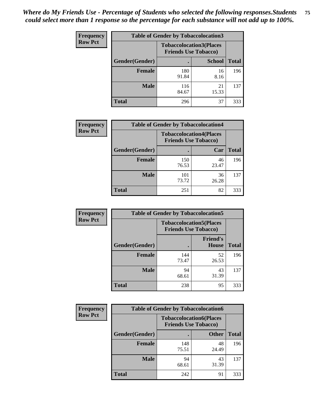| <b>Frequency</b> | <b>Table of Gender by Tobaccolocation3</b> |              |                                                               |              |
|------------------|--------------------------------------------|--------------|---------------------------------------------------------------|--------------|
| <b>Row Pct</b>   |                                            |              | <b>Tobaccolocation3(Places</b><br><b>Friends Use Tobacco)</b> |              |
|                  | Gender(Gender)                             |              | <b>School</b>                                                 | <b>Total</b> |
|                  | <b>Female</b>                              | 180<br>91.84 | 16<br>8.16                                                    | 196          |
|                  | <b>Male</b>                                | 116<br>84.67 | 21<br>15.33                                                   | 137          |
|                  | Total                                      | 296          | 37                                                            | 333          |

| <b>Frequency</b> | <b>Table of Gender by Tobaccolocation4</b> |                             |                                |              |
|------------------|--------------------------------------------|-----------------------------|--------------------------------|--------------|
| <b>Row Pct</b>   |                                            | <b>Friends Use Tobacco)</b> | <b>Tobaccolocation4(Places</b> |              |
|                  | Gender(Gender)                             |                             | Car                            | <b>Total</b> |
|                  | <b>Female</b>                              | 150<br>76.53                | 46<br>23.47                    | 196          |
|                  | <b>Male</b>                                | 101<br>73.72                | 36<br>26.28                    | 137          |
|                  | <b>Total</b>                               | 251                         | 82                             | 333          |

| <b>Frequency</b> | <b>Table of Gender by Tobaccolocation5</b> |                                                               |                                 |              |
|------------------|--------------------------------------------|---------------------------------------------------------------|---------------------------------|--------------|
| <b>Row Pct</b>   |                                            | <b>Tobaccolocation5(Places</b><br><b>Friends Use Tobacco)</b> |                                 |              |
|                  | Gender(Gender)                             |                                                               | <b>Friend's</b><br><b>House</b> | <b>Total</b> |
|                  | <b>Female</b>                              | 144<br>73.47                                                  | 52<br>26.53                     | 196          |
|                  | <b>Male</b>                                | 94<br>68.61                                                   | 43<br>31.39                     | 137          |
|                  | <b>Total</b>                               | 238                                                           | 95                              | 333          |

| <b>Frequency</b> | <b>Table of Gender by Tobaccolocation6</b> |                                                               |              |              |
|------------------|--------------------------------------------|---------------------------------------------------------------|--------------|--------------|
| <b>Row Pct</b>   |                                            | <b>Tobaccolocation6(Places</b><br><b>Friends Use Tobacco)</b> |              |              |
|                  | Gender(Gender)                             |                                                               | <b>Other</b> | <b>Total</b> |
|                  | Female                                     | 148<br>75.51                                                  | 48<br>24.49  | 196          |
|                  | <b>Male</b>                                | 94<br>68.61                                                   | 43<br>31.39  | 137          |
|                  | <b>Total</b>                               | 242                                                           | 91           | 333          |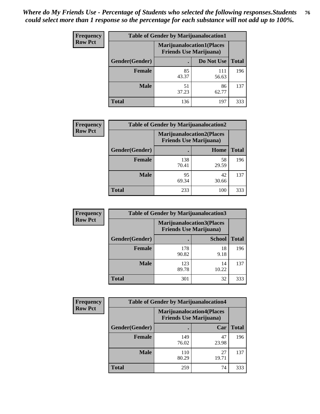| <b>Frequency</b> | <b>Table of Gender by Marijuanalocation1</b> |                                                                    |              |              |
|------------------|----------------------------------------------|--------------------------------------------------------------------|--------------|--------------|
| <b>Row Pct</b>   |                                              | <b>Marijuanalocation1(Places</b><br><b>Friends Use Marijuana</b> ) |              |              |
|                  | Gender(Gender)                               |                                                                    | Do Not Use   | <b>Total</b> |
|                  | <b>Female</b>                                | 85<br>43.37                                                        | 111<br>56.63 | 196          |
|                  | <b>Male</b>                                  | 51<br>37.23                                                        | 86<br>62.77  | 137          |
|                  | <b>Total</b>                                 | 136                                                                | 197          | 333          |

| <b>Frequency</b> | <b>Table of Gender by Marijuanalocation2</b> |                                                                    |             |              |  |
|------------------|----------------------------------------------|--------------------------------------------------------------------|-------------|--------------|--|
| <b>Row Pct</b>   |                                              | <b>Marijuanalocation2(Places</b><br><b>Friends Use Marijuana</b> ) |             |              |  |
|                  | Gender(Gender)                               |                                                                    | Home        | <b>Total</b> |  |
|                  | <b>Female</b>                                | 138<br>70.41                                                       | 58<br>29.59 | 196          |  |
|                  | <b>Male</b>                                  | 95<br>69.34                                                        | 42<br>30.66 | 137          |  |
|                  | <b>Total</b>                                 | 233                                                                | 100         | 333          |  |

| <b>Frequency</b> | <b>Table of Gender by Marijuanalocation3</b> |                                                                     |               |              |
|------------------|----------------------------------------------|---------------------------------------------------------------------|---------------|--------------|
| <b>Row Pct</b>   |                                              | <b>Marijuanalocation3(Places)</b><br><b>Friends Use Marijuana</b> ) |               |              |
|                  | Gender(Gender)                               |                                                                     | <b>School</b> | <b>Total</b> |
|                  | Female                                       | 178<br>90.82                                                        | 18<br>9.18    | 196          |
|                  | <b>Male</b>                                  | 123<br>89.78                                                        | 14<br>10.22   | 137          |
|                  | <b>Total</b>                                 | 301                                                                 | 32            | 333          |

| Frequency      | <b>Table of Gender by Marijuanalocation4</b> |                                |                                  |              |  |
|----------------|----------------------------------------------|--------------------------------|----------------------------------|--------------|--|
| <b>Row Pct</b> |                                              | <b>Friends Use Marijuana</b> ) | <b>Marijuanalocation4(Places</b> |              |  |
|                | Gender(Gender)                               |                                | Car                              | <b>Total</b> |  |
|                | Female                                       | 149<br>76.02                   | 47<br>23.98                      | 196          |  |
|                | <b>Male</b>                                  | 110<br>80.29                   | 27<br>19.71                      | 137          |  |
|                | <b>Total</b>                                 | 259                            | 74                               | 333          |  |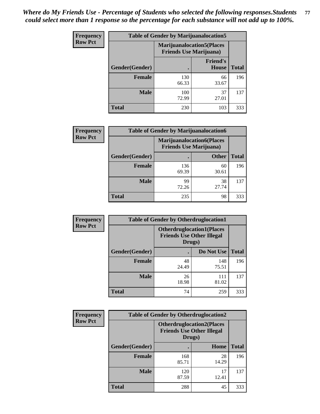| <b>Frequency</b> | <b>Table of Gender by Marijuanalocation5</b> |                                                                     |                          |              |
|------------------|----------------------------------------------|---------------------------------------------------------------------|--------------------------|--------------|
| <b>Row Pct</b>   |                                              | <b>Marijuanalocation5</b> (Places<br><b>Friends Use Marijuana</b> ) |                          |              |
|                  | Gender(Gender)                               |                                                                     | <b>Friend's</b><br>House | <b>Total</b> |
|                  | <b>Female</b>                                | 130<br>66.33                                                        | 66<br>33.67              | 196          |
|                  | <b>Male</b>                                  | 100<br>72.99                                                        | 37<br>27.01              | 137          |
|                  | <b>Total</b>                                 | 230                                                                 | 103                      | 333          |

| <b>Frequency</b> | <b>Table of Gender by Marijuanalocation6</b> |                                |                                  |              |
|------------------|----------------------------------------------|--------------------------------|----------------------------------|--------------|
| <b>Row Pct</b>   |                                              | <b>Friends Use Marijuana</b> ) | <b>Marijuanalocation6(Places</b> |              |
|                  | Gender(Gender)                               |                                | <b>Other</b>                     | <b>Total</b> |
|                  | <b>Female</b>                                | 136<br>69.39                   | 60<br>30.61                      | 196          |
|                  | <b>Male</b>                                  | 99<br>72.26                    | 38<br>27.74                      | 137          |
|                  | <b>Total</b>                                 | 235                            | 98                               | 333          |

| <b>Frequency</b> | <b>Table of Gender by Otherdruglocation1</b> |                                                                                |              |              |
|------------------|----------------------------------------------|--------------------------------------------------------------------------------|--------------|--------------|
| <b>Row Pct</b>   |                                              | <b>Otherdruglocation1(Places</b><br><b>Friends Use Other Illegal</b><br>Drugs) |              |              |
|                  | Gender(Gender)                               |                                                                                | Do Not Use   | <b>Total</b> |
|                  | <b>Female</b>                                | 48<br>24.49                                                                    | 148<br>75.51 | 196          |
|                  | <b>Male</b>                                  | 26<br>18.98                                                                    | 111<br>81.02 | 137          |
|                  | <b>Total</b>                                 | 74                                                                             | 259          | 333          |

| Frequency      | <b>Table of Gender by Otherdruglocation2</b> |              |                                                                                |              |
|----------------|----------------------------------------------|--------------|--------------------------------------------------------------------------------|--------------|
| <b>Row Pct</b> |                                              |              | <b>Otherdruglocation2(Places</b><br><b>Friends Use Other Illegal</b><br>Drugs) |              |
|                | Gender(Gender)                               |              | Home                                                                           | <b>Total</b> |
|                | <b>Female</b>                                | 168<br>85.71 | 28<br>14.29                                                                    | 196          |
|                | <b>Male</b>                                  | 120<br>87.59 | 17<br>12.41                                                                    | 137          |
|                | <b>Total</b>                                 | 288          | 45                                                                             | 333          |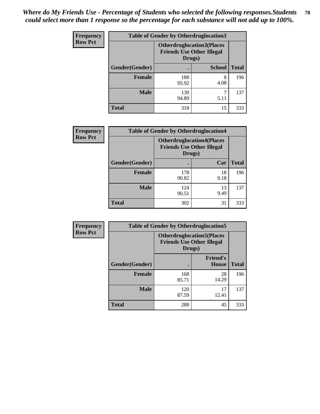| Frequency      | <b>Table of Gender by Otherdruglocation3</b> |                                                                                |               |              |
|----------------|----------------------------------------------|--------------------------------------------------------------------------------|---------------|--------------|
| <b>Row Pct</b> |                                              | <b>Otherdruglocation3(Places</b><br><b>Friends Use Other Illegal</b><br>Drugs) |               |              |
|                | Gender(Gender)                               |                                                                                | <b>School</b> | <b>Total</b> |
|                | <b>Female</b>                                | 188<br>95.92                                                                   | 8<br>4.08     | 196          |
|                | <b>Male</b>                                  | 130<br>94.89                                                                   | 5.11          | 137          |
|                | <b>Total</b>                                 | 318                                                                            | 15            | 333          |

| Frequency      | <b>Table of Gender by Otherdruglocation4</b> |                                                                                |            |              |
|----------------|----------------------------------------------|--------------------------------------------------------------------------------|------------|--------------|
| <b>Row Pct</b> |                                              | <b>Otherdruglocation4(Places</b><br><b>Friends Use Other Illegal</b><br>Drugs) |            |              |
|                | Gender(Gender)                               |                                                                                | Car        | <b>Total</b> |
|                | <b>Female</b>                                | 178<br>90.82                                                                   | 18<br>9.18 | 196          |
|                | <b>Male</b>                                  | 124<br>90.51                                                                   | 13<br>9.49 | 137          |
|                | <b>Total</b>                                 | 302                                                                            | 31         | 333          |

| <b>Frequency</b> |                | <b>Table of Gender by Otherdruglocation5</b> |                                  |              |
|------------------|----------------|----------------------------------------------|----------------------------------|--------------|
| <b>Row Pct</b>   |                | <b>Friends Use Other Illegal</b><br>Drugs)   | <b>Otherdruglocation5(Places</b> |              |
|                  | Gender(Gender) |                                              | <b>Friend's</b><br><b>House</b>  | <b>Total</b> |
|                  | <b>Female</b>  | 168<br>85.71                                 | 28<br>14.29                      | 196          |
|                  | <b>Male</b>    | 120<br>87.59                                 | 17<br>12.41                      | 137          |
|                  | <b>Total</b>   | 288                                          | 45                               | 333          |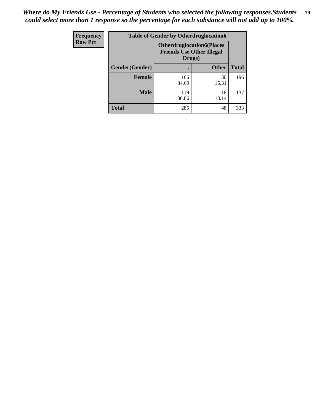| <b>Frequency</b> | <b>Table of Gender by Otherdruglocation6</b> |                                            |                                  |              |
|------------------|----------------------------------------------|--------------------------------------------|----------------------------------|--------------|
| <b>Row Pct</b>   |                                              | <b>Friends Use Other Illegal</b><br>Drugs) | <b>Otherdruglocation6(Places</b> |              |
|                  | Gender(Gender)                               |                                            | <b>Other</b>                     | <b>Total</b> |
|                  | <b>Female</b>                                | 166<br>84.69                               | 30<br>15.31                      | 196          |
|                  | <b>Male</b>                                  | 119<br>86.86                               | 18<br>13.14                      | 137          |
|                  | <b>Total</b>                                 | 285                                        | 48                               | 333          |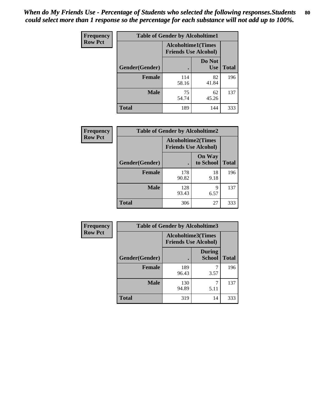| <b>Frequency</b> | <b>Table of Gender by Alcoholtime1</b> |                                                          |                      |              |
|------------------|----------------------------------------|----------------------------------------------------------|----------------------|--------------|
| <b>Row Pct</b>   |                                        | <b>Alcoholtime1(Times</b><br><b>Friends Use Alcohol)</b> |                      |              |
|                  | Gender(Gender)                         |                                                          | Do Not<br><b>Use</b> | <b>Total</b> |
|                  | <b>Female</b>                          | 114<br>58.16                                             | 82<br>41.84          | 196          |
|                  | <b>Male</b>                            | 75<br>54.74                                              | 62<br>45.26          | 137          |
|                  | <b>Total</b>                           | 189                                                      | 144                  | 333          |

| <b>Frequency</b> | <b>Table of Gender by Alcoholtime2</b> |                                                          |                            |              |
|------------------|----------------------------------------|----------------------------------------------------------|----------------------------|--------------|
| <b>Row Pct</b>   |                                        | <b>Alcoholtime2(Times</b><br><b>Friends Use Alcohol)</b> |                            |              |
|                  | Gender(Gender)                         |                                                          | <b>On Way</b><br>to School | <b>Total</b> |
|                  | <b>Female</b>                          | 178<br>90.82                                             | 18<br>9.18                 | 196          |
|                  | <b>Male</b>                            | 128<br>93.43                                             | 9<br>6.57                  | 137          |
|                  | <b>Total</b>                           | 306                                                      | 27                         | 333          |

| Frequency      | <b>Table of Gender by Alcoholtime3</b> |                                                          |                                |              |  |
|----------------|----------------------------------------|----------------------------------------------------------|--------------------------------|--------------|--|
| <b>Row Pct</b> |                                        | <b>Alcoholtime3(Times</b><br><b>Friends Use Alcohol)</b> |                                |              |  |
|                | Gender(Gender)                         |                                                          | <b>During</b><br><b>School</b> | <b>Total</b> |  |
|                | <b>Female</b>                          | 189<br>96.43                                             | 3.57                           | 196          |  |
|                | <b>Male</b>                            | 130<br>94.89                                             | 5.11                           | 137          |  |
|                | <b>Total</b>                           | 319                                                      | 14                             | 333          |  |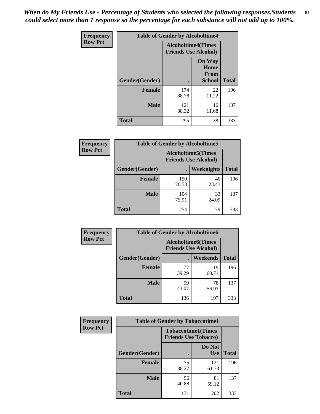*When do My Friends Use - Percentage of Students who selected the following responses.Students could select more than 1 response so the percentage for each substance will not add up to 100%.* **81**

| <b>Frequency</b> | <b>Table of Gender by Alcoholtime4</b> |                                                          |                                                |              |
|------------------|----------------------------------------|----------------------------------------------------------|------------------------------------------------|--------------|
| <b>Row Pct</b>   |                                        | <b>Alcoholtime4(Times</b><br><b>Friends Use Alcohol)</b> |                                                |              |
|                  | Gender(Gender)                         |                                                          | <b>On Way</b><br>Home<br>From<br><b>School</b> | <b>Total</b> |
|                  | <b>Female</b>                          | 174<br>88.78                                             | 22<br>11.22                                    | 196          |
|                  | <b>Male</b>                            | 121<br>88.32                                             | 16<br>11.68                                    | 137          |
|                  | <b>Total</b>                           | 295                                                      | 38                                             | 333          |

| <b>Frequency</b> | <b>Table of Gender by Alcoholtime5</b> |                                                           |                   |              |
|------------------|----------------------------------------|-----------------------------------------------------------|-------------------|--------------|
| <b>Row Pct</b>   |                                        | <b>Alcoholtime5</b> (Times<br><b>Friends Use Alcohol)</b> |                   |              |
|                  | Gender(Gender)                         |                                                           | <b>Weeknights</b> | <b>Total</b> |
|                  | <b>Female</b>                          | 150<br>76.53                                              | 46<br>23.47       | 196          |
|                  | <b>Male</b>                            | 104<br>75.91                                              | 33<br>24.09       | 137          |
|                  | <b>Total</b>                           | 254                                                       | 79                | 333          |

| <b>Frequency</b> | <b>Table of Gender by Alcoholtime6</b> |             |                                                          |              |
|------------------|----------------------------------------|-------------|----------------------------------------------------------|--------------|
| <b>Row Pct</b>   |                                        |             | <b>Alcoholtime6(Times</b><br><b>Friends Use Alcohol)</b> |              |
|                  | Gender(Gender)                         |             | Weekends                                                 | <b>Total</b> |
|                  | Female                                 | 77<br>39.29 | 119<br>60.71                                             | 196          |
|                  | <b>Male</b>                            | 59<br>43.07 | 78<br>56.93                                              | 137          |
|                  | <b>Total</b>                           | 136         | 197                                                      | 333          |

| Frequency      | <b>Table of Gender by Tobaccotime1</b> |                                                          |                      |              |
|----------------|----------------------------------------|----------------------------------------------------------|----------------------|--------------|
| <b>Row Pct</b> |                                        | <b>Tobaccotime1(Times</b><br><b>Friends Use Tobacco)</b> |                      |              |
|                | Gender(Gender)                         |                                                          | Do Not<br><b>Use</b> | <b>Total</b> |
|                | <b>Female</b>                          | 75<br>38.27                                              | 121<br>61.73         | 196          |
|                | <b>Male</b>                            | 56<br>40.88                                              | 81<br>59.12          | 137          |
|                | <b>Total</b>                           | 131                                                      | 202                  | 333          |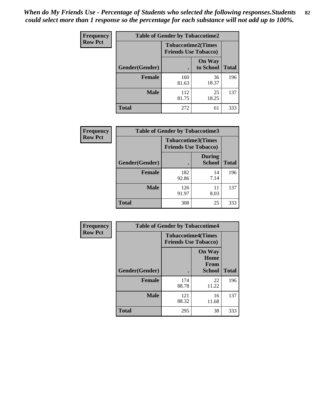*When do My Friends Use - Percentage of Students who selected the following responses.Students could select more than 1 response so the percentage for each substance will not add up to 100%.* **82**

| Frequency      | <b>Table of Gender by Tobaccotime2</b> |                                                          |                            |              |
|----------------|----------------------------------------|----------------------------------------------------------|----------------------------|--------------|
| <b>Row Pct</b> |                                        | <b>Tobaccotime2(Times</b><br><b>Friends Use Tobacco)</b> |                            |              |
|                | Gender(Gender)                         |                                                          | <b>On Way</b><br>to School | <b>Total</b> |
|                | <b>Female</b>                          | 160<br>81.63                                             | 36<br>18.37                | 196          |
|                | <b>Male</b>                            | 112<br>81.75                                             | 25<br>18.25                | 137          |
|                | <b>Total</b>                           | 272                                                      | 61                         | 333          |

| Frequency      | <b>Table of Gender by Tobaccotime3</b> |                                                          |                                |              |
|----------------|----------------------------------------|----------------------------------------------------------|--------------------------------|--------------|
| <b>Row Pct</b> |                                        | <b>Tobaccotime3(Times</b><br><b>Friends Use Tobacco)</b> |                                |              |
|                | Gender(Gender)                         |                                                          | <b>During</b><br><b>School</b> | <b>Total</b> |
|                | <b>Female</b>                          | 182<br>92.86                                             | 14<br>7.14                     | 196          |
|                | <b>Male</b>                            | 126<br>91.97                                             | 11<br>8.03                     | 137          |
|                | <b>Total</b>                           | 308                                                      | 25                             | 333          |

| <b>Frequency</b> | <b>Table of Gender by Tobaccotime4</b> |                                                          |                                                |              |
|------------------|----------------------------------------|----------------------------------------------------------|------------------------------------------------|--------------|
| <b>Row Pct</b>   |                                        | <b>Tobaccotime4(Times</b><br><b>Friends Use Tobacco)</b> |                                                |              |
|                  | Gender(Gender)                         |                                                          | <b>On Way</b><br>Home<br>From<br><b>School</b> | <b>Total</b> |
|                  | <b>Female</b>                          | 174<br>88.78                                             | 22<br>11.22                                    | 196          |
|                  | <b>Male</b>                            | 121<br>88.32                                             | 16<br>11.68                                    | 137          |
|                  | <b>Total</b>                           | 295                                                      | 38                                             | 333          |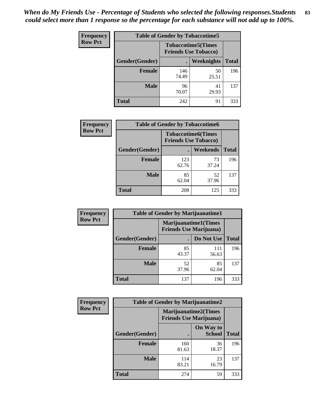| <b>Frequency</b> | <b>Table of Gender by Tobaccotime5</b> |                                                          |             |              |  |
|------------------|----------------------------------------|----------------------------------------------------------|-------------|--------------|--|
| <b>Row Pct</b>   |                                        | <b>Tobaccotime5(Times</b><br><b>Friends Use Tobacco)</b> |             |              |  |
|                  | <b>Gender</b> (Gender)                 |                                                          | Weeknights  | <b>Total</b> |  |
|                  | <b>Female</b>                          | 146<br>74.49                                             | 50<br>25.51 | 196          |  |
|                  | <b>Male</b>                            | 96<br>70.07                                              | 41<br>29.93 | 137          |  |
|                  | Total                                  | 242                                                      | 91          | 333          |  |

| <b>Frequency</b> | <b>Table of Gender by Tobaccotime6</b> |                                                          |             |              |
|------------------|----------------------------------------|----------------------------------------------------------|-------------|--------------|
| <b>Row Pct</b>   |                                        | <b>Tobaccotime6(Times</b><br><b>Friends Use Tobacco)</b> |             |              |
|                  | Gender(Gender)                         |                                                          | Weekends    | <b>Total</b> |
|                  | Female                                 | 123<br>62.76                                             | 73<br>37.24 | 196          |
|                  | <b>Male</b>                            | 85<br>62.04                                              | 52<br>37.96 | 137          |
|                  | <b>Total</b>                           | 208                                                      | 125         | 333          |

| Frequency      | <b>Table of Gender by Marijuanatime1</b> |                                                               |              |              |
|----------------|------------------------------------------|---------------------------------------------------------------|--------------|--------------|
| <b>Row Pct</b> |                                          | <b>Marijuanatime1(Times</b><br><b>Friends Use Marijuana</b> ) |              |              |
|                | Gender(Gender)                           |                                                               | Do Not Use   | <b>Total</b> |
|                | <b>Female</b>                            | 85<br>43.37                                                   | 111<br>56.63 | 196          |
|                | <b>Male</b>                              | 52<br>37.96                                                   | 85<br>62.04  | 137          |
|                | <b>Total</b>                             | 137                                                           | 196          | 333          |

| <b>Frequency</b> | <b>Table of Gender by Marijuanatime2</b> |                                                        |                            |              |  |
|------------------|------------------------------------------|--------------------------------------------------------|----------------------------|--------------|--|
| <b>Row Pct</b>   |                                          | Marijuanatime2(Times<br><b>Friends Use Marijuana</b> ) |                            |              |  |
|                  | Gender(Gender)                           |                                                        | On Way to<br><b>School</b> | <b>Total</b> |  |
|                  | <b>Female</b>                            | 160<br>81.63                                           | 36<br>18.37                | 196          |  |
|                  | <b>Male</b>                              | 114<br>83.21                                           | 23<br>16.79                | 137          |  |
|                  | <b>Total</b>                             | 274                                                    | 59                         | 333          |  |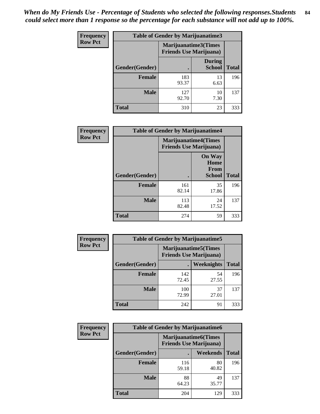*When do My Friends Use - Percentage of Students who selected the following responses.Students could select more than 1 response so the percentage for each substance will not add up to 100%.* **84**

| <b>Frequency</b> | Table of Gender by Marijuanatime3 |                                                        |                                |              |
|------------------|-----------------------------------|--------------------------------------------------------|--------------------------------|--------------|
| <b>Row Pct</b>   |                                   | Marijuanatime3(Times<br><b>Friends Use Marijuana</b> ) |                                |              |
|                  | Gender(Gender)                    |                                                        | <b>During</b><br><b>School</b> | <b>Total</b> |
|                  | <b>Female</b>                     | 183<br>93.37                                           | 13<br>6.63                     | 196          |
|                  | <b>Male</b>                       | 127<br>92.70                                           | 10<br>7.30                     | 137          |
|                  | <b>Total</b>                      | 310                                                    | 23                             | 333          |

| Frequency      | <b>Table of Gender by Marijuanatime4</b> |                                                               |                                                       |              |
|----------------|------------------------------------------|---------------------------------------------------------------|-------------------------------------------------------|--------------|
| <b>Row Pct</b> |                                          | <b>Marijuanatime4(Times</b><br><b>Friends Use Marijuana</b> ) |                                                       |              |
|                | Gender(Gender)                           |                                                               | <b>On Way</b><br>Home<br><b>From</b><br><b>School</b> | <b>Total</b> |
|                | <b>Female</b>                            | 161<br>82.14                                                  | 35<br>17.86                                           | 196          |
|                | <b>Male</b>                              | 113<br>82.48                                                  | 24<br>17.52                                           | 137          |
|                | <b>Total</b>                             | 274                                                           | 59                                                    | 333          |

| Frequency      | <b>Table of Gender by Marijuanatime5</b> |              |                                                                |              |
|----------------|------------------------------------------|--------------|----------------------------------------------------------------|--------------|
| <b>Row Pct</b> |                                          |              | <b>Marijuanatime5</b> (Times<br><b>Friends Use Marijuana</b> ) |              |
|                | Gender(Gender)                           | ٠            | Weeknights                                                     | <b>Total</b> |
|                | <b>Female</b>                            | 142<br>72.45 | 54<br>27.55                                                    | 196          |
|                | <b>Male</b>                              | 100<br>72.99 | 37<br>27.01                                                    | 137          |
|                | <b>Total</b>                             | 242          | 91                                                             | 333          |

| <b>Frequency</b> | <b>Table of Gender by Marijuanatime6</b> |                                |                             |              |
|------------------|------------------------------------------|--------------------------------|-----------------------------|--------------|
| <b>Row Pct</b>   |                                          | <b>Friends Use Marijuana</b> ) | <b>Marijuanatime6(Times</b> |              |
|                  | Gender(Gender)                           |                                | Weekends                    | <b>Total</b> |
|                  | <b>Female</b>                            | 116<br>59.18                   | 80<br>40.82                 | 196          |
|                  | <b>Male</b>                              | 88<br>64.23                    | 49<br>35.77                 | 137          |
|                  | <b>Total</b>                             | 204                            | 129                         | 333          |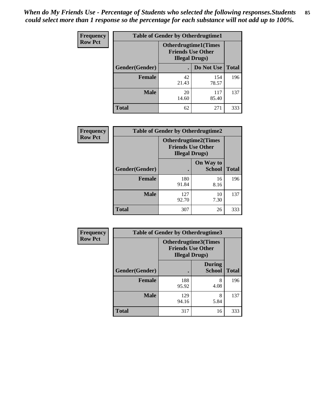*When do My Friends Use - Percentage of Students who selected the following responses.Students could select more than 1 response so the percentage for each substance will not add up to 100%.* **85**

| <b>Frequency</b> | <b>Table of Gender by Otherdrugtime1</b> |                                                                                    |              |              |
|------------------|------------------------------------------|------------------------------------------------------------------------------------|--------------|--------------|
| <b>Row Pct</b>   |                                          | <b>Otherdrugtime1</b> (Times<br><b>Friends Use Other</b><br><b>Illegal Drugs</b> ) |              |              |
|                  | Gender(Gender)                           |                                                                                    | Do Not Use   | <b>Total</b> |
|                  | <b>Female</b>                            | 42<br>21.43                                                                        | 154<br>78.57 | 196          |
|                  | <b>Male</b>                              | 20<br>14.60                                                                        | 117<br>85.40 | 137          |
|                  | <b>Total</b>                             | 62                                                                                 | 271          | 333          |

| <b>Frequency</b> | <b>Table of Gender by Otherdrugtime2</b> |                                                                                   |                            |              |
|------------------|------------------------------------------|-----------------------------------------------------------------------------------|----------------------------|--------------|
| <b>Row Pct</b>   |                                          | <b>Otherdrugtime2(Times</b><br><b>Friends Use Other</b><br><b>Illegal Drugs</b> ) |                            |              |
|                  | <b>Gender</b> (Gender)                   |                                                                                   | On Way to<br><b>School</b> | <b>Total</b> |
|                  | <b>Female</b>                            | 180<br>91.84                                                                      | 16<br>8.16                 | 196          |
|                  | <b>Male</b>                              | 127<br>92.70                                                                      | 10<br>7.30                 | 137          |
|                  | <b>Total</b>                             | 307                                                                               | 26                         | 333          |

| Frequency      | <b>Table of Gender by Otherdrugtime3</b> |                        |                                                  |              |  |
|----------------|------------------------------------------|------------------------|--------------------------------------------------|--------------|--|
| <b>Row Pct</b> |                                          | <b>Illegal Drugs</b> ) | Otherdrugtime3(Times<br><b>Friends Use Other</b> |              |  |
|                | Gender(Gender)                           |                        | <b>During</b><br><b>School</b>                   | <b>Total</b> |  |
|                | <b>Female</b>                            | 188<br>95.92           | 8<br>4.08                                        | 196          |  |
|                | <b>Male</b>                              | 129<br>94.16           | 8<br>5.84                                        | 137          |  |
|                | <b>Total</b>                             | 317                    | 16                                               | 333          |  |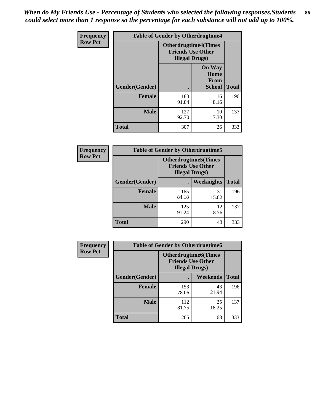*When do My Friends Use - Percentage of Students who selected the following responses.Students could select more than 1 response so the percentage for each substance will not add up to 100%.* **86**

| <b>Frequency</b> | <b>Table of Gender by Otherdrugtime4</b> |                                                    |                                         |              |
|------------------|------------------------------------------|----------------------------------------------------|-----------------------------------------|--------------|
| <b>Row Pct</b>   |                                          | <b>Friends Use Other</b><br><b>Illegal Drugs</b> ) | <b>Otherdrugtime4(Times</b>             |              |
|                  | Gender(Gender)                           |                                                    | <b>On Way</b><br>Home<br>From<br>School | <b>Total</b> |
|                  | <b>Female</b>                            | 180<br>91.84                                       | 16<br>8.16                              | 196          |
|                  | <b>Male</b>                              | 127<br>92.70                                       | 10<br>7.30                              | 137          |
|                  | <b>Total</b>                             | 307                                                | 26                                      | 333          |

| Frequency      | <b>Table of Gender by Otherdrugtime5</b> |                                                                                    |                   |              |
|----------------|------------------------------------------|------------------------------------------------------------------------------------|-------------------|--------------|
| <b>Row Pct</b> |                                          | <b>Otherdrugtime5</b> (Times<br><b>Friends Use Other</b><br><b>Illegal Drugs</b> ) |                   |              |
|                | Gender(Gender)                           |                                                                                    | <b>Weeknights</b> | <b>Total</b> |
|                | <b>Female</b>                            | 165<br>84.18                                                                       | 31<br>15.82       | 196          |
|                | <b>Male</b>                              | 125<br>91.24                                                                       | 12<br>8.76        | 137          |
|                | <b>Total</b>                             | 290                                                                                | 43                | 333          |

| <b>Frequency</b> | <b>Table of Gender by Otherdrugtime6</b> |                                                                                   |             |              |
|------------------|------------------------------------------|-----------------------------------------------------------------------------------|-------------|--------------|
| <b>Row Pct</b>   |                                          | <b>Otherdrugtime6(Times</b><br><b>Friends Use Other</b><br><b>Illegal Drugs</b> ) |             |              |
|                  | Gender(Gender)                           |                                                                                   | Weekends    | <b>Total</b> |
|                  | <b>Female</b>                            | 153<br>78.06                                                                      | 43<br>21.94 | 196          |
|                  | <b>Male</b>                              | 112<br>81.75                                                                      | 25<br>18.25 | 137          |
|                  | <b>Total</b>                             | 265                                                                               | 68          | 333          |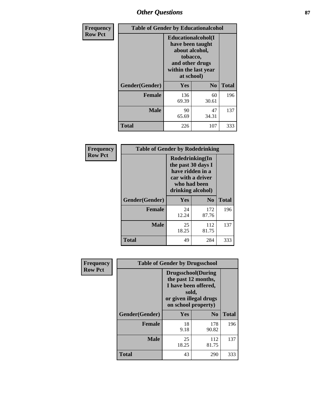# *Other Questions* **87**

| <b>Frequency</b> | <b>Table of Gender by Educationalcohol</b> |                                                                                                                                       |                |              |  |
|------------------|--------------------------------------------|---------------------------------------------------------------------------------------------------------------------------------------|----------------|--------------|--|
| <b>Row Pct</b>   |                                            | <b>Educationalcohol</b> (I<br>have been taught<br>about alcohol,<br>tobacco,<br>and other drugs<br>within the last year<br>at school) |                |              |  |
|                  | Gender(Gender)                             | <b>Yes</b>                                                                                                                            | N <sub>0</sub> | <b>Total</b> |  |
|                  | <b>Female</b>                              | 136<br>69.39                                                                                                                          | 60<br>30.61    | 196          |  |
|                  | <b>Male</b>                                | 90<br>65.69                                                                                                                           | 47<br>34.31    | 137          |  |
|                  | <b>Total</b>                               | 226                                                                                                                                   | 107            | 333          |  |

| Frequency      | <b>Table of Gender by Rodedrinking</b> |                                                                                                                     |              |              |  |  |
|----------------|----------------------------------------|---------------------------------------------------------------------------------------------------------------------|--------------|--------------|--|--|
| <b>Row Pct</b> |                                        | Rodedrinking(In<br>the past 30 days I<br>have ridden in a<br>car with a driver<br>who had been<br>drinking alcohol) |              |              |  |  |
|                | Gender(Gender)                         | Yes                                                                                                                 | $\bf No$     | <b>Total</b> |  |  |
|                | <b>Female</b>                          | 24<br>12.24                                                                                                         | 172<br>87.76 | 196          |  |  |
|                | <b>Male</b>                            | 25<br>18.25                                                                                                         | 112<br>81.75 | 137          |  |  |
|                | <b>Total</b>                           | 49                                                                                                                  | 284          | 333          |  |  |

| Frequency      | <b>Table of Gender by Drugsschool</b> |                                                                                                                                     |                |              |  |
|----------------|---------------------------------------|-------------------------------------------------------------------------------------------------------------------------------------|----------------|--------------|--|
| <b>Row Pct</b> |                                       | <b>Drugsschool</b> (During<br>the past 12 months,<br>I have been offered,<br>sold,<br>or given illegal drugs<br>on school property) |                |              |  |
|                | Gender(Gender)                        | <b>Yes</b>                                                                                                                          | N <sub>0</sub> | <b>Total</b> |  |
|                | <b>Female</b>                         | 18<br>9.18                                                                                                                          | 178<br>90.82   | 196          |  |
|                | <b>Male</b>                           | 25<br>18.25                                                                                                                         | 112<br>81.75   | 137          |  |
|                | <b>Total</b>                          | 43                                                                                                                                  | 290            | 333          |  |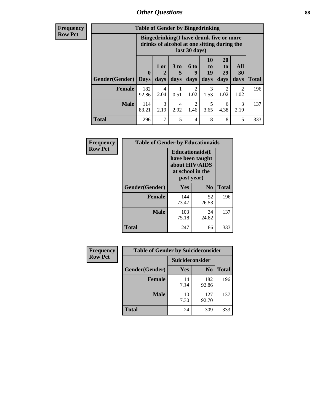## *Other Questions* **88**

**Frequency Row Pct**

| <b>Table of Gender by Bingedrinking</b> |                            |                                                                                                         |                   |                        |                               |                               |                        |              |
|-----------------------------------------|----------------------------|---------------------------------------------------------------------------------------------------------|-------------------|------------------------|-------------------------------|-------------------------------|------------------------|--------------|
|                                         |                            | Bingedrinking(I have drunk five or more<br>drinks of alcohol at one sitting during the<br>last 30 days) |                   |                        |                               |                               |                        |              |
| <b>Gender</b> (Gender)                  | $\mathbf 0$<br><b>Days</b> | 1 or<br>days                                                                                            | 3 to<br>5<br>days | 6 to<br>q<br>days      | <b>10</b><br>to<br>19<br>days | <b>20</b><br>to<br>29<br>days | All<br>30<br>days      | <b>Total</b> |
| <b>Female</b>                           | 182<br>92.86               | 4<br>2.04                                                                                               | 0.51              | $\overline{c}$<br>1.02 | 3<br>1.53                     | 2<br>1.02                     | $\mathfrak{D}$<br>1.02 | 196          |
| <b>Male</b>                             | 114<br>83.21               | 3<br>2.19                                                                                               | 4<br>2.92         | $\mathfrak{D}$<br>1.46 | 5<br>3.65                     | 6<br>4.38                     | 3<br>2.19              | 137          |
|                                         |                            |                                                                                                         |                   |                        |                               |                               |                        |              |

| Frequency      | <b>Table of Gender by Educationaids</b> |                                                                                                 |                |              |  |  |
|----------------|-----------------------------------------|-------------------------------------------------------------------------------------------------|----------------|--------------|--|--|
| <b>Row Pct</b> |                                         | <b>Educationaids</b> (I<br>have been taught<br>about HIV/AIDS<br>at school in the<br>past year) |                |              |  |  |
|                | Gender(Gender)                          | Yes                                                                                             | $\mathbf{N_0}$ | <b>Total</b> |  |  |
|                | <b>Female</b>                           | 144<br>73.47                                                                                    | 52<br>26.53    | 196          |  |  |
|                | <b>Male</b>                             | 103<br>75.18                                                                                    | 34<br>24.82    | 137          |  |  |
|                | <b>Total</b>                            | 247                                                                                             | 86             | 333          |  |  |

| <b>Frequency</b> | <b>Table of Gender by Suicideconsider</b> |                 |                |              |  |
|------------------|-------------------------------------------|-----------------|----------------|--------------|--|
| <b>Row Pct</b>   |                                           | Suicideconsider |                |              |  |
|                  | Gender(Gender)                            | Yes             | N <sub>0</sub> | <b>Total</b> |  |
|                  | <b>Female</b>                             | 14<br>7.14      | 182<br>92.86   | 196          |  |
|                  | <b>Male</b>                               | 10<br>7.30      | 127<br>92.70   | 137          |  |
|                  | <b>Total</b>                              | 24              | 309            | 333          |  |